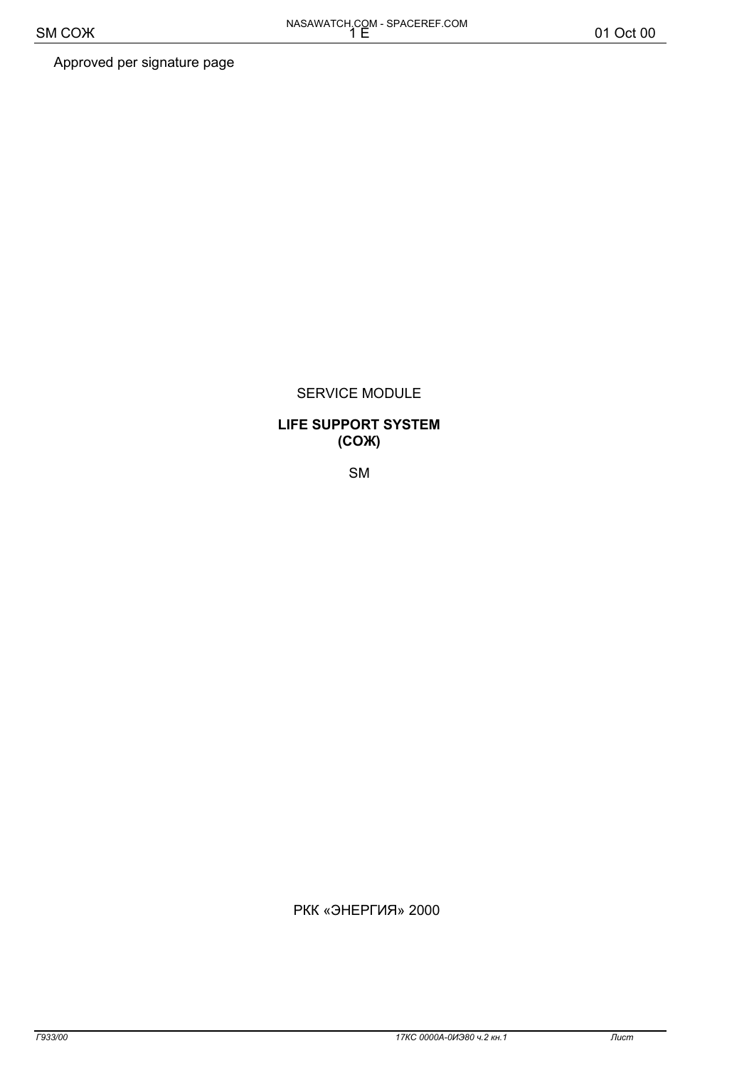Approved per signature page

## SERVICE MODULE

## **LIFE SUPPORT SYSTEM**  $(COK)$

**SM** 

© РКК «ЭНЕРГИЯ» 2000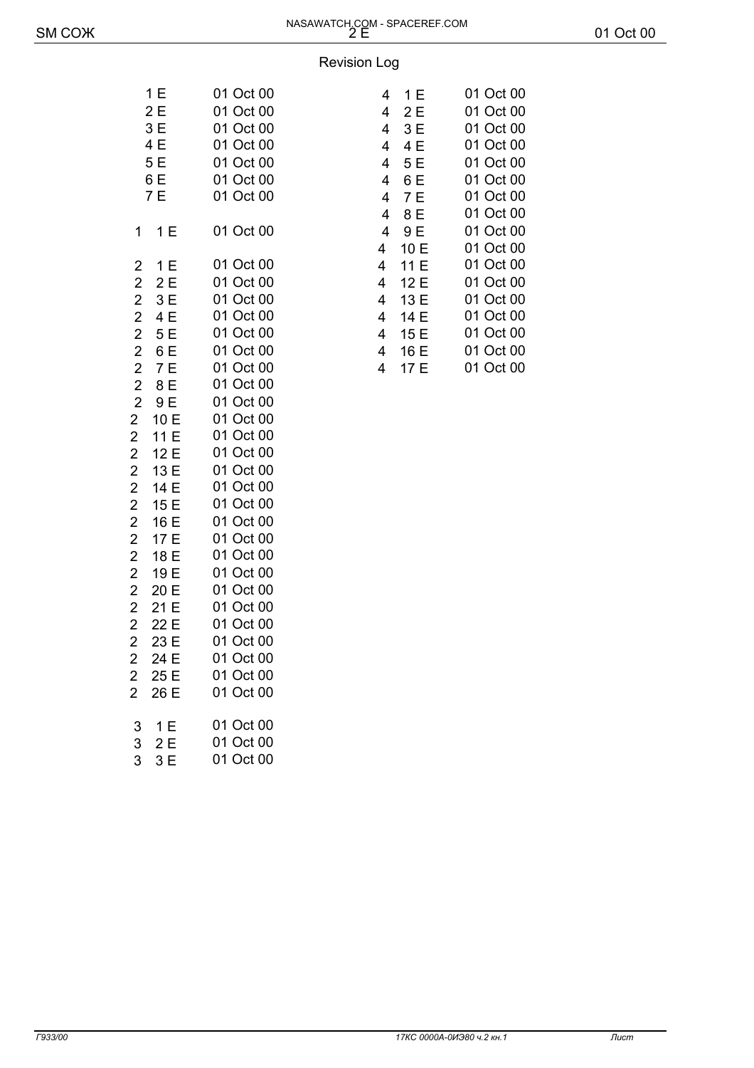#### Revision Log

| 1 E        | 01 Oct 00 | $4-1E$    | 01 Oct 00 |
|------------|-----------|-----------|-----------|
| 2E         | 01 Oct 00 | $4-2E$    | 01 Oct 00 |
| 3E         | 01 Oct 00 | $4 - 3E$  | 01 Oct 00 |
| 4 E        | 01 Oct 00 | $4 - 4E$  | 01 Oct 00 |
| 5 E        | 01 Oct 00 | $4 - 5E$  | 01 Oct 00 |
| 6 E        | 01 Oct 00 | $4 - 6E$  | 01 Oct 00 |
| 7 E        | 01 Oct 00 | $4 - 7E$  | 01 Oct 00 |
|            |           | $4 - 8E$  | 01 Oct 00 |
| $1 - 1E$   | 01 Oct 00 | $4 - 9E$  | 01 Oct 00 |
|            |           | $4 - 10E$ | 01 Oct 00 |
| $2 - 1E$   | 01 Oct 00 | $4 - 11E$ | 01 Oct 00 |
| $2 - 2E$   | 01 Oct 00 | $4 - 12E$ | 01 Oct 00 |
| $2 - 3E$   | 01 Oct 00 | $4 - 13E$ | 01 Oct 00 |
| $2-4E$     | 01 Oct 00 | $4 - 14E$ | 01 Oct 00 |
| $2 - 5E$   | 01 Oct 00 | $4 - 15E$ | 01 Oct 00 |
| $2 - 6E$   | 01 Oct 00 | $4 - 16E$ | 01 Oct 00 |
| $2 - 7E$   | 01 Oct 00 | $4 - 17E$ | 01 Oct 00 |
| $2 - 8E$   | 01 Oct 00 |           |           |
| $2 - 9E$   | 01 Oct 00 |           |           |
| $2 - 10E$  | 01 Oct 00 |           |           |
| $2 - 11E$  | 01 Oct 00 |           |           |
| $2 - 12E$  | 01 Oct 00 |           |           |
| 2-13 E     | 01 Oct 00 |           |           |
| 2-14 E     | 01 Oct 00 |           |           |
| $2 - 15E$  | 01 Oct 00 |           |           |
| $2 - 16E$  | 01 Oct 00 |           |           |
| 2-17 E     | 01 Oct 00 |           |           |
| 2-18 E     | 01 Oct 00 |           |           |
| 2-19 E     | 01 Oct 00 |           |           |
| 2-20 E     | 01 Oct 00 |           |           |
| 2-21 E     | 01 Oct 00 |           |           |
| $2 - 22E$  | 01 Oct 00 |           |           |
| $2 - 23 E$ | 01 Oct 00 |           |           |
| $2 - 24 E$ | 01 Oct 00 |           |           |
| 2-25 E     | 01 Oct 00 |           |           |
| 2—26 E     | 01 Oct 00 |           |           |
| $3 - 1E$   | 01 Oct 00 |           |           |
| $3 - 2E$   | 01 Oct 00 |           |           |
| $3 - 3E$   | 01 Oct 00 |           |           |

| 1E     | 01 Oct 00 | $4-1E$    | 01 Oct 00 |
|--------|-----------|-----------|-----------|
| 2 E    | 01 Oct 00 | $4-2E$    | 01 Oct 00 |
| 3 E    | 01 Oct 00 | $4 - 3E$  | 01 Oct 00 |
| 4 E    | 01 Oct 00 | $4 - 4E$  | 01 Oct 00 |
| 5 E    | 01 Oct 00 | $4 - 5E$  | 01 Oct 00 |
| 6 E    | 01 Oct 00 | $4 - 6E$  | 01 Oct 00 |
| 7 E    | 01 Oct 00 | $4 - 7E$  | 01 Oct 00 |
|        |           | $4 - 8E$  | 01 Oct 00 |
| $-1E$  | 01 Oct 00 | $4 - 9E$  | 01 Oct 00 |
|        |           | $4 - 10E$ | 01 Oct 00 |
| —1 E   | 01 Oct 00 | $4 - 11E$ | 01 Oct 00 |
| —2 E   | 01 Oct 00 | $4 - 12E$ | 01 Oct 00 |
| $-3 E$ | 01 Oct 00 | $4 - 13E$ | 01 Oct 00 |
| $-4E$  | 01 Oct 00 | $4 - 14E$ | 01 Oct 00 |
| —5 E   | 01 Oct 00 | $4 - 15E$ | 01 Oct 00 |
| —6 E   | 01 Oct 00 | $4 - 16E$ | 01 Oct 00 |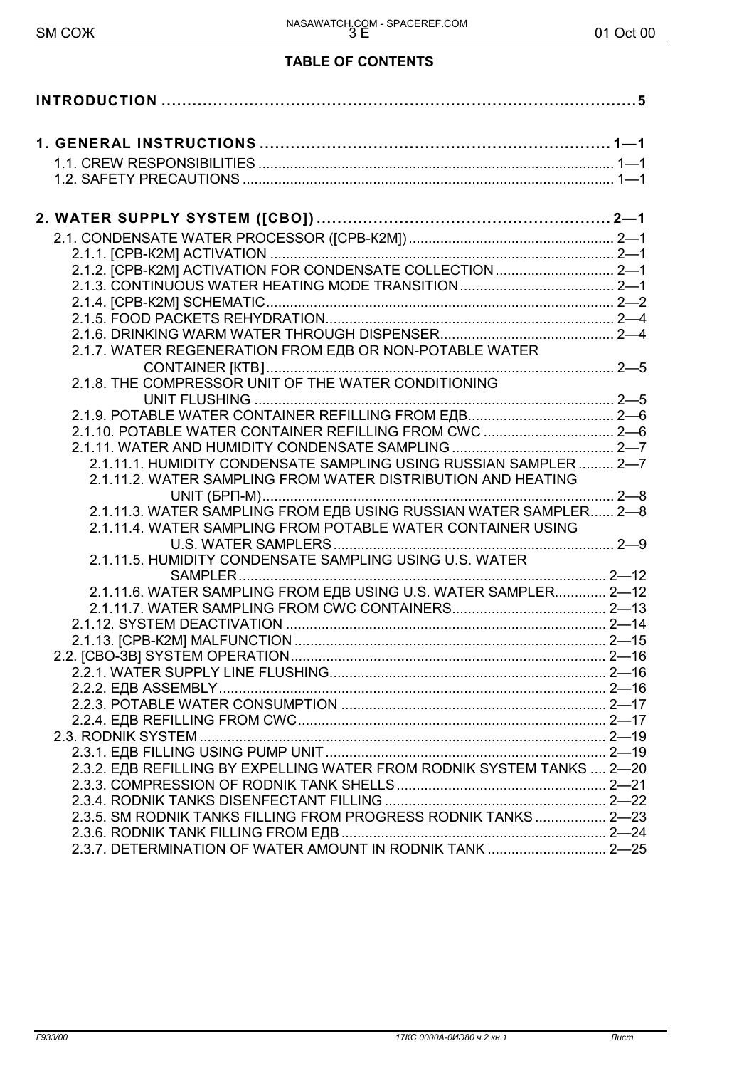## **TABLE OF CONTENTS**

| 2.1.7. WATER REGENERATION FROM EДВ OR NON-POTABLE WATER                |  |
|------------------------------------------------------------------------|--|
|                                                                        |  |
|                                                                        |  |
|                                                                        |  |
| 2.1.10. POTABLE WATER CONTAINER REFILLING FROM CWC  2-6                |  |
|                                                                        |  |
| 2.1.11.1. HUMIDITY CONDENSATE SAMPLING USING RUSSIAN SAMPLER  2-7      |  |
| 2.1.11.2. WATER SAMPLING FROM WATER DISTRIBUTION AND HEATING           |  |
|                                                                        |  |
| 2.1.11.3. WATER SAMPLING FROM EAB USING RUSSIAN WATER SAMPLER 2-8      |  |
| 2.1.11.4. WATER SAMPLING FROM POTABLE WATER CONTAINER USING            |  |
|                                                                        |  |
| 2.1.11.5. HUMIDITY CONDENSATE SAMPLING USING U.S. WATER                |  |
|                                                                        |  |
| 2.1.11.6. WATER SAMPLING FROM EAB USING U.S. WATER SAMPLER 2-12        |  |
|                                                                        |  |
|                                                                        |  |
|                                                                        |  |
|                                                                        |  |
|                                                                        |  |
|                                                                        |  |
|                                                                        |  |
|                                                                        |  |
|                                                                        |  |
| 2.3.2. EAB REFILLING BY EXPELLING WATER FROM RODNIK SYSTEM TANKS  2-20 |  |
|                                                                        |  |
| 2.3.5. SM RODNIK TANKS FILLING FROM PROGRESS RODNIK TANKS 2-23         |  |
|                                                                        |  |
| 2.3.7. DETERMINATION OF WATER AMOUNT IN RODNIK TANK  2-25              |  |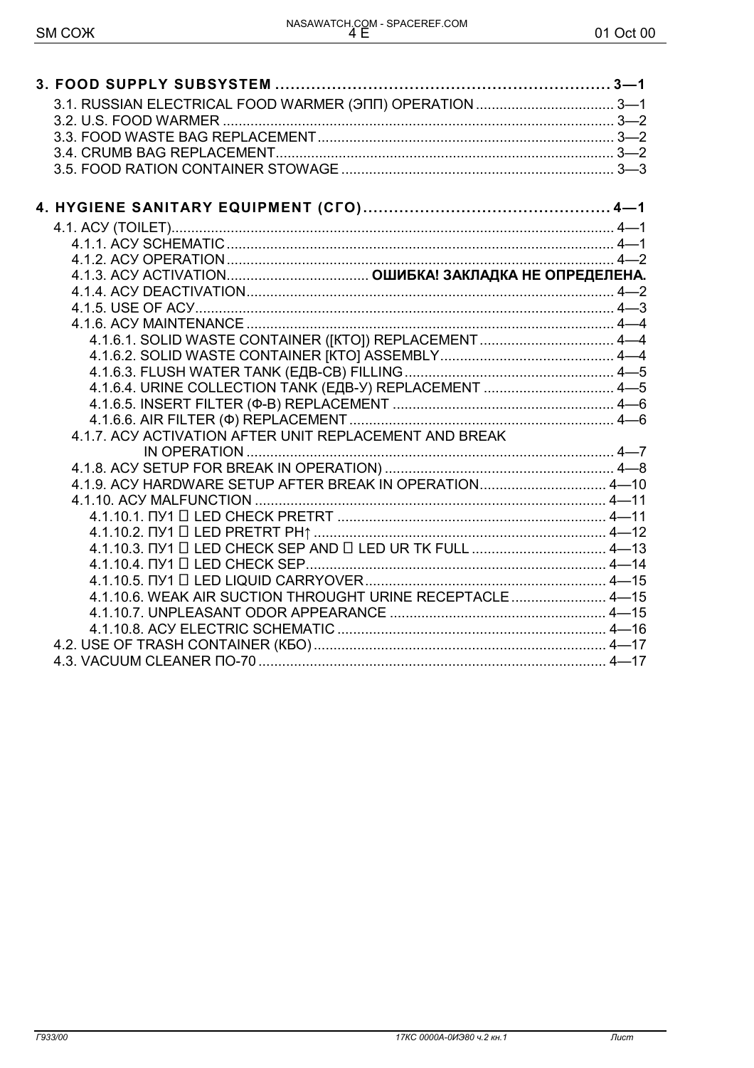| 4.1.6.1. SOLID WASTE CONTAINER ([KTO]) REPLACEMENT  4-4    |  |
|------------------------------------------------------------|--|
|                                                            |  |
|                                                            |  |
| 4.1.6.4. URINE COLLECTION TANK (ЕДВ-У) REPLACEMENT  4-5    |  |
|                                                            |  |
| 4.1.7. ACY ACTIVATION AFTER UNIT REPLACEMENT AND BREAK     |  |
|                                                            |  |
|                                                            |  |
| 4.1.9. ACY HARDWARE SETUP AFTER BREAK IN OPERATION 4-10    |  |
|                                                            |  |
|                                                            |  |
|                                                            |  |
|                                                            |  |
|                                                            |  |
|                                                            |  |
| 4.1.10.6. WEAK AIR SUCTION THROUGHT URINE RECEPTACLE  4-15 |  |
|                                                            |  |
|                                                            |  |
|                                                            |  |
|                                                            |  |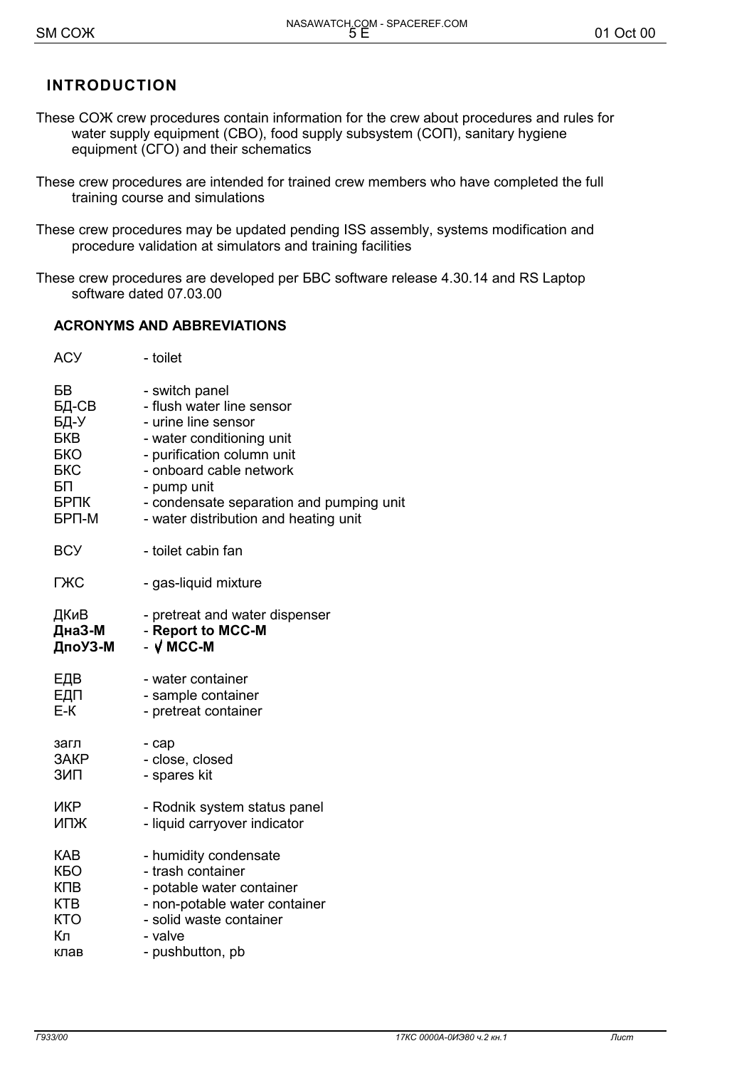## **INTRODUCTION**

- These COX crew procedures contain information for the crew about procedures and rules for water supply equipment (CBO), food supply subsystem (CON), sanitary hygiene equipment (CFO) and their schematics
- These crew procedures are intended for trained crew members who have completed the full training course and simulations
- These crew procedures may be updated pending ISS assembly, systems modification and procedure validation at simulators and training facilities
- These crew procedures are developed per BBC software release 4.30.14 and RS Laptop software dated 07.03.00

#### **ACRONYMS AND ABBREVIATIONS**

| <b>ACY</b> | - toilet                                 |
|------------|------------------------------------------|
| БВ         | - switch panel                           |
| БД-СВ      | - flush water line sensor                |
| БД-У       | - urine line sensor                      |
| <b>EKB</b> | - water conditioning unit                |
| <b>EKO</b> | - purification column unit               |
| <b>EKC</b> | - onboard cable network                  |
| БП         | - pump unit                              |
| БРПК       | - condensate separation and pumping unit |
| БРП-М      | - water distribution and heating unit    |
| <b>BCY</b> | - toilet cabin fan                       |
| ГЖС        | - gas-liquid mixture                     |
| ДКиВ       | - pretreat and water dispenser           |
| ДнаЗ-М     | - Report to MCC-M                        |
| ДпоУЗ-М    | $ \sqrt{$ MCC-M                          |
| ЕДВ        | - water container                        |
| ЕДП        | - sample container                       |
| E-K        | - pretreat container                     |
| загл       | - cap                                    |
| 3AKP       | - close, closed                          |
| ЗИП        | - spares kit                             |
| ИКР        | - Rodnik system status panel             |
| ИПЖ        | - liquid carryover indicator             |
| KAB        |                                          |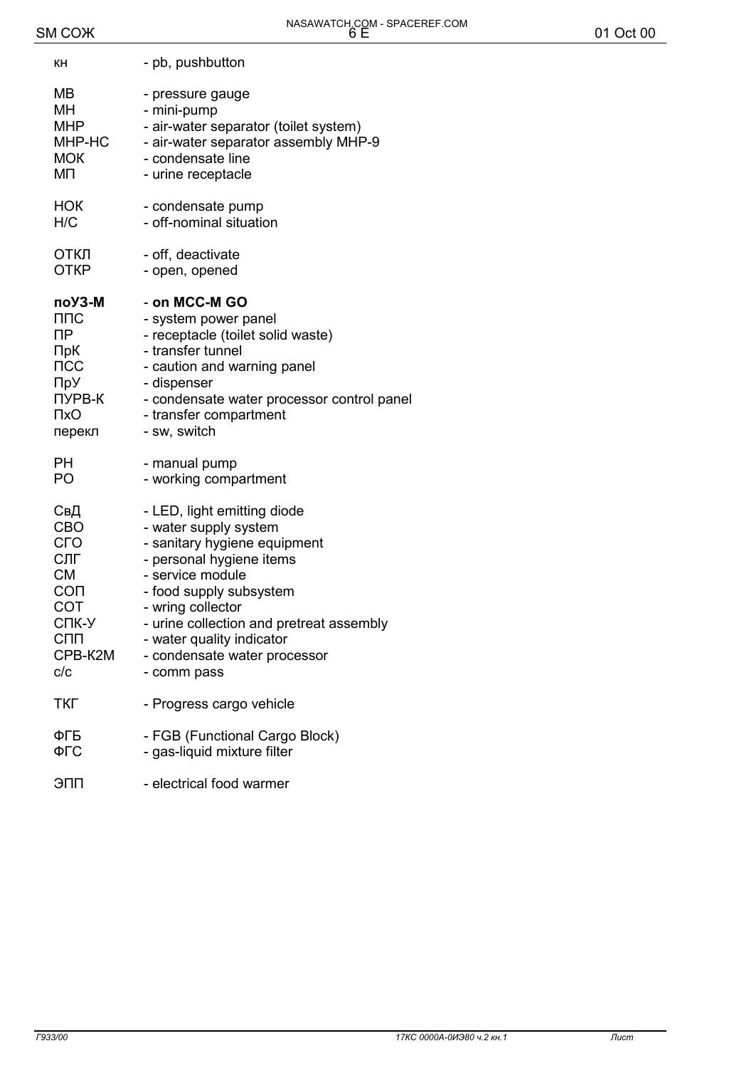| KН             | - pb, pushbutton                           |
|----------------|--------------------------------------------|
| MB             | - pressure gauge                           |
| <b>MH</b>      | - mini-pump                                |
| <b>MHP</b>     | - air-water separator (toilet system)      |
| MHP-HC         | - air-water separator assembly MHP-9       |
| <b>MOK</b>     | - condensate line                          |
| ΜП             | - urine receptacle                         |
| НОК            | - condensate pump                          |
| H/C            | - off-nominal situation                    |
| ОТКЛ           | - off, deactivate                          |
| <b>OTKP</b>    | - open, opened                             |
| поУЗ-М         | - on MCC-M GO                              |
| ППС            | - system power panel                       |
| ПP             | - receptacle (toilet solid waste)          |
| ПрК            | - transfer tunnel                          |
| $\sf{TCC}$     | - caution and warning panel                |
| ПрУ            | - dispenser                                |
| ПУРВ-К         | - condensate water processor control panel |
| $\mathsf{TxO}$ | - transfer compartment                     |
| перекл         | - sw, switch                               |
| PН             | - manual pump                              |
| PO             | - working compartment                      |
| СвД            | - LED, light emitting diode                |
| <b>CBO</b>     | - water supply system                      |
| СГО            | - sanitary hygiene equipment               |
| СЛГ            | - personal hygiene items                   |
| <b>CM</b>      | - service module                           |
| CON            | - food supply subsystem                    |
| COT            | - wring collector                          |
| СПК-У          | - urine collection and pretreat assembly   |
| <b>CNN</b>     | - water quality indicator                  |
| CPB-K2M        | - condensate water processor               |
| C/C            | - comm pass                                |
| ТКГ            | - Progress cargo vehicle                   |
| ФГБ            | - FGB (Functional Cargo Block)             |
| ФГС            | - gas-liquid mixture filter                |
| ЭПП            | - electrical food warmer                   |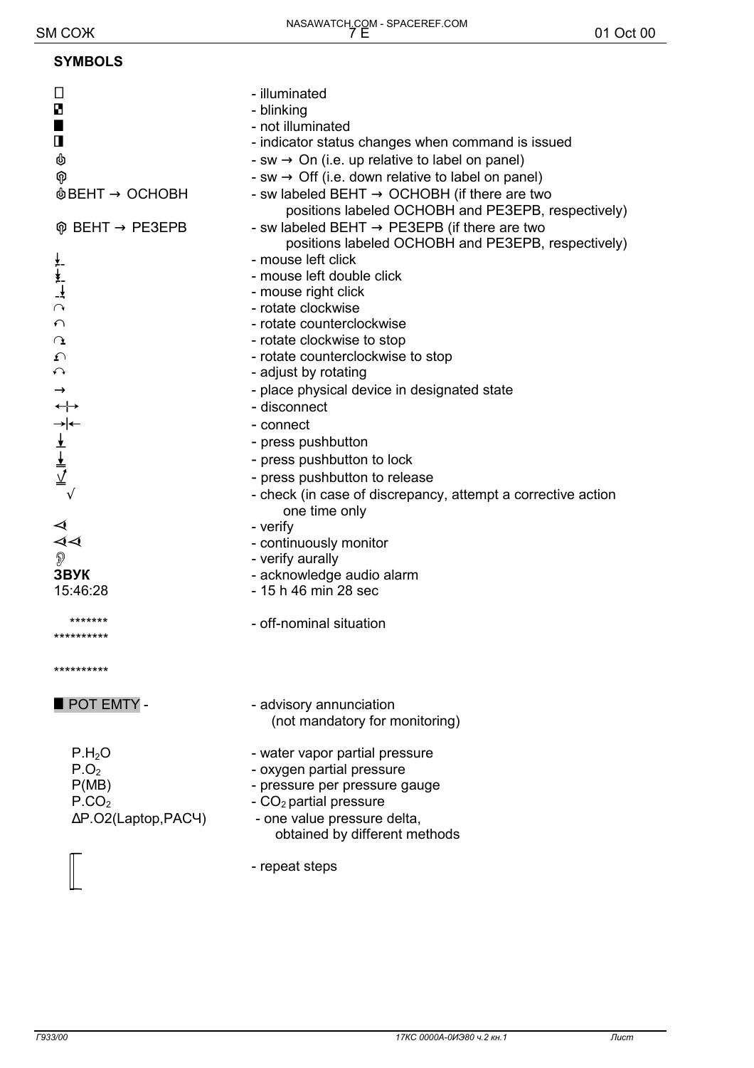#### **SYMBOLS**

| $\Box$<br>B<br>■<br>$\mathbf \Pi$<br>ရှာ<br>$\textcircled{b}$ BEHT $\rightarrow$ OCHOBH<br>$\hat{\varphi}$ BEHT $\rightarrow$ PE3EPB<br>$\supset \tau$<br>$\curvearrowleft$<br>↷<br>ᡗ<br>$\curvearrowleft$<br>$\rightarrow$<br>$\leftrightarrow$<br>$\frac{1}{\sqrt{2}}$<br>$\frac{1}{4}$<br>$\circledD$<br>3BYK<br>15:46:28 | - illuminated<br>- blinking<br>- not illuminated<br>- indicator status changes when command is issued<br>- sw $\rightarrow$ On (i.e. up relative to label on panel)<br>- sw $\rightarrow$ Off (i.e. down relative to label on panel)<br>- sw labeled BEHT $\rightarrow$ OCHOBH (if there are two<br>positions labeled OCHOBH and PE3EPB, respectively)<br>- sw labeled BEHT $\rightarrow$ PE3EPB (if there are two<br>positions labeled OCHOBH and PE3EPB, respectively)<br>- mouse left click<br>- mouse left double click<br>- mouse right click<br>- rotate clockwise<br>- rotate counterclockwise<br>- rotate clockwise to stop<br>- rotate counterclockwise to stop<br>- adjust by rotating<br>- place physical device in designated state<br>- disconnect<br>- connect<br>- press pushbutton<br>- press pushbutton to lock<br>- press pushbutton to release<br>- check (in case of discrepancy, attempt a corrective action<br>one time only<br>- verify<br>- continuously monitor<br>- verify aurally<br>- acknowledge audio alarm<br>- 15 h 46 min 28 sec |
|------------------------------------------------------------------------------------------------------------------------------------------------------------------------------------------------------------------------------------------------------------------------------------------------------------------------------|-------------------------------------------------------------------------------------------------------------------------------------------------------------------------------------------------------------------------------------------------------------------------------------------------------------------------------------------------------------------------------------------------------------------------------------------------------------------------------------------------------------------------------------------------------------------------------------------------------------------------------------------------------------------------------------------------------------------------------------------------------------------------------------------------------------------------------------------------------------------------------------------------------------------------------------------------------------------------------------------------------------------------------------------------------------------|
| *******<br>**********                                                                                                                                                                                                                                                                                                        | - off-nominal situation                                                                                                                                                                                                                                                                                                                                                                                                                                                                                                                                                                                                                                                                                                                                                                                                                                                                                                                                                                                                                                           |
| **********                                                                                                                                                                                                                                                                                                                   |                                                                                                                                                                                                                                                                                                                                                                                                                                                                                                                                                                                                                                                                                                                                                                                                                                                                                                                                                                                                                                                                   |
| POT EMTY -                                                                                                                                                                                                                                                                                                                   | - advisory annunciation<br>(not mandatory for monitoring)                                                                                                                                                                                                                                                                                                                                                                                                                                                                                                                                                                                                                                                                                                                                                                                                                                                                                                                                                                                                         |
| P.H <sub>2</sub> O<br>P.O <sub>2</sub><br>P(MB)<br>P.CO <sub>2</sub><br>∆P.O2(Laptop,PAC4)                                                                                                                                                                                                                                   | - water vapor partial pressure<br>- oxygen partial pressure<br>- pressure per pressure gauge<br>- CO <sub>2</sub> partial pressure<br>- one value pressure delta,<br>obtained by different methods<br>- repeat steps                                                                                                                                                                                                                                                                                                                                                                                                                                                                                                                                                                                                                                                                                                                                                                                                                                              |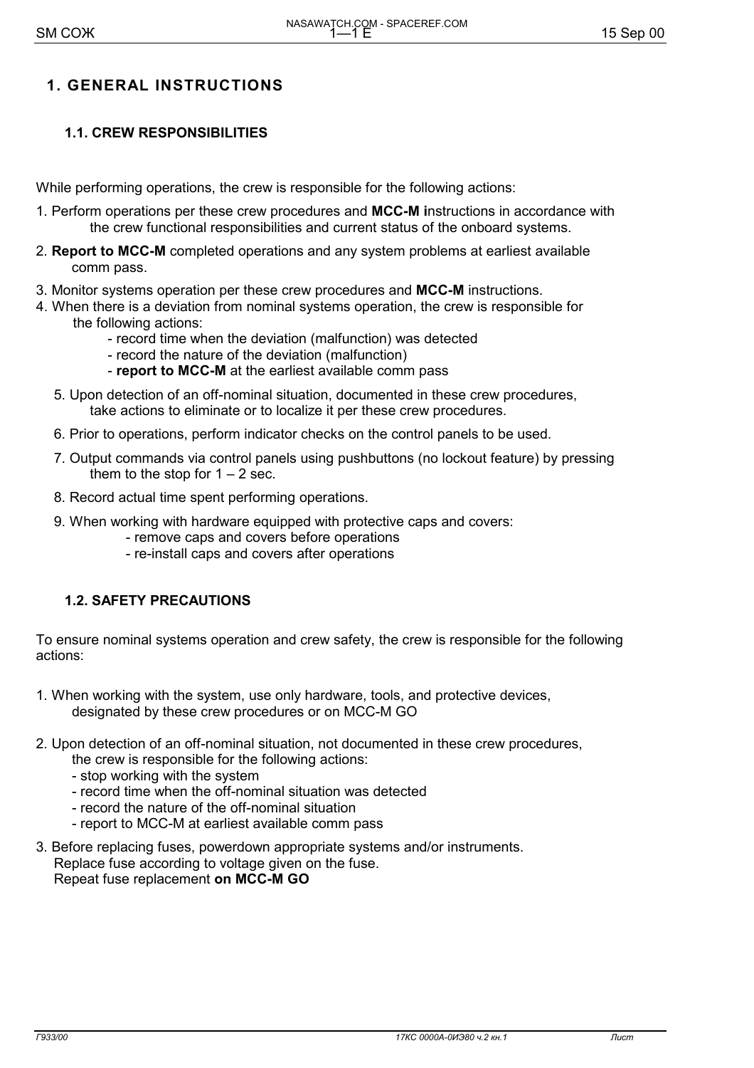## **1. GENERAL INSTRUCTIONS**

## **1.1. CREW RESPONSIBILITIES**

While performing operations, the crew is responsible for the following actions:

- 1. Perform operations per these crew procedures and **MCC-M i**nstructions in accordance with the crew functional responsibilities and current status of the onboard systems.
- 2. **Report to MCC-M** completed operations and any system problems at earliest available comm pass.
- 3. Monitor systems operation per these crew procedures and **MCC-M** instructions.
- 4. When there is a deviation from nominal systems operation, the crew is responsible for the following actions:
	- record time when the deviation (malfunction) was detected
	- record the nature of the deviation (malfunction)
	- **report to MCC-M** at the earliest available comm pass
	- 5. Upon detection of an off-nominal situation, documented in these crew procedures, take actions to eliminate or to localize it per these crew procedures.
	- 6. Prior to operations, perform indicator checks on the control panels to be used.
	- 7. Output commands via control panels using pushbuttons (no lockout feature) by pressing them to the stop for  $1 - 2$  sec.
	- 8. Record actual time spent performing operations.
	- 9. When working with hardware equipped with protective caps and covers:
		- remove caps and covers before operations
		- re-install caps and covers after operations

#### **1.2. SAFETY PRECAUTIONS**

To ensure nominal systems operation and crew safety, the crew is responsible for the following actions:

- 1. When working with the system, use only hardware, tools, and protective devices, designated by these crew procedures or on MCC-M GO
- 2. Upon detection of an off-nominal situation, not documented in these crew procedures,
	- the crew is responsible for the following actions:
	- stop working with the system
	- record time when the off-nominal situation was detected
	- record the nature of the off-nominal situation
	- report to MCC-M at earliest available comm pass
- 3. Before replacing fuses, powerdown appropriate systems and/or instruments. Replace fuse according to voltage given on the fuse. Repeat fuse replacement **on MCC-M GO**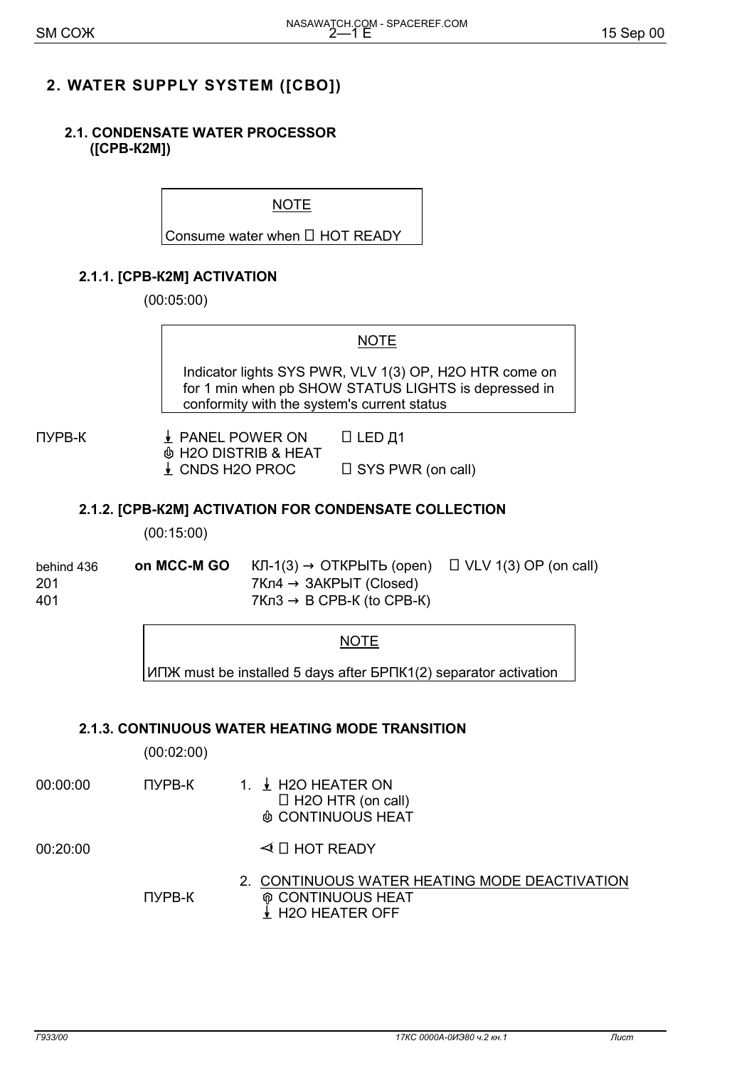## **2. WATER SUPPLY SYSTEM ([СВО])**

#### **2.1. CONDENSATE WATER PROCESSOR ([СРВ-К2М])**

NOTE

Consume water when  $\Box$  HOT READY

## **2.1.1. [СРВ-К2М] ACTIVATION**

(00:05:00)

#### NOTE

Indicator lights SYS PWR, VLV 1(3) OP, H2O HTR come on for 1 min when pb SHOW STATUS LIGHTS is depressed in conformity with the system's current status

ПУРВ-К <u>↓</u> PANEL POWER ON □ LED Д1 & H2O DISTRIB & HEAT  $\downarrow$  CNDS H2O PROC  $\Box$  SYS PWR (on call)

#### **2.1.2. [СРВ-К2М] ACTIVATION FOR CONDENSATE COLLECTION**

(00:15:00)

behind 436 **on MCC-M GO**  $K\text{II-1}(3) \rightarrow \text{OTKPBIT}$  (open)  $\Box$  VLV 1(3) OP (on call)  $201$  7Кл4 → ЗАКРЫТ (Closed)  $401$  7Kn3  $\rightarrow$  B CPB-K (to CPB-K)

#### NOTE

ИПЖ must be installed 5 days after БРПК1(2) separator activation

#### **2.1.3. CONTINUOUS WATER HEATING MODE TRANSITION**

|          | (00:02:00) |                                                                                                           |
|----------|------------|-----------------------------------------------------------------------------------------------------------|
| 00:00:00 | ПУРВ-К     | 1. $\frac{1}{2}$ H2O HEATER ON<br>$\Box$ H2O HTR (on call)<br><b>@ CONTINUOUS HEAT</b>                    |
| 00:20:00 |            | $\triangleleft$ $\Box$ HOT READY                                                                          |
|          | ПУРВ-К     | 2. CONTINUOUS WATER HEATING MODE DEACTIVATION<br><b>@ CONTINUOUS HEAT</b><br>$\frac{1}{2}$ H2O HEATER OFF |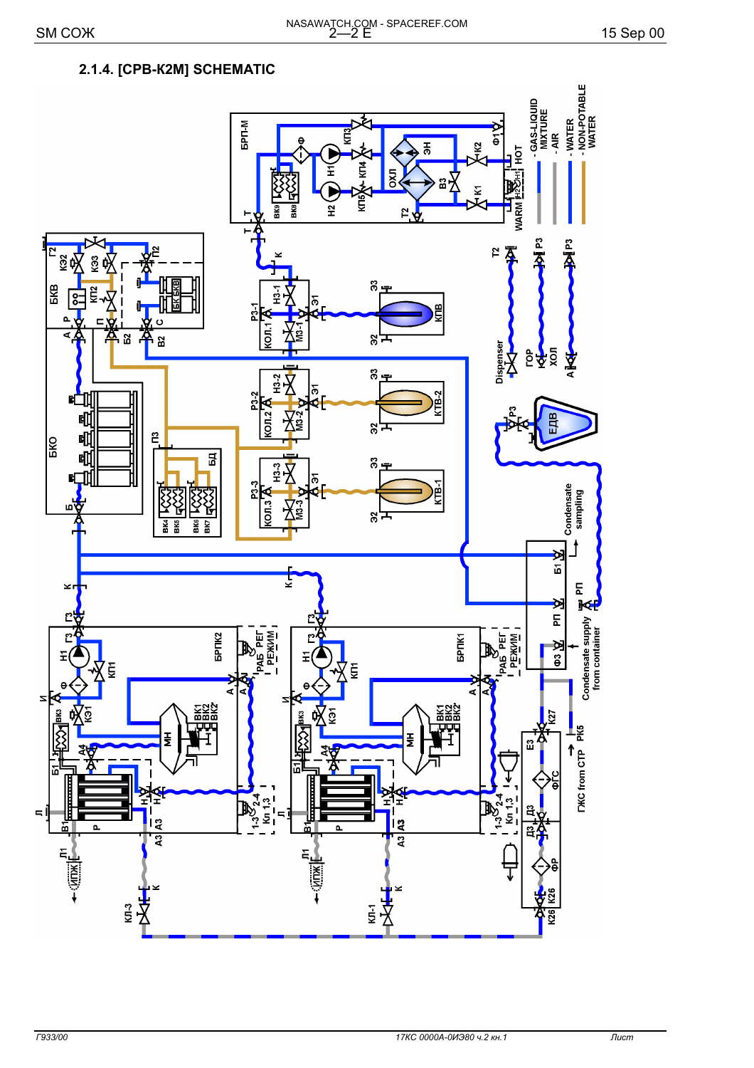- WATER<br>- NON-POTABLE<br>- WATER

-GAS-LIQUID<br>MIXTURE<br>- AIR

요

**BPN-M**  $\epsilon$  $\frac{1}{6}$ ğ Ê Ξ Ë 3K8 £ **P** ከ  $\tilde{c}$ 。<br>8<sub>王</sub> lg<br>Ig å  $\overline{5}$  $\Delta$  $OD.1$ ď ដ გ'⊧ ន្ល Dispenser  $\frac{3}{2}$  $\ddot{z} \Sigma$ ৯ P3-2 n<br>B 吧  $CDI<sub>2</sub>$ 唧 ġ გ'− 吼  $\tilde{E}$ 잃 唧  $\overline{B}$ 3 ⊡ Ÿ 7 è ្លឹ ė  $\overline{\mathbf{A}}$ <u> 상</u> ម្ព шÏ გ', **BK4** БKS SK6 **BK7** ×  $\mathbf{r}$ Ľ Ľ

## 2.1.4. [CPB-K2M] SCHEMATIC

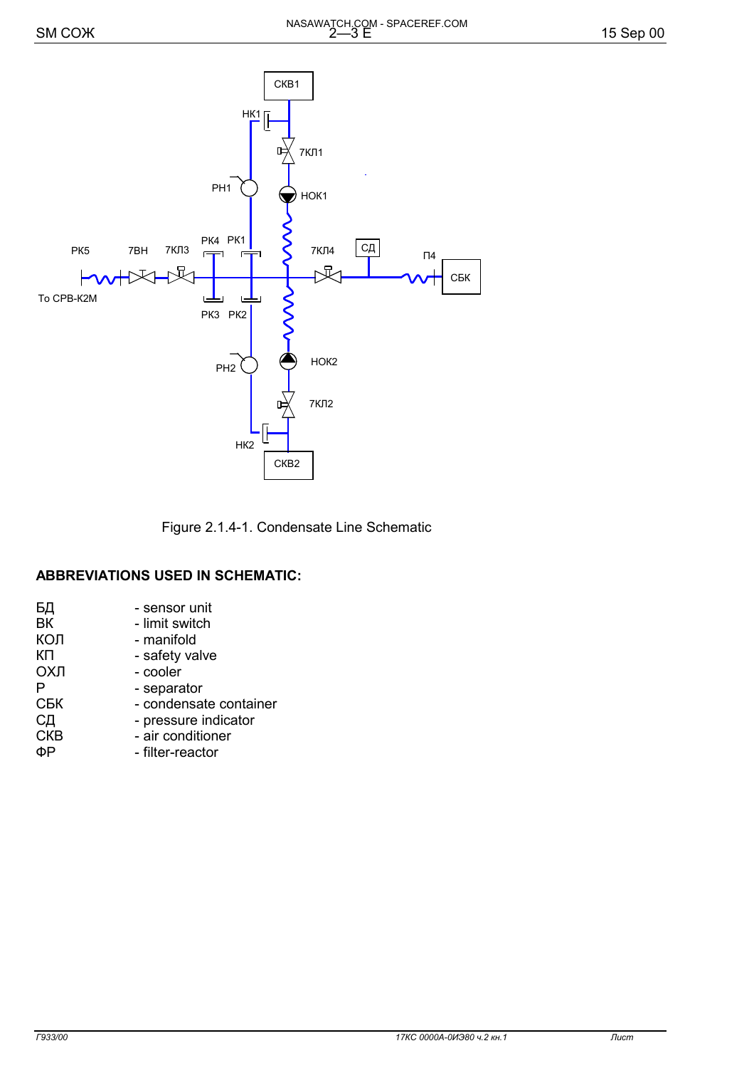

Figure 2.1.4-1. Condensate Line Schematic

#### **ABBREVIATIONS USED IN SCHEMATIC:**

| БД         | - sensor unit          |
|------------|------------------------|
| BК         | - limit switch         |
| КОЛ        | - manifold             |
| КΠ         | - safety valve         |
| ОХЛ        | - cooler               |
| P          | - separator            |
| СБК        | - condensate container |
| СД         | - pressure indicator   |
| <b>CKB</b> | - air conditioner      |
|            | - filter-reactor       |
|            |                        |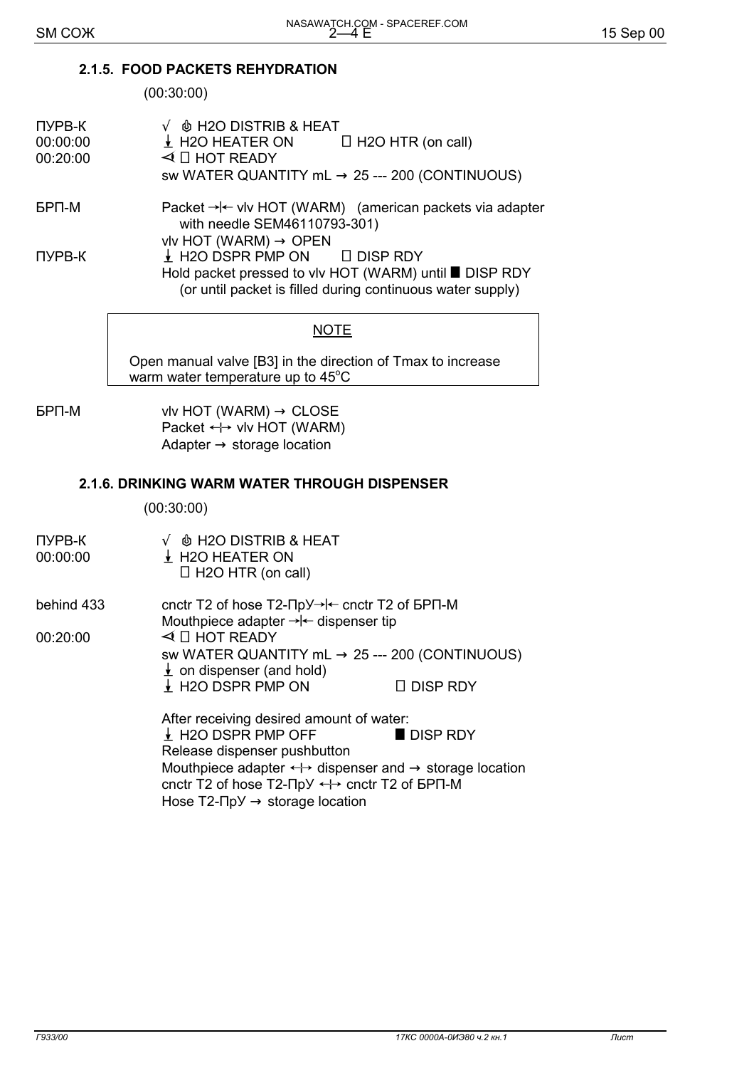#### **2.1.5. FOOD PACKETS REHYDRATION**

(00:30:00)

| <b>ПУРВ-К</b><br>00:00:00<br>00:20:00 | $\sqrt{\phi}$ H2O DISTRIB & HEAT<br>$\downarrow$ H2O HEATER ON<br>$\Box$ H2O HTR (on call)<br>$\triangleleft$ $\Box$ HOT READY<br>sw WATER QUANTITY mL $\rightarrow$ 25 --- 200 (CONTINUOUS) |
|---------------------------------------|----------------------------------------------------------------------------------------------------------------------------------------------------------------------------------------------|
| <b>GPN-M</b>                          | Packet $\rightarrow$ $\leftarrow$ viv HOT (WARM) (american packets via adapter<br>with needle SEM46110793-301)<br>vlv HOT (WARM) $\rightarrow$ OPEN                                          |

 $I$  H2O DSPR PMP ON  $I$  DISP RDY Hold packet pressed to vlv HOT (WARM) until **DISP RDY** (or until packet is filled during continuous water supply)

## **NOTE**

Open manual valve [В3] in the direction of Тmax to increase warm water temperature up to 45 $^{\circ}$ C

 $FPT-M$  vlv HOT (WARM)  $\rightarrow$  CLOSE Packet  $\leftrightarrow$  vlv HOT (WARM) Adapter  $\rightarrow$  storage location

## **2.1.6. DRINKING WARM WATER THROUGH DISPENSER**

(00:30:00)

| ПУРВ-К<br>00:00:00 | $\sqrt{\phi}$ H2O DISTRIB & HEAT<br>H2O HEATER ON<br>$\Box$ H2O HTR (on call)                                                                                                                                                 |                 |
|--------------------|-------------------------------------------------------------------------------------------------------------------------------------------------------------------------------------------------------------------------------|-----------------|
| behind 433         | cnctr T2 of hose $T2$ - $\Pi pY \rightarrow \leftarrow$ cnctr T2 of $BPT$ -M<br>Mouthpiece adapter $\rightarrow$ $\leftarrow$ dispenser tip                                                                                   |                 |
| 00:20:00           | $\triangleleft$ $\Box$ HOT READY                                                                                                                                                                                              |                 |
|                    | sw WATER QUANTITY mL $\rightarrow$ 25 --- 200 (CONTINUOUS)<br>$\frac{1}{2}$ on dispenser (and hold)                                                                                                                           |                 |
|                    | $\downarrow$ H2O DSPR PMP ON                                                                                                                                                                                                  | $\Box$ DISP RDY |
|                    | After receiving desired amount of water:                                                                                                                                                                                      |                 |
|                    | $\downarrow$ H2O DSPR PMP OFF                                                                                                                                                                                                 | DISP RDY        |
|                    | Release dispenser pushbutton                                                                                                                                                                                                  |                 |
|                    | Mouthpiece adapter $\leftrightarrow$ dispenser and $\rightarrow$ storage location<br>cnctr T2 of hose T2- $\Pi$ p $\vee$ $\leftrightarrow$ cnctr T2 of $\Box$ P $\Pi$ -M<br>Hose $T2$ - $\Pi pY \rightarrow$ storage location |                 |
|                    |                                                                                                                                                                                                                               |                 |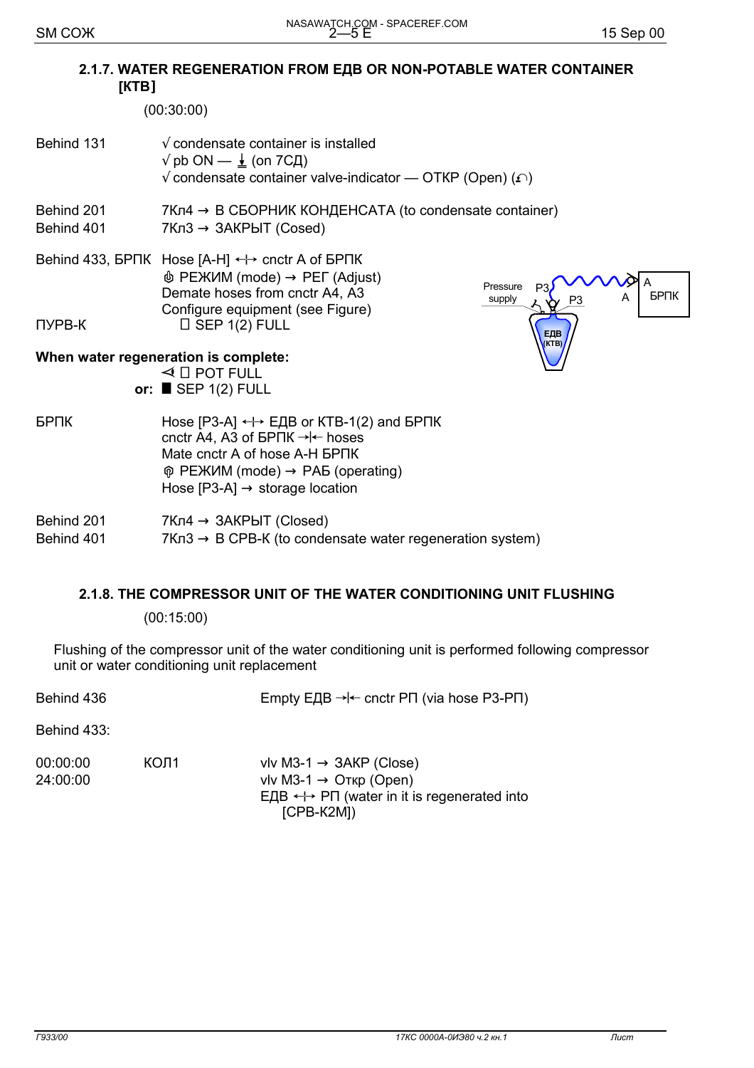#### 2.1.7. WATER REGENERATION FROM EAB OR NON-POTABLE WATER CONTAINER  $[KTB]$

 $(00:30:00)$ 

- Behind 131  $\sqrt{\ }$  condensate container is installed  $\sqrt{p}$  pb ON —  $\frac{1}{2}$  (on 7C $\pi$ )  $\sqrt{ }$  condensate container valve-indicator — OTKP (Open) ( $\Omega$ )
- Behind 201  $7Kn4 \rightarrow B$  СБОРНИК КОНДЕНСАТА (to condensate container) Behind 401  $7Kn3 \rightarrow 3AKPbIT (Cosed)$
- Behind 433, БРПК Hose [A-H] ← cnctr A of БРПК  $\mathbf{\Phi}$  РЕЖИМ (mode)  $\rightarrow$  РЕГ (Adjust) Demate hoses from cnctr A4, A3 Configure equipment (see Figure) **ПУРВ-К**  $\Box$  SEP 1(2) FULL



#### When water regeneration is complete:

 $\triangleleft$   $\Box$  POT FULL or:  $\blacksquare$  SEP 1(2) FULL

**БРПК** Hose [P3-A]  $\leftrightarrow$  ЕДВ or KTB-1(2) and БРПК cnctr A4. A3 of BPΠK → l← hoses Mate cnctr A of hose A-H 5PNK  $\hat{\varphi}$  РЕЖИМ (mode)  $\rightarrow$  РАБ (operating) Hose  $[P3-A] \rightarrow$  storage location

| Behind 201 | $7$ Кл4 $\rightarrow$ ЗАКРЫТ (Closed)                                |
|------------|----------------------------------------------------------------------|
| Behind 401 | $7Kn3 \rightarrow B$ CPB-K (to condensate water regeneration system) |

## 2.1.8. THE COMPRESSOR UNIT OF THE WATER CONDITIONING UNIT FLUSHING

 $(00:15:00)$ 

Flushing of the compressor unit of the water conditioning unit is performed following compressor unit or water conditioning unit replacement

| Behind 436 | Empty EДB $\rightarrow$ - cnctr PΠ (via hose P3-PΠ) |
|------------|-----------------------------------------------------|
|            |                                                     |

Behind 433:

| 00:00:00 | KON1 | vlv M3-1 $\rightarrow$ 3AKP (Close)                                        |
|----------|------|----------------------------------------------------------------------------|
| 24:00:00 |      | vlv M3-1 $\rightarrow$ Orkp (Open)                                         |
|          |      | $E \perp B \leftrightarrow \neg P \sqcap$ (water in it is regenerated into |
|          |      | [CPB-K2M])                                                                 |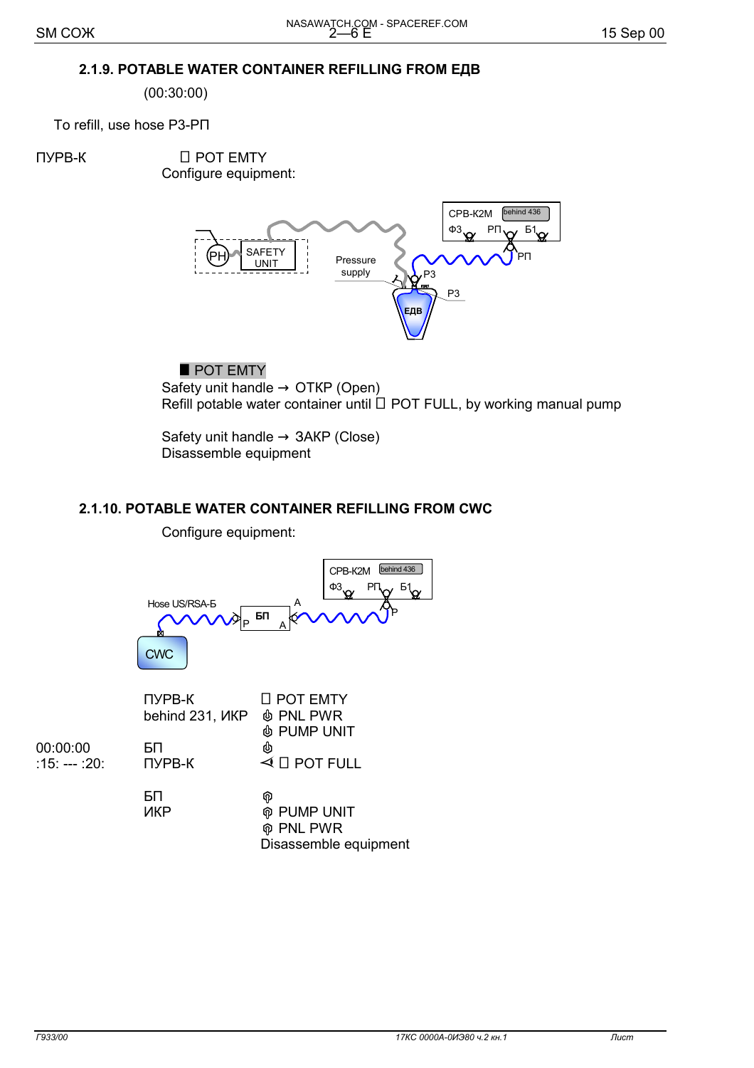## 2.1.9. POTABLE WATER CONTAINER REFILLING FROM EДВ

 $(00:30:00)$ 

To refill, use hose P3-PN

**ПУРВ-К** 

□ POT EMTY Configure equipment:



## POT EMTY

Safety unit handle  $\rightarrow$  OTKP (Open) Refill potable water container until □ POT FULL, by working manual pump

Safety unit handle  $\rightarrow$  3AKP (Close) Disassemble equipment

## 2.1.10. POTABLE WATER CONTAINER REFILLING FROM CWC

Configure equipment:



|               | TIYPB-K<br>behind 231, <i>VKP</i> $\phi$ PNL PWR | LI POT EMIY                     |
|---------------|--------------------------------------------------|---------------------------------|
|               |                                                  | <b><i>I</i></b> PUMP UNIT       |
| 00:00:00      | БП                                               | ♨                               |
| :15: --- :20: | <b>ПУРВ-К</b>                                    | $\triangleleft$ $\Box$ POT FULL |
|               |                                                  |                                 |
|               | БП                                               | ଜ                               |
|               | ИКР                                              | <b>M</b> PUMP UNIT              |
|               |                                                  | <b>@ PNL PWR</b>                |
|               |                                                  | Disassemble equipment           |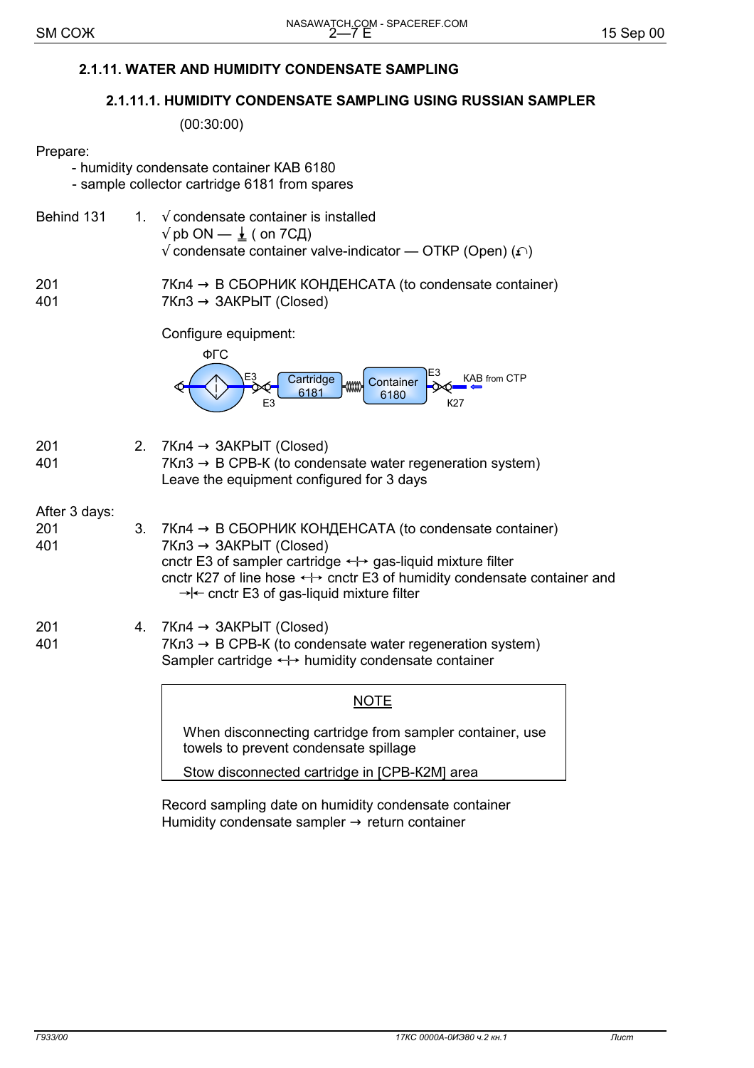## **2.1.11. WATER AND HUMIDITY CONDENSATE SAMPLING**

#### **2.1.11.1. HUMIDITY CONDENSATE SAMPLING USING RUSSIAN SAMPLER**

(00:30:00)

#### Prepare:

|                             |    | - humidity condensate container KAB 6180<br>- sample collector cartridge 6181 from spares                                                                                                                                                                                                                                |
|-----------------------------|----|--------------------------------------------------------------------------------------------------------------------------------------------------------------------------------------------------------------------------------------------------------------------------------------------------------------------------|
| Behind 131                  | 1. | $\sqrt{\ }$ condensate container is installed<br>$\sqrt{p}$ pb ON — $\frac{1}{2}$ ( on 7CД)<br>$\sqrt{ }$ condensate container valve-indicator — OTKP (Open) ( $\Omega$ )                                                                                                                                                |
| 201<br>401                  |    | $7K\pi4 \rightarrow B$ СБОРНИК КОНДЕНСАТА (to condensate container)<br>$7Kn3 \rightarrow 3AKPbIT$ (Closed)                                                                                                                                                                                                               |
|                             |    | Configure equipment:<br>ФГС<br><b>KAB from CTP</b><br>Cartridge<br>Container<br>$-$ ww<br>6181<br>6180<br>E <sub>3</sub><br>К27                                                                                                                                                                                          |
| 201<br>401                  | 2. | $7Kn4 \rightarrow 3AKPbIT$ (Closed)<br>$7Kn3 \rightarrow B$ CPB-K (to condensate water regeneration system)<br>Leave the equipment configured for 3 days                                                                                                                                                                 |
| After 3 days:<br>201<br>401 | 3. | 7Кл4 $\rightarrow$ В СБОРНИК КОНДЕНСАТА (to condensate container)<br>$7Kn3 \rightarrow 3AKPbIT$ (Closed)<br>cnctr E3 of sampler cartridge ← + gas-liquid mixture filter<br>cnctr K27 of line hose $\leftrightarrow$ cnctr E3 of humidity condensate container and<br>$\rightarrow$ cnctr E3 of gas-liquid mixture filter |
| 201<br>401                  | 4. | $7Kn4 \rightarrow 3AKPbIT$ (Closed)<br>$7K\pi3 \rightarrow B$ CPB-K (to condensate water regeneration system)<br>Sampler cartridge $\leftrightarrow$ humidity condensate container                                                                                                                                       |
|                             |    | <b>NOTE</b>                                                                                                                                                                                                                                                                                                              |
|                             |    | When disconnecting cartridge from sampler container, use<br>towels to prevent condensate spillage                                                                                                                                                                                                                        |
|                             |    | Stow disconnected cartridge in [CPB-K2M] area                                                                                                                                                                                                                                                                            |

 Record sampling date on humidity condensate container Humidity condensate sampler  $\rightarrow$  return container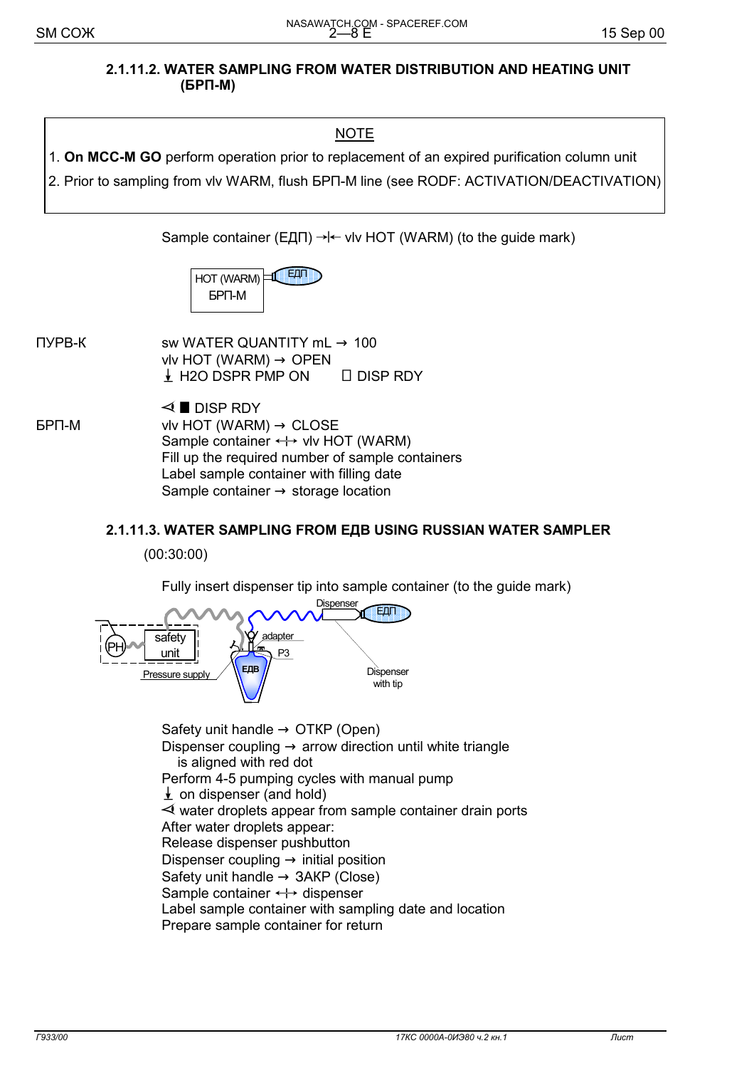#### **2.1.11.2. WATER SAMPLING FROM WATER DISTRIBUTION AND HEATING UNIT (БРП-М)**

1. **On MCC-M GO** perform operation prior to replacement of an expired purification column unit 2. Prior to sampling from vlv WARM, flush БРП-М line (see RODF: ACTIVATION/DEACTIVATION)

Sample container (ЕДП)  $\rightarrow$   $\leftarrow$  vlv HOT (WARM) (to the guide mark)

| HOT (WARM) | ey bi bi i |
|------------|------------|
| БРП-М      |            |

 $\Box$  TYPB-K sw WATER QUANTITY mL  $\rightarrow$  100 vlv HOT (WARM)  $\rightarrow$  OPEN  $\downarrow$  H2O DSPR PMP ON  $\Box$  DISP RDY

 $\triangleleft$  DISP RDY  $FPT-M$  vlv HOT (WARM)  $\rightarrow$  CLOSE Sample container  $\leftrightarrow$  vlv HOT (WARM) Fill up the required number of sample containers Label sample container with filling date Sample container  $\rightarrow$  storage location

#### **2.1.11.3. WATER SAMPLING FROM ЕДВ USING RUSSIAN WATER SAMPLER**

(00:30:00)

Fully insert dispenser tip into sample container (to the guide mark)



Safety unit handle  $\rightarrow$  OTKP (Open) Dispenser coupling  $\rightarrow$  arrow direction until white triangle is aligned with red dot Perform 4-5 pumping cycles with manual pump  $\frac{1}{2}$  on dispenser (and hold)  $\prec$  water droplets appear from sample container drain ports After water droplets appear: Release dispenser pushbutton Dispenser coupling  $\rightarrow$  initial position Safety unit handle  $\rightarrow$  3AKP (Close) Sample container  $\leftrightarrow$  dispenser Label sample container with sampling date and location Prepare sample container for return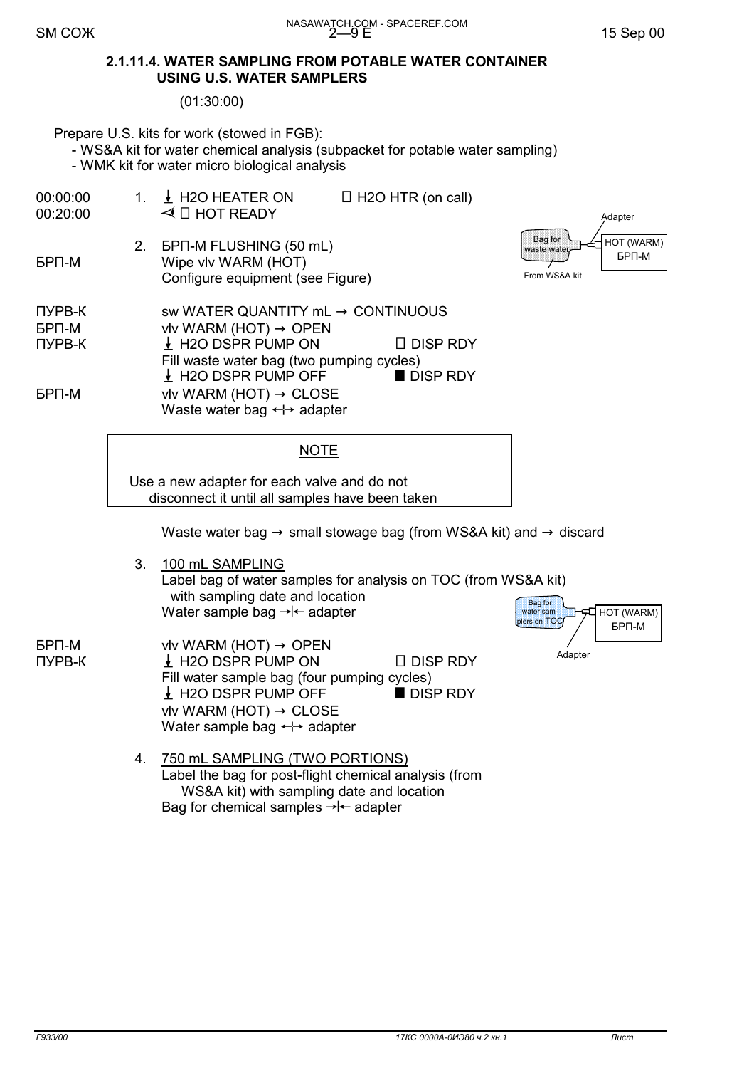#### **2.1.11.4. WATER SAMPLING FROM POTABLE WATER CONTAINER USING U.S. WATER SAMPLERS**

(01:30:00)

Prepare U.S. kits for work (stowed in FGB):

- WS&A kit for water chemical analysis (subpacket for potable water sampling)

- WMK kit for water micro biological analysis

 $00:00:00$  1.  $\frac{1}{2}$  H2O HEATER ON  $\Box$  H2O HTR (on call)  $00:20:00$   $\leq$   $\Box$  HOT READY 2. БРП-М FLUSHING (50 mL) БРП-М Wipe vlv WARM (HOT) Configure equipment (see Figure)  $\Box$  TYPB-K sw WATER QUANTITY mL  $\rightarrow$  CONTINUOUS  $BPT-M$  vlv WARM (HOT)  $\rightarrow$  OPEN  $\neg$  TYPB-K  $\qquad \qquad \qquad$  H2O DSPR PUMP ON  $\Box$  DISP RDY Fill waste water bag (two pumping cycles)  $\frac{1}{2}$  H2O DSPR PUMP OFF **DISP RDY**  $FPT-M$  vlv WARM (HOT)  $\rightarrow$  CLOSE Waste water bag  $\leftrightarrow$  adapter БРП-М HOT (WARM) Adapter  $\Box$  Bag for  $\Box$ waste water From WS&A kit

#### **NOTE**

Use a new adapter for each valve and do not disconnect it until all samples have been taken

Waste water bag  $\rightarrow$  small stowage bag (from WS&A kit) and  $\rightarrow$  discard

 3. 100 mL SAMPLING Label bag of water samples for analysis on TOC (from WS&A kit) with sampling date and location Water sample bag  $\rightarrow \leftarrow$  adapter

 $\begin{array}{ll}\n\mathsf{BPI-M} & \mathsf{viv} \mathsf{WARM} \ (\mathsf{HOT}) \rightarrow \mathsf{OPEN} \\
\mathsf{HYPB-K} & \quad \downarrow \mathsf{H2O} \ \mathsf{DSPR} \ \mathsf{PUMP} \ \mathsf{ON}\n\end{array}$ ↓ H2O DSPR PUMP ON I DISP RDY Fill water sample bag (four pumping cycles)  $\downarrow$  H2O DSPR PUMP OFF  $\parallel$  DISP RDY vlv WARM (HOT)  $\rightarrow$  CLOSE Water sample bag  $\leftrightarrow$  adapter



 4. 750 mL SAMPLING (TWO PORTIONS) Label the bag for post-flight chemical analysis (from WS&A kit) with sampling date and location Bag for chemical samples  $\rightarrow \leftarrow$  adapter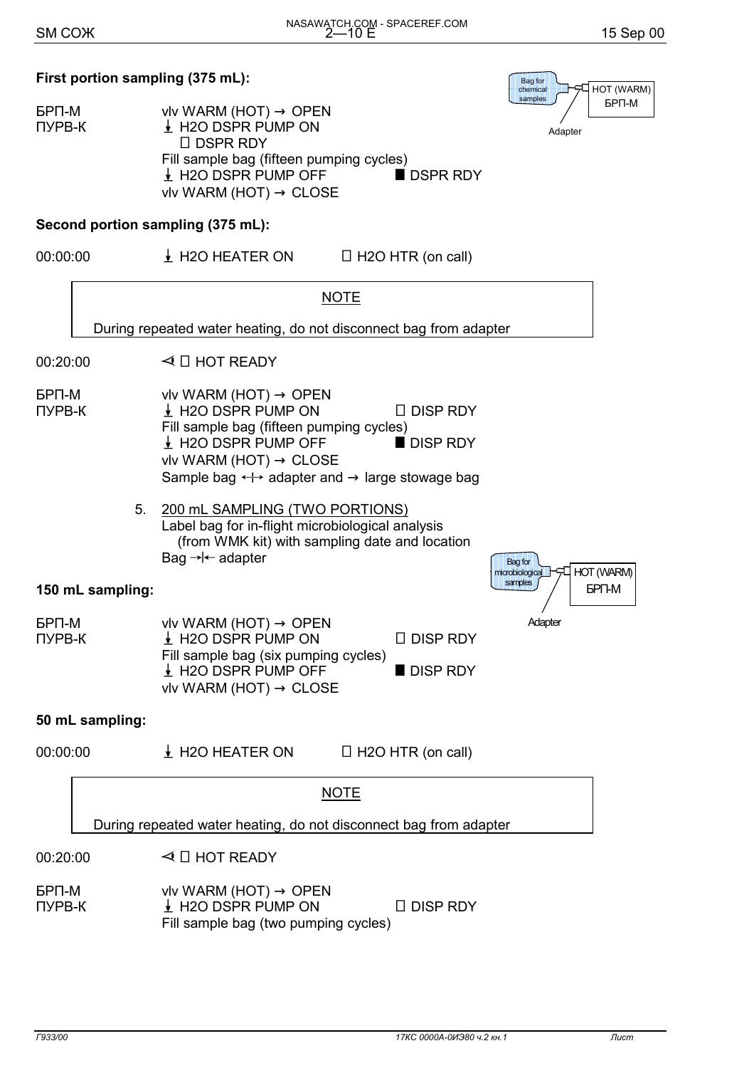БРП-М HOT (WARM)

Adapter

**CONTRACTOR CONTRACTOR chemical THE CONSTRUCTION CONSTRUCTION** Bag for samples

## **First portion sampling (375 mL):**

 $F = F \cup \text{OPT}$  viv WARM (HOT)  $\rightarrow$  OPEN  $\n **IPB-K**\n **PRODSPR PUMP ON**$ □ DSPR RDY Fill sample bag (fifteen pumping cycles)  $\frac{1}{2}$  H2O DSPR PUMP OFF BOSPR RDY vlv WARM (HOT)  $\rightarrow$  CLOSE

## **Second portion sampling (375 mL):**

 $00:00:00$   $\downarrow$  H2O HEATER ON  $\Box$  H2O HTR (on call)



#### **50 mL sampling:**

| 00:00:00               | $\big\downarrow$ H2O HEATER ON                                      | $\Box$ H2O HTR (on call) |
|------------------------|---------------------------------------------------------------------|--------------------------|
|                        |                                                                     | <b>NOTE</b>              |
|                        | During repeated water heating, do not disconnect bag from adapter   |                          |
| 00:20:00               | $\triangleleft$ $\Box$ HOT READY                                    |                          |
| <b>GPN-M</b><br>ПУРВ-К | vlv WARM (HOT) $\rightarrow$ OPEN<br>$\frac{1}{2}$ H2O DSPR PUMP ON | <b>DISP RDY</b>          |

Fill sample bag (two pumping cycles)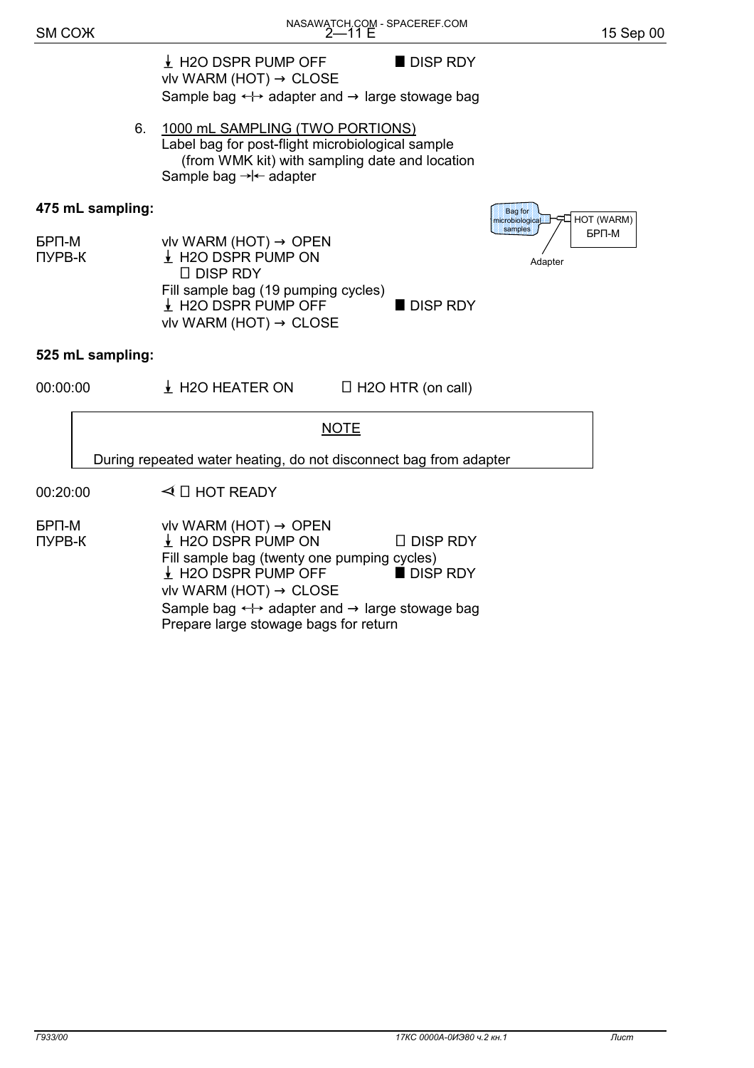$\frac{1}{2}$  H2O DSPR PUMP OFF **DISP RDY** vlv WARM (HOT)  $\rightarrow$  CLOSE Sample bag  $\longleftrightarrow$  adapter and  $\rightarrow$  large stowage bag

 6. 1000 mL SAMPLING (TWO PORTIONS) Label bag for post-flight microbiological sample (from WMK kit) with sampling date and location Sample bag  $\rightarrow$   $\leftarrow$  adapter

#### **475 mL sampling:**





#### **525 mL sampling:**

 $00:00:00$   $\downarrow$  H2O HEATER ON  $\Box$  H2O HTR (on call)

**NOTE** 

During repeated water heating, do not disconnect bag from adapter

 $00:20:00$   $\triangleleft$   $\Box$  HOT READY

 $F = F \cup \text{OPT}$  viv WARM (HOT)  $\rightarrow$  OPEN  $\Box$  DISP RDY  $\bot$  H2O DSPR PUMP ON  $\Box$  DISP RDY Fill sample bag (twenty one pumping cycles)  $\downarrow$  H2O DSPR PUMP OFF **DISP RDY** vlv WARM (HOT)  $\rightarrow$  CLOSE Sample bag  $\leftrightarrow$  adapter and  $\rightarrow$  large stowage bag Prepare large stowage bags for return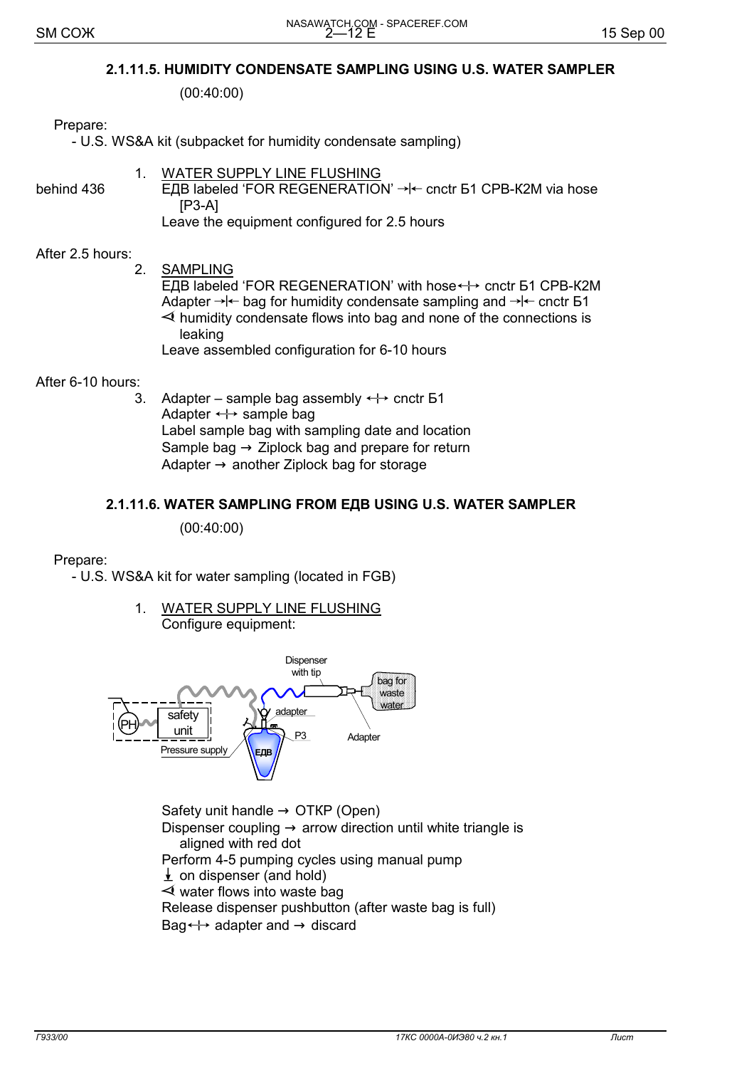#### **2.1.11.5. HUMIDITY CONDENSATE SAMPLING USING U.S. WATER SAMPLER**

(00:40:00)

#### Prepare:

- U.S. WS&A kit (subpacket for humidity condensate sampling)

# 1. WATER SUPPLY LINE FLUSHING

behind 436 **ELB** labeled 'FOR REGENERATION'  $\rightarrow$  k cnctr **61 CPB-K2M** via hose [Р3-А] Leave the equipment configured for 2.5 hours

#### After 2.5 hours:

 2. SAMPLING ЕДВ labeled 'FOR REGENERATION' with hose ← cnctr Б1 СРВ-К2М Adapter  $\rightarrow \leftarrow$  bag for humidity condensate sampling and  $\rightarrow \leftarrow$  cnctr 51  $\prec$  humidity condensate flows into bag and none of the connections is leaking Leave assembled configuration for 6-10 hours

After 6-10 hours:

3. Adapter – sample bag assembly  $\leftrightarrow$  cnctr 51 Adapter  $\leftrightarrow$  sample bag Label sample bag with sampling date and location Sample bag  $\rightarrow$  Ziplock bag and prepare for return Adapter  $\rightarrow$  another Ziplock bag for storage

#### **2.1.11.6. WATER SAMPLING FROM ЕДВ USING U.S. WATER SAMPLER**

(00:40:00)

#### Prepare:

- U.S. WS&A kit for water sampling (located in FGB)

1. WATER SUPPLY LINE FLUSHING Configure equipment:



Safety unit handle  $\rightarrow$  OTKP (Open) Dispenser coupling  $\rightarrow$  arrow direction until white triangle is aligned with red dot Perform 4-5 pumping cycles using manual pump  $\downarrow$  on dispenser (and hold)  $\prec$  water flows into waste bag Release dispenser pushbutton (after waste bag is full) Bag $\leftrightarrow$  adapter and  $\rightarrow$  discard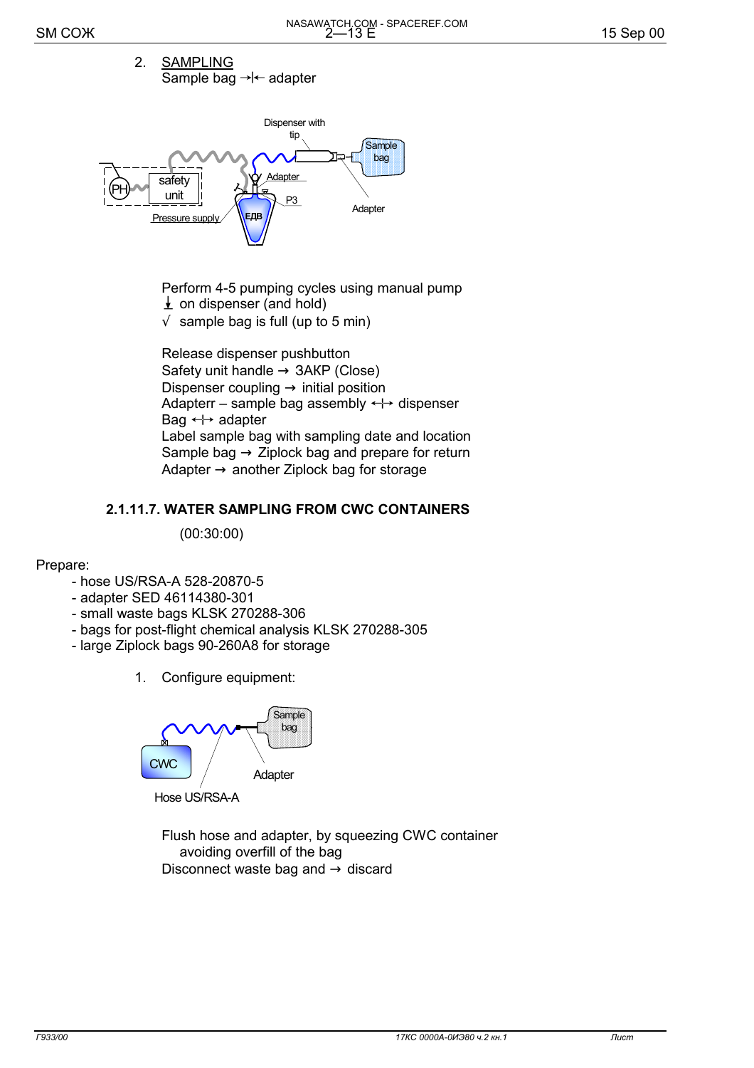2. SAMPLING Sample bag  $\rightarrow$   $\leftarrow$  adapter



 Perform 4-5 pumping cycles using manual pump  $\downarrow$  on dispenser (and hold)

 $\sqrt{\ }$  sample bag is full (up to 5 min)

 Release dispenser pushbutton Safety unit handle  $\rightarrow$  3AKP (Close) Dispenser coupling  $\rightarrow$  initial position Adapterr – sample bag assembly  $\leftrightarrow$  dispenser Bag  $\leftrightarrow$  adapter Label sample bag with sampling date and location Sample bag  $\rightarrow$  Ziplock bag and prepare for return Adapter  $\rightarrow$  another Ziplock bag for storage

#### **2.1.11.7. WATER SAMPLING FROM CWC CONTAINERS**

(00:30:00)

#### Prepare:

- hose US/RSA-A 528-20870-5
- adapter SED 46114380-301
- small waste bags KLSK 270288-306
- bags for post-flight chemical analysis KLSK 270288-305
- large Ziplock bags 90-260А8 for storage
	- 1. Configure equipment:



Hose US/RSA-A

 Flush hose and adapter, by squeezing CWC container avoiding overfill of the bag Disconnect waste bag and  $\rightarrow$  discard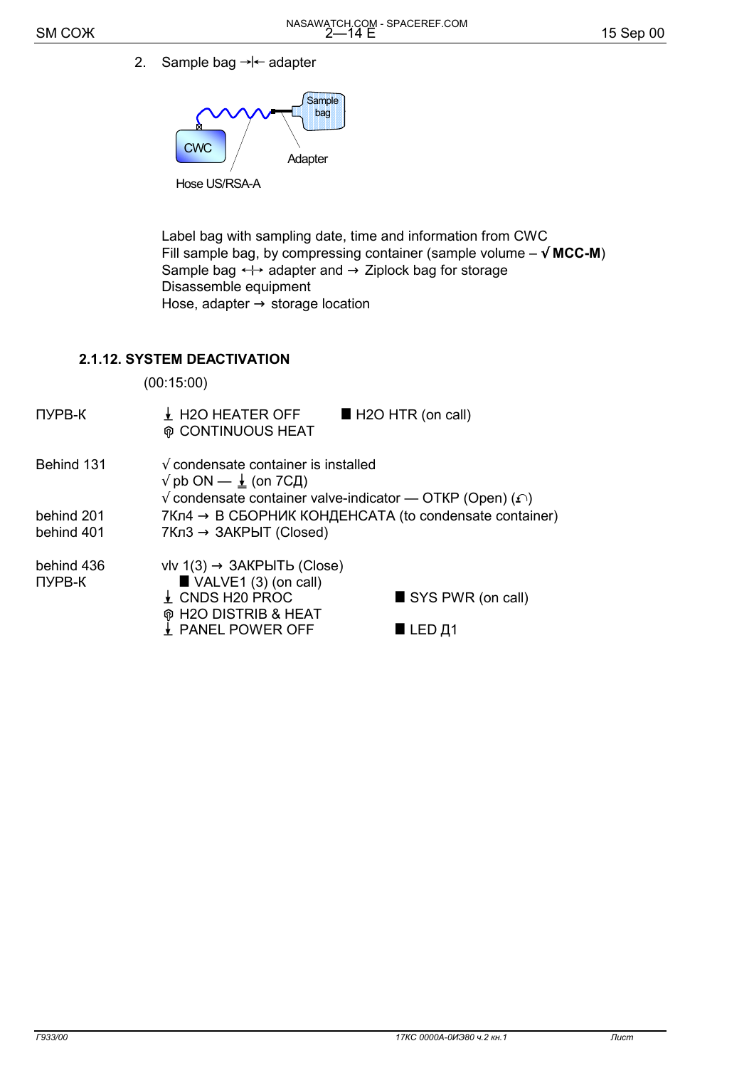2. Sample bag  $\rightarrow$   $\leftarrow$  adapter



**Hose US/RSA** 

 Label bag with sampling date, time and information from CWC Fill sample bag, by compressing container (sample volume  $-\sqrt{MCC-M}$ ) Sample bag  $\leftrightarrow$  adapter and  $\rightarrow$  Ziplock bag for storage Disassemble equipment Hose, adapter  $\rightarrow$  storage location

## **2.1.12. SYSTEM DEACTIVATION**

(00:15:00)

 $\n **IPB-K**\n **+** H2O HEATER OFF **THEOREM** H2O HTR (on call)$  $@$  CONTINUOUS HEAT Behind 131  $\sqrt{\ }$  condensate container is installed  $\sqrt{}$  pb ON —  $\frac{1}{2}$  (on 7CД)  $\sqrt{\ }$  condensate container valve-indicator — OTKP (Open) ( $\cap$ ) behind 201 7Кл4  $\rightarrow$  В СБОРНИК КОНДЕНСАТА (to condensate container) behind 401 7Кл3  $\rightarrow$  3АКРЫТ (Closed) behind 436 vlv 1(3)  $\rightarrow$  3AKPbITb (Close)<br>
TyPB-K **U** VALVE1 (3) (on call)  $\blacksquare$  VALVE1 (3) (on call)  $\angle$  CNDS H20 PROC  $\Box$  SYS PWR (on call)  $\circ$  H2O DISTRIB & HEAT

 $\frac{1}{2}$  PANEL POWER OFF **EXAMPLED**  $\frac{1}{2}$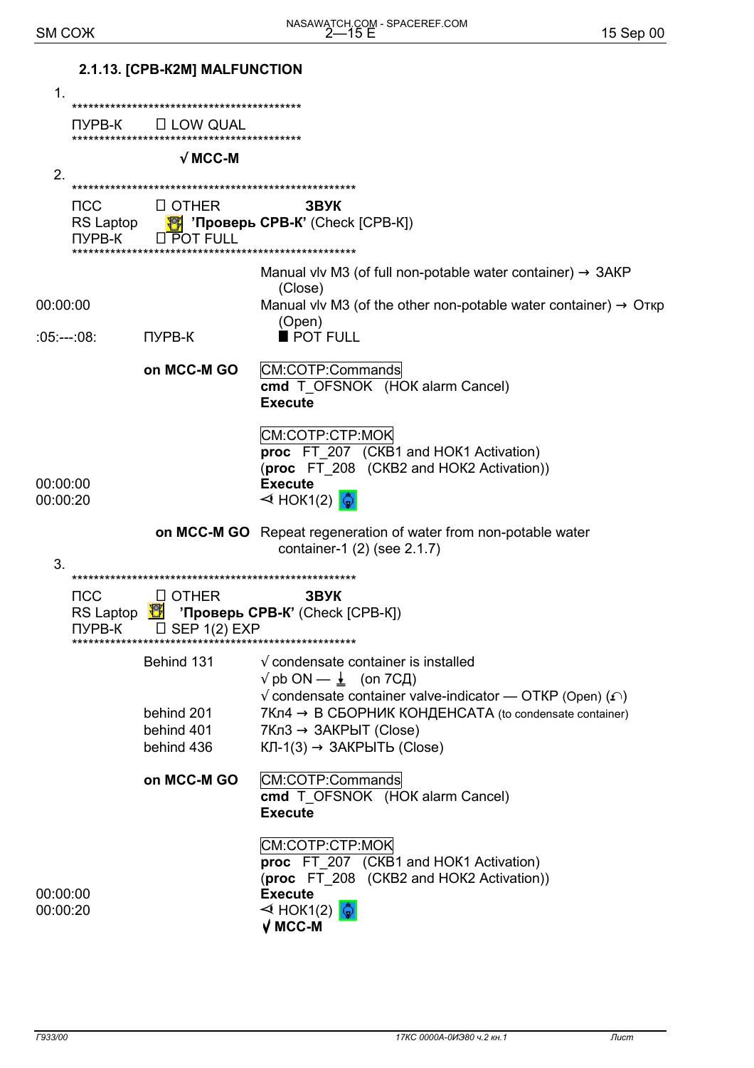|                      |                                   | 2.1.13. [CPB-K2M] MALFUNCTION          |                                                                                                                                                                                           |
|----------------------|-----------------------------------|----------------------------------------|-------------------------------------------------------------------------------------------------------------------------------------------------------------------------------------------|
| $\mathbf 1$ .        |                                   |                                        |                                                                                                                                                                                           |
|                      |                                   |                                        |                                                                                                                                                                                           |
|                      | ПУРВ-К                            | $\Box$ LOW QUAL                        |                                                                                                                                                                                           |
|                      |                                   | $\sqrt{M}$ MCC-M                       |                                                                                                                                                                                           |
| 2.                   |                                   |                                        |                                                                                                                                                                                           |
|                      |                                   |                                        |                                                                                                                                                                                           |
|                      | <b>NCC</b><br>RS Laptop<br>ПУРВ-К | <b>LI OTHER</b><br>LI POT FULL         | звук<br>₹ <sup>9</sup> 'Проверь СРВ-К' (Check [СРВ-К])                                                                                                                                    |
|                      |                                   |                                        | Manual viv M3 (of full non-potable water container) $\rightarrow$ 3AKP<br>(Close)                                                                                                         |
| 00:00:00             |                                   |                                        | Manual viv M3 (of the other non-potable water container) $\rightarrow$ O $\tau$ кр<br>(Open)                                                                                              |
| :05:---:08:          |                                   | ПУРВ-К                                 | POT FULL                                                                                                                                                                                  |
|                      |                                   | on MCC-M GO                            | CM:COTP:Commands<br>cmd T_OFSNOK (HOK alarm Cancel)<br><b>Execute</b>                                                                                                                     |
| 00:00:00<br>00:00:20 |                                   |                                        | CM:COTP:CTP:MOK<br>proc FT_207 (CKB1 and HOK1 Activation)<br>(proc FT_208 (CKB2 and HOK2 Activation))<br><b>Execute</b><br>$\triangleleft$ HOK1(2) $\frac{1}{2}$                          |
| 3.                   |                                   |                                        | on MCC-M GO Repeat regeneration of water from non-potable water<br>container-1 (2) (see 2.1.7)                                                                                            |
|                      |                                   |                                        |                                                                                                                                                                                           |
|                      | <b>NCC</b><br>ПУРВ-К              | <b>LI OTHER</b><br>$\Box$ SEP 1(2) EXP | <b>3BYK</b><br>RS Laptop $\frac{18}{2}$ 'Проверь СРВ-К' (Check [CPB-K])                                                                                                                   |
|                      |                                   | Behind 131                             | $\sqrt{ }$ condensate container is installed<br>$\sqrt{}$ pb ON — $\frac{1}{2}$ (on 7CД)<br>$\sqrt{ }$ condensate container valve-indicator — OTKP (Open) ( $\cap$ )                      |
|                      |                                   | behind 201<br>behind 401<br>behind 436 | $7K\pi4 \rightarrow B$ СБОРНИК КОНДЕНСАТА (to condensate container)<br>$7Kn3 \rightarrow 3AKPbIT$ (Close)<br>$KJI-1(3) \rightarrow 3AKPBITb$ (Close)                                      |
|                      |                                   | on MCC-M GO                            | CM:COTP:Commands<br>cmd T_OFSNOK (HOK alarm Cancel)<br><b>Execute</b>                                                                                                                     |
| 00:00:00<br>00:00:20 |                                   |                                        | CM:COTP:CTP:MOK<br><b>proc</b> FT_207 (CKB1 and HOK1 Activation)<br>(proc FT 208 (CKB2 and HOK2 Activation))<br><b>Execute</b><br>$\triangleleft$ HOK1(2) $\frac{1}{2}$<br>$\sqrt{MCC-M}$ |
|                      |                                   |                                        |                                                                                                                                                                                           |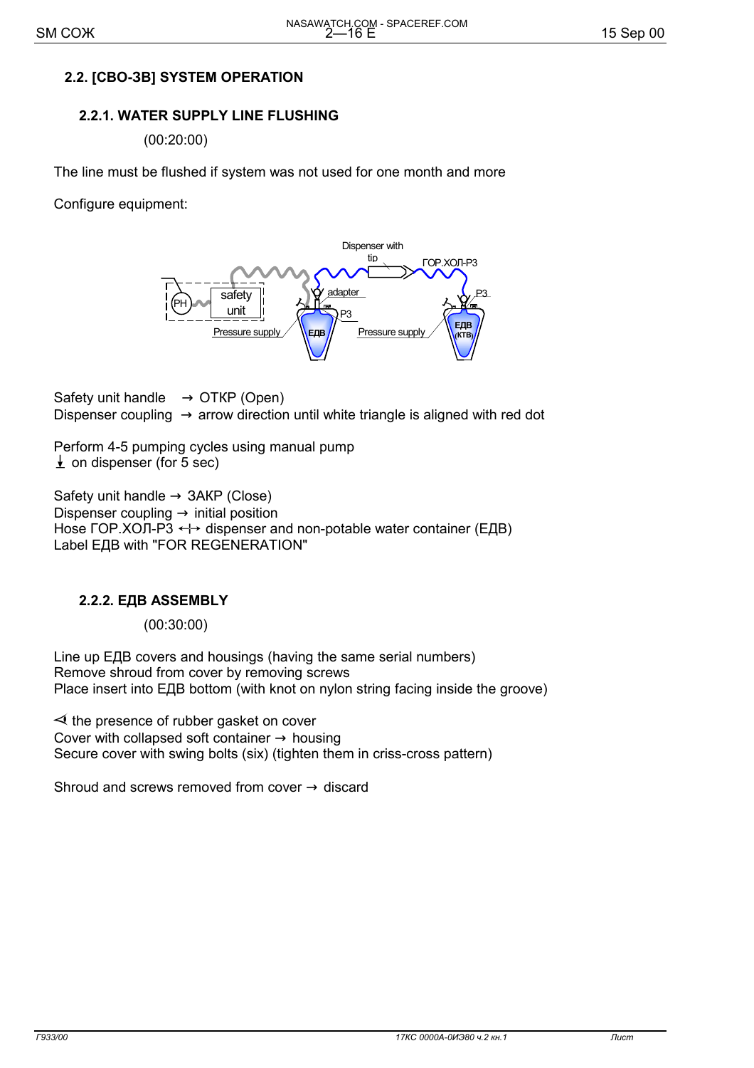## **2.2. [СВО-ЗВ] SYSTEM OPERATION**

## **2.2.1. WATER SUPPLY LINE FLUSHING**

(00:20:00)

The line must be flushed if system was not used for one month and more

Configure equipment:



Safety unit handle  $\rightarrow$  OTKP (Open) Dispenser coupling  $\rightarrow$  arrow direction until white triangle is aligned with red dot

Perform 4-5 pumping cycles using manual pump  $\perp$  on dispenser (for 5 sec)

Safety unit handle  $\rightarrow$  3AKP (Close) Dispenser coupling  $\rightarrow$  initial position Hose ГОР.ХОЛ-Р $\overline{3}$   $\leftrightarrow$  dispenser and non-potable water container (ЕДВ) Label ЕДВ with "FOR REGENERATION"

#### **2.2.2. ЕДВ ASSEMBLY**

(00:30:00)

Line up ЕДВ covers and housings (having the same serial numbers) Remove shroud from cover by removing screws Place insert into ЕДВ bottom (with knot on nylon string facing inside the groove)

 $\prec$  the presence of rubber gasket on cover Cover with collapsed soft container  $\rightarrow$  housing Secure cover with swing bolts (six) (tighten them in criss-cross pattern)

Shroud and screws removed from cover  $\rightarrow$  discard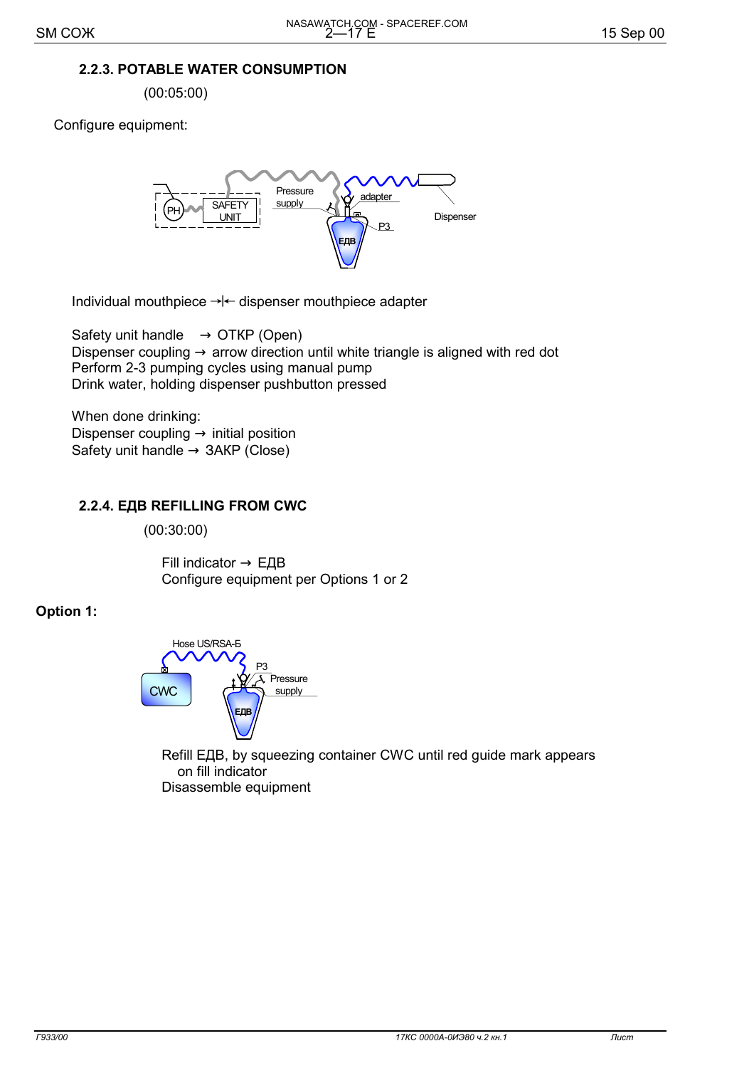#### **2.2.3. POTABLE WATER CONSUMPTION**

(00:05:00)

Configure equipment:



Individual mouthpiece  $\rightarrow$   $\leftarrow$  dispenser mouthpiece adapter

Safety unit handle  $\rightarrow$  OTKP (Open) Dispenser coupling  $\rightarrow$  arrow direction until white triangle is aligned with red dot Perform 2-3 pumping cycles using manual pump Drink water, holding dispenser pushbutton pressed

 When done drinking: Dispenser coupling  $\rightarrow$  initial position Safety unit handle  $\rightarrow$  3AKP (Close)

## **2.2.4. ЕДВ REFILLING FROM CWC**

(00:30:00)

Fill indicator  $\rightarrow$  ЕДВ Configure equipment per Options 1 or 2

#### **Option 1:**



 Refill ЕДВ, by squeezing container CWC until red guide mark appears on fill indicator Disassemble equipment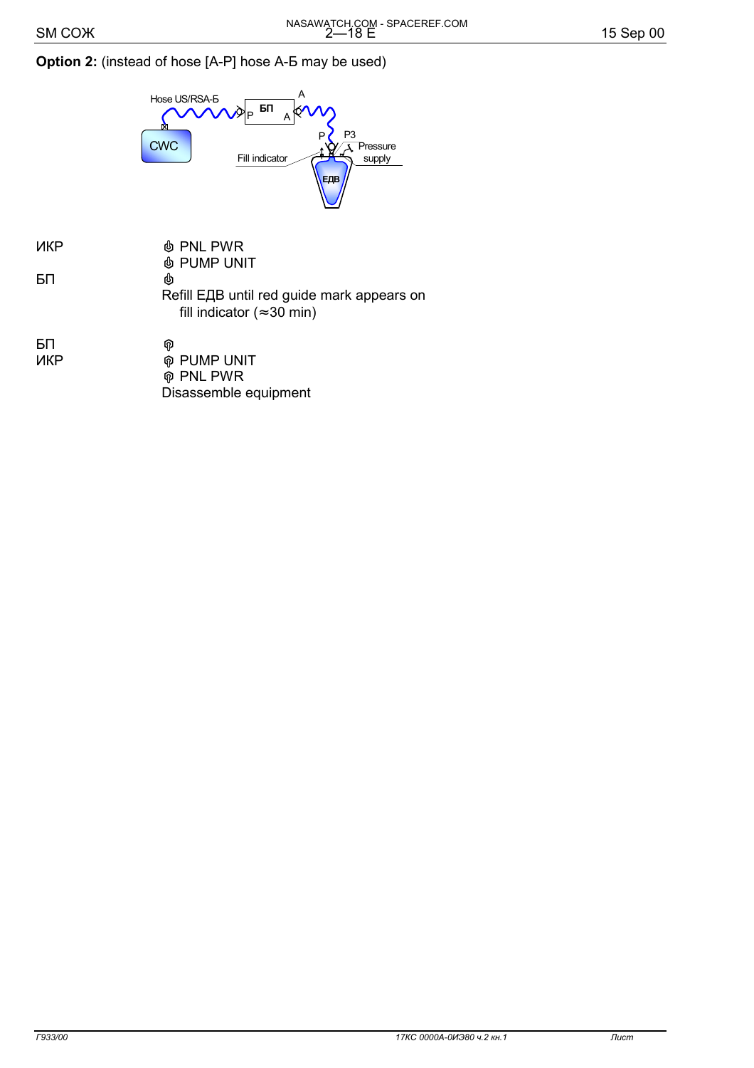## Option 2: (instead of hose [A-P] hose A-5 may be used)



| ИКР | <b><i>I</i></b> PNL PWR                    |
|-----|--------------------------------------------|
|     | <b><i>I</i></b> PUMP UNIT                  |
| БП  | 凼                                          |
|     | Refill ЕДВ until red guide mark appears on |
|     | fill indicator ( $\approx$ 30 min)         |
| БП  | ⋒                                          |
| ИКР | <b>ଜ PUMP UNIT</b>                         |
|     |                                            |

| <b>๊</b> PNL PWR      |  |
|-----------------------|--|
| Disassemble equipment |  |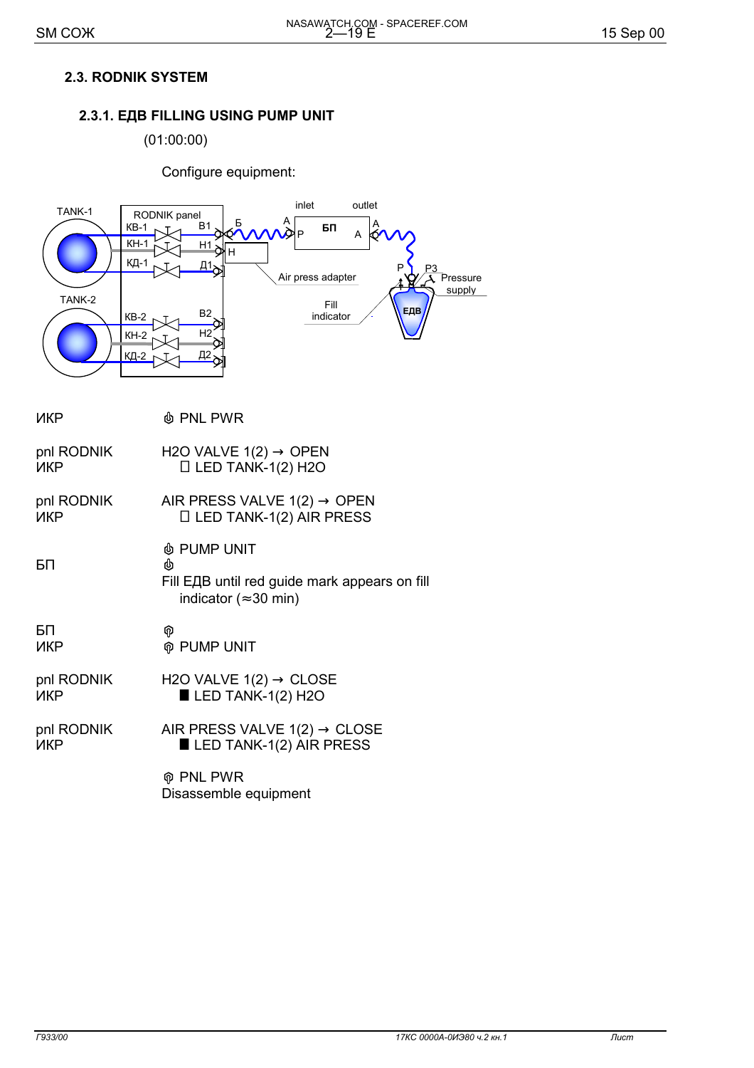## **2.3. RODNIK SYSTEM**

## **2.3.1. ЕДВ FILLING USING PUMP UNIT**

(01:00:00)

Configure equipment:



| ИКР        | <b>I</b> PNL PWR                                                                                |
|------------|-------------------------------------------------------------------------------------------------|
| pnl RODNIK | H2O VALVE $1(2) \rightarrow$ OPEN                                                               |
| ИКР        | $\Box$ LED TANK-1(2) H2O                                                                        |
| pnl RODNIK | AIR PRESS VALVE $1(2) \rightarrow$ OPEN                                                         |
| ИКР        | $\Box$ LED TANK-1(2) AIR PRESS                                                                  |
| БП         | In PUMP UNIT®<br>Fill ЕДВ until red guide mark appears on fill<br>indicator ( $\approx$ 30 min) |
| БП         | ဨ                                                                                               |
| ИКР        | <b>M</b> PUMP UNIT                                                                              |
| pnl RODNIK | H2O VALVE $1(2) \rightarrow$ CLOSE                                                              |
| ИКР        | $LED$ TANK-1(2) H2O                                                                             |
| pnl RODNIK | AIR PRESS VALVE $1(2) \rightarrow$ CLOSE                                                        |
| ИКР        | LED TANK-1(2) AIR PRESS                                                                         |
|            | <b>M</b> PNL PWR<br>Disassemble equipment                                                       |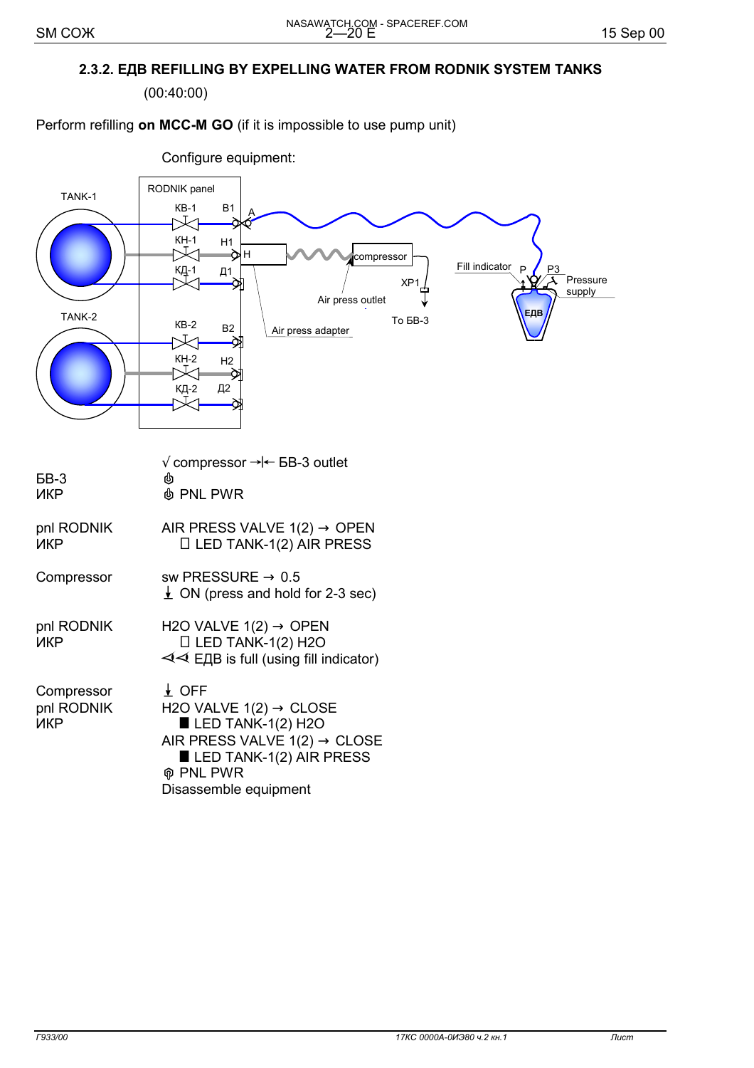## **2.3.2. ЕДВ REFILLING BY EXPELLING WATER FROM RODNIK SYSTEM TANKS**

(00:40:00)

#### Perform refilling **on MCC-M GO** (if it is impossible to use pump unit)



| <b>GB-3</b><br>ИКР              | $\sqrt{ }$ compressor → $\leftarrow$ 5B-3 outlet<br><b>ለ</b> PNL PWR                                                                                                                                           |
|---------------------------------|----------------------------------------------------------------------------------------------------------------------------------------------------------------------------------------------------------------|
| pnl RODNIK<br>ИКР               | AIR PRESS VALVE $1(2) \rightarrow$ OPEN<br>$\Box$ LED TANK-1(2) AIR PRESS                                                                                                                                      |
| Compressor                      | sw PRESSURE $\rightarrow$ 0.5<br>$\perp$ ON (press and hold for 2-3 sec)                                                                                                                                       |
| pnl RODNIK<br>ИКР               | H2O VALVE $1(2) \rightarrow$ OPEN<br>$\Box$ LED TANK-1(2) H2O<br>$\triangleleft$ E <sub>4</sub> B is full (using fill indicator)                                                                               |
| Compressor<br>pnl RODNIK<br>ИКР | $\downarrow$ OFF<br>H2O VALVE $1(2) \rightarrow$ CLOSE<br>$\blacksquare$ LED TANK-1(2) H2O<br>AIR PRESS VALVE $1(2) \rightarrow$ CLOSE<br>LED TANK-1(2) AIR PRESS<br><b>ଜ PNL PWR</b><br>Disassemble equipment |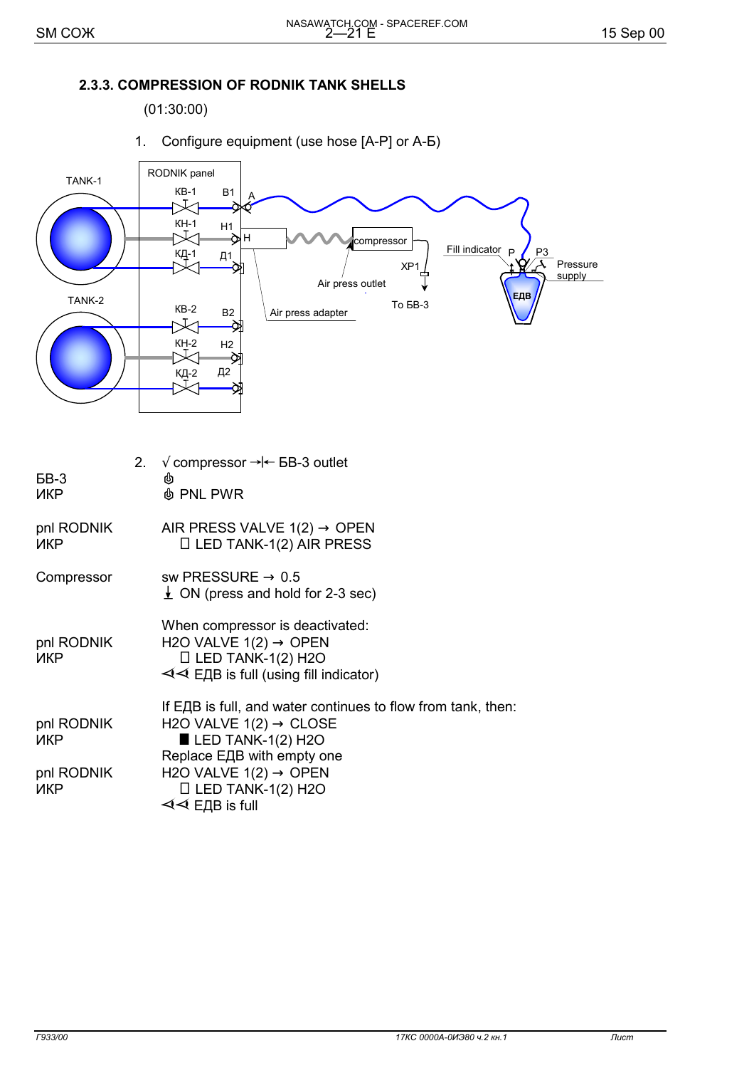#### **2.3.3. COMPRESSION OF RODNIK TANK SHELLS**

(01:30:00)

1. Configure equipment (use hose [А-Р] or А-Б)



| BB-3<br>ИКР                            | 2 <sub>1</sub> | $\sqrt{\text{compressor}} \rightarrow \div \text{BB-3 outlet}$<br>⋓<br><b><i>I</i></b> PNL PWR                                                                                                                                                                                     |
|----------------------------------------|----------------|------------------------------------------------------------------------------------------------------------------------------------------------------------------------------------------------------------------------------------------------------------------------------------|
| pnl RODNIK<br>ИКР                      |                | AIR PRESS VALVE $1(2) \rightarrow$ OPEN<br>$\Box$ LED TANK-1(2) AIR PRESS                                                                                                                                                                                                          |
| Compressor                             |                | sw PRESSURE $\rightarrow$ 0.5<br>$\perp$ ON (press and hold for 2-3 sec)                                                                                                                                                                                                           |
| pnl RODNIK<br><b>NKP</b>               |                | When compressor is deactivated:<br>H <sub>2</sub> O VALVE $1(2) \rightarrow$ OPEN<br>$\Box$ LED TANK-1(2) H2O<br>< IDE is full (using fill indicator)                                                                                                                              |
| pnl RODNIK<br>ИКР<br>pnl RODNIK<br>ИКР |                | If ЕДВ is full, and water continues to flow from tank, then:<br>H2O VALVE $1(2) \rightarrow$ CLOSE<br>$\blacksquare$ LED TANK-1(2) H2O<br>Replace EДB with empty one<br>H <sub>2</sub> O VALVE $1(2) \rightarrow$ OPEN<br>$\Box$ LED TANK-1(2) H2O<br>$\triangleleft$ ELIB is full |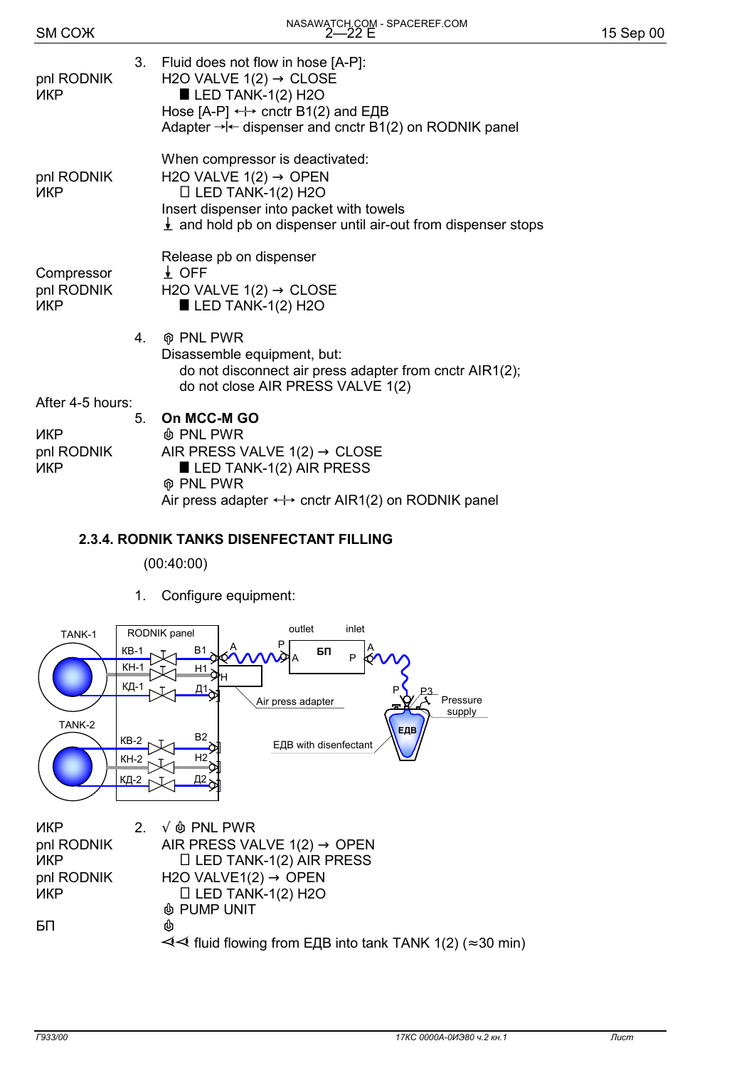| SM COX                                                     |    | NASAWATUR.COM - SPACEREM.COM                                                                                                                                                                                                                           | 15 Sep 00 |
|------------------------------------------------------------|----|--------------------------------------------------------------------------------------------------------------------------------------------------------------------------------------------------------------------------------------------------------|-----------|
| pnl RODNIK<br>ИКР                                          |    | 3. Fluid does not flow in hose [A-P]:<br>H2O VALVE $1(2) \rightarrow$ CLOSE<br>$\blacksquare$ LED TANK-1(2) H2O<br>Hose $[A-P] \leftrightarrow$ cnctr B1(2) and E $\overline{AB}$<br>Adapter $\rightarrow$ - dispenser and cnctr B1(2) on RODNIK panel |           |
| pnl RODNIK<br><b>NKP</b>                                   |    | When compressor is deactivated:<br>H2O VALVE $1(2) \rightarrow$ OPEN<br>$\Box$ LED TANK-1(2) H2O<br>Insert dispenser into packet with towels<br>$\frac{1}{2}$ and hold pb on dispenser until air-out from dispenser stops                              |           |
| Compressor<br>pnl RODNIK<br><b>NKP</b>                     |    | Release pb on dispenser<br>$\downarrow$ OFF<br>H2O VALVE $1(2) \rightarrow$ CLOSE<br>$\blacksquare$ LED TANK-1(2) H2O                                                                                                                                  |           |
|                                                            | 4. | <b>@ PNL PWR</b><br>Disassemble equipment, but:<br>do not disconnect air press adapter from cnctr AIR1(2);<br>do not close AIR PRESS VALVE 1(2)                                                                                                        |           |
| After 4-5 hours:<br><b>NKP</b><br>pnl RODNIK<br><b>NKP</b> | 5. | On MCC-M GO<br><b><i>N</i></b> PNL PWR<br>AIR PRESS VALVE $1(2) \rightarrow$ CLOSE<br>$\blacksquare$ LED TANK-1(2) AIR PRESS<br><b>M</b> PNL PWR<br>Air press adapter $\leftrightarrow$ cnctr AIR1(2) on RODNIK panel                                  |           |

NASAWATCH.COM - SPACEREF.COM

# **2.3.4. RODNIK TANKS DISENFECTANT FILLING**

#### (00:40:00)

1. Configure equipment:

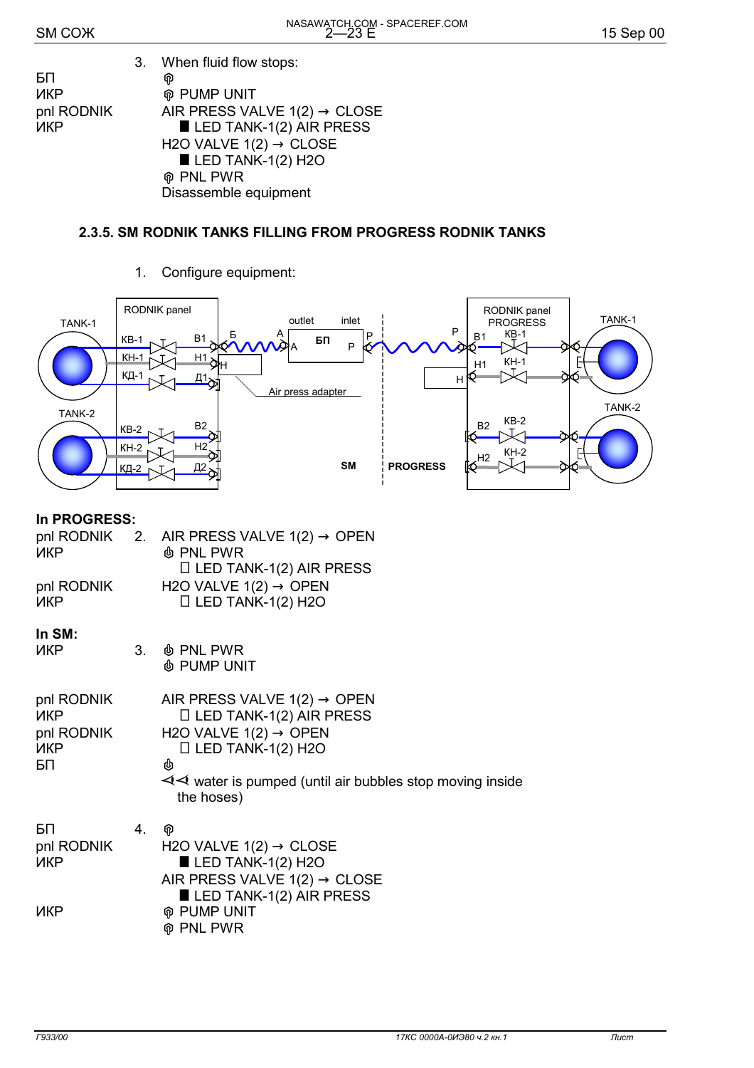|            | 3. When fluid flow stops:                |
|------------|------------------------------------------|
| БП         | ଜ                                        |
| ИКР        | <b>M</b> PUMP UNIT                       |
| pnl RODNIK | AIR PRESS VALVE $1(2) \rightarrow$ CLOSE |
| ИКР        | $\blacksquare$ LED TANK-1(2) AIR PRESS   |
|            | H2O VALVE $1(2) \rightarrow$ CLOSE       |
|            | $\blacksquare$ LED TANK-1(2) H2O         |
|            | ଲ PNI PWR                                |

' PNL PWR Disassemble equipment

## **2.3.5. SM RODNIK TANKS FILLING FROM PROGRESS RODNIK TANKS**

1. Configure equipment:

|                                              |                             | RODNIK panel                                         |                                                                                                                                                                                                                  |                                    |                 | RODNIK panel                                                     |                   |
|----------------------------------------------|-----------------------------|------------------------------------------------------|------------------------------------------------------------------------------------------------------------------------------------------------------------------------------------------------------------------|------------------------------------|-----------------|------------------------------------------------------------------|-------------------|
| TANK-1                                       |                             |                                                      | outlet                                                                                                                                                                                                           | inlet                              |                 | <b>PROGRESS</b><br>P                                             | TANK-1            |
|                                              | KB-1<br><u>KH-1</u><br>КД-1 | B1<br>$\frac{H1}{H}$<br>$\frac{\Box 1}{\triangle}$   | Б                                                                                                                                                                                                                | БП<br>$\sf P$<br>Air press adapter |                 | KB-1<br><b>B1</b><br>Фю<br>$KH-1$<br>H1<br>Q.<br>Η               | ОЮ                |
| TANK-2                                       | KB-2<br>$KH-2$<br>КД-2      | B <sub>2</sub><br>H <sub>2</sub><br><u>д2</u>        |                                                                                                                                                                                                                  | <b>SM</b>                          | <b>PROGRESS</b> | $KB-2$<br><b>B2</b><br>Ю<br>$KH-2$<br>$\mathbb{R}^{\mathsf{H2}}$ | TANK-2<br>a<br>O. |
| In PROGRESS:                                 |                             |                                                      |                                                                                                                                                                                                                  |                                    |                 |                                                                  |                   |
| pnl RODNIK<br>ИКР                            | 2.                          | <b>I</b> PNL PWR                                     | AIR PRESS VALVE $1(2) \rightarrow$ OPEN<br>$\Box$ LED TANK-1(2) AIR PRESS                                                                                                                                        |                                    |                 |                                                                  |                   |
| pnl RODNIK<br>ИКР                            |                             |                                                      | H2O VALVE $1(2) \rightarrow$ OPEN<br>$\Box$ LED TANK-1(2) H2O                                                                                                                                                    |                                    |                 |                                                                  |                   |
| In SM:<br>ИКР                                | 3 <sub>1</sub>              | <b><i>A</i></b> PNL PWR<br><b><i>I</i></b> PUMP UNIT |                                                                                                                                                                                                                  |                                    |                 |                                                                  |                   |
| pnl RODNIK<br>ИКР<br>pnl RODNIK<br>ИКР<br>БП |                             | the hoses)                                           | AIR PRESS VALVE $1(2) \rightarrow$ OPEN<br>$\Box$ LED TANK-1(2) AIR PRESS<br>H2O VALVE $1(2) \rightarrow$ OPEN<br>$\Box$ LED TANK-1(2) H2O<br>$\prec\prec$ water is pumped (until air bubbles stop moving inside |                                    |                 |                                                                  |                   |
| БП<br>pnl RODNIK<br>ИКР<br><b>NKP</b>        | 4.                          | କ<br><b>@ PUMP UNIT</b><br><b>M</b> PNL PWR          | H2O VALVE $1(2) \rightarrow$ CLOSE<br>$\blacksquare$ LED TANK-1(2) H2O<br>AIR PRESS VALVE $1(2) \rightarrow$ CLOSE<br>LED TANK-1(2) AIR PRESS                                                                    |                                    |                 |                                                                  |                   |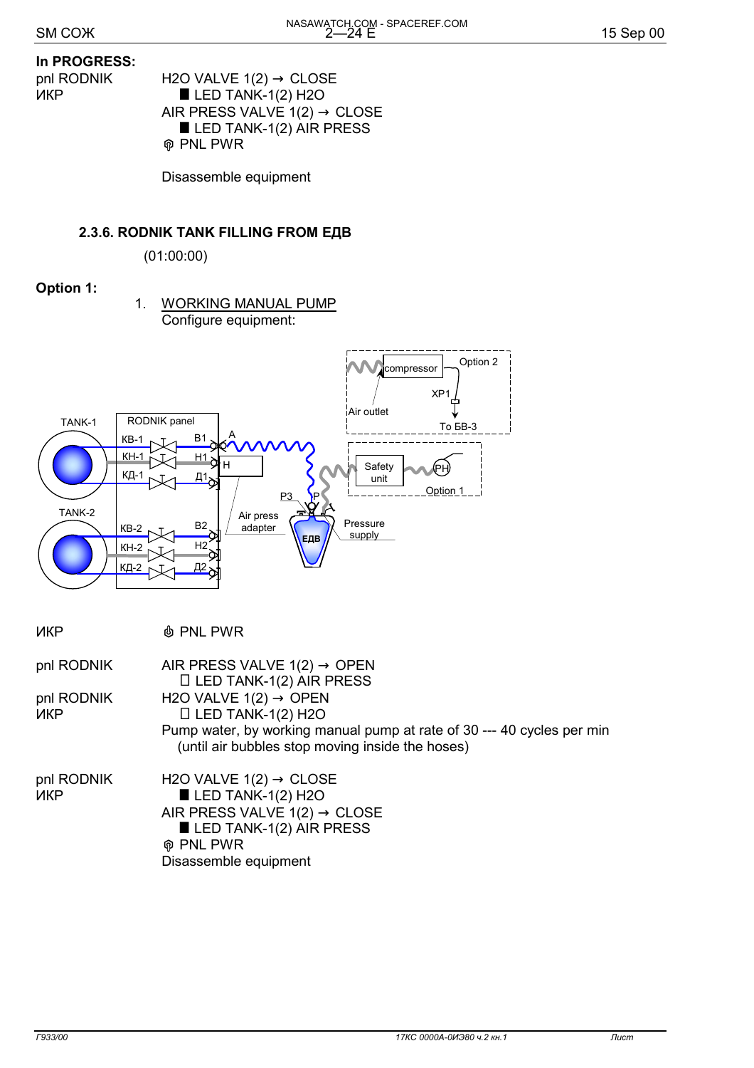#### **In PROGRESS:**

- 
- pnl RODNIK H2O VALVE 1(2) → CLOSE  $\blacksquare$  LED TANK-1(2) H2O AIR PRESS VALVE  $1(2) \rightarrow$  CLOSE  $\blacksquare$  LED TANK-1(2) AIR PRESS ' PNL PWR

Disassemble equipment

#### **2.3.6. RODNIK TANK FILLING FROM ЕДВ**

(01:00:00)

## **Option 1:**

 1. WORKING MANUAL PUMP Configure equipment:



| <b>NKP</b>               | <b><i>I</i></b> PNL PWR                                                                                                                                                                                   |
|--------------------------|-----------------------------------------------------------------------------------------------------------------------------------------------------------------------------------------------------------|
| pnl RODNIK               | AIR PRESS VALVE $1(2) \rightarrow$ OPEN<br>$\Box$ LED TANK-1(2) AIR PRESS                                                                                                                                 |
| pnl RODNIK<br><b>NKP</b> | H <sub>2</sub> O VALVE $1(2) \rightarrow$ OPEN<br>$\Box$ LED TANK-1(2) H2O<br>Pump water, by working manual pump at rate of 30 --- 40 cycles per min<br>(until air bubbles stop moving inside the hoses)  |
| pnl RODNIK<br><b>NKP</b> | H2O VALVE $1(2) \rightarrow$ CLOSE<br>$\blacksquare$ LED TANK-1(2) H2O<br>AIR PRESS VALVE $1(2) \rightarrow$ CLOSE<br>$\blacksquare$ LED TANK-1(2) AIR PRESS<br><b>⊕ PNL PWR</b><br>Disassemble equipment |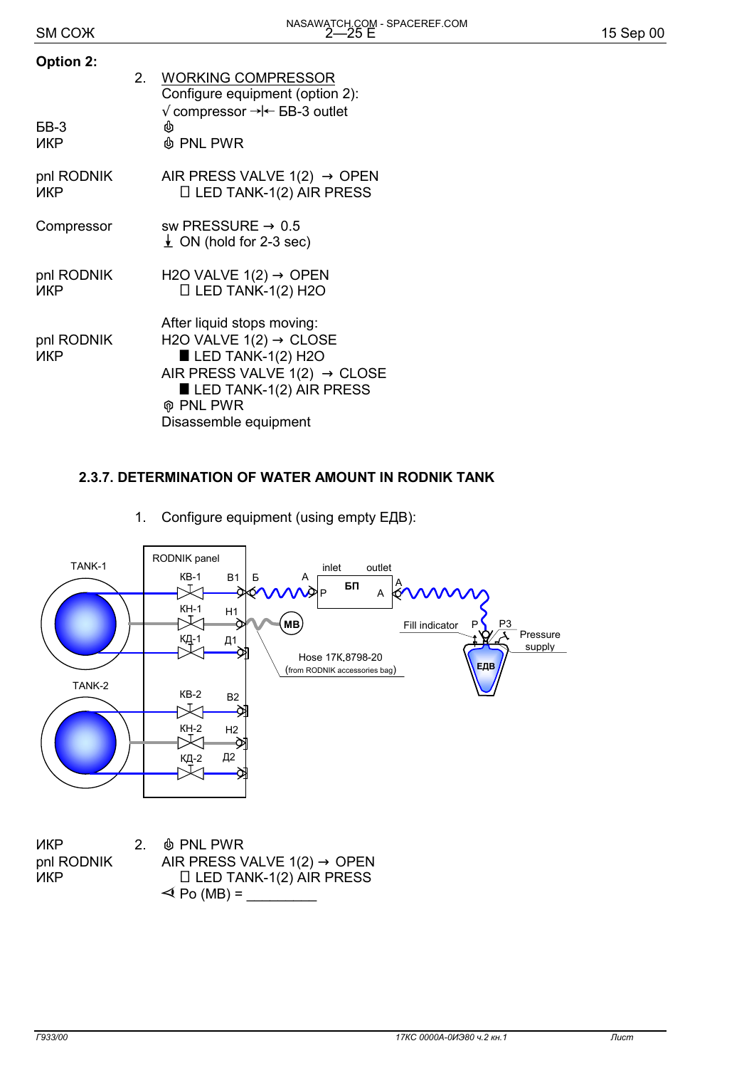| <b>Option 2:</b><br>БВ-3<br>ИКР | 2. | <b>WORKING COMPRESSOR</b><br>Configure equipment (option 2):<br>$\sqrt{\overline{2}}$ compressor $\rightarrow\leftarrow$ 5B-3 outlet<br><b>I</b> PNL PWR                                                                 |
|---------------------------------|----|--------------------------------------------------------------------------------------------------------------------------------------------------------------------------------------------------------------------------|
| pnl RODNIK<br>ИКР               |    | AIR PRESS VALVE $1(2) \rightarrow$ OPEN<br>$\Box$ LED TANK-1(2) AIR PRESS                                                                                                                                                |
| Compressor                      |    | sw PRESSURE $\rightarrow$ 0.5<br>$\perp$ ON (hold for 2-3 sec)                                                                                                                                                           |
| pnl RODNIK<br>ИКР               |    | H2O VALVE $1(2) \rightarrow$ OPEN<br>$\Box$ LED TANK-1(2) H2O                                                                                                                                                            |
| pnl RODNIK<br><b>NKP</b>        |    | After liquid stops moving:<br>H2O VALVE $1(2) \rightarrow$ CLOSE<br>$\blacksquare$ LED TANK-1(2) H2O<br>AIR PRESS VALVE $1(2) \rightarrow$ CLOSE<br>LED TANK-1(2) AIR PRESS<br><b>ଜ PNL PWR</b><br>Disassemble equipment |

## **2.3.7. DETERMINATION OF WATER AMOUNT IN RODNIK TANK**

1. Configure equipment (using empty ЕДВ):



ИКР 2. & PNL PWR pnl RODNIK AIR PRESS VALVE 1(2)  $\rightarrow$  OPEN<br>ILED TANK-1(2) AIR PRESS  $\Box$  LED TANK-1(2) AIR PRESS  $\triangleleft$  Po (MB) =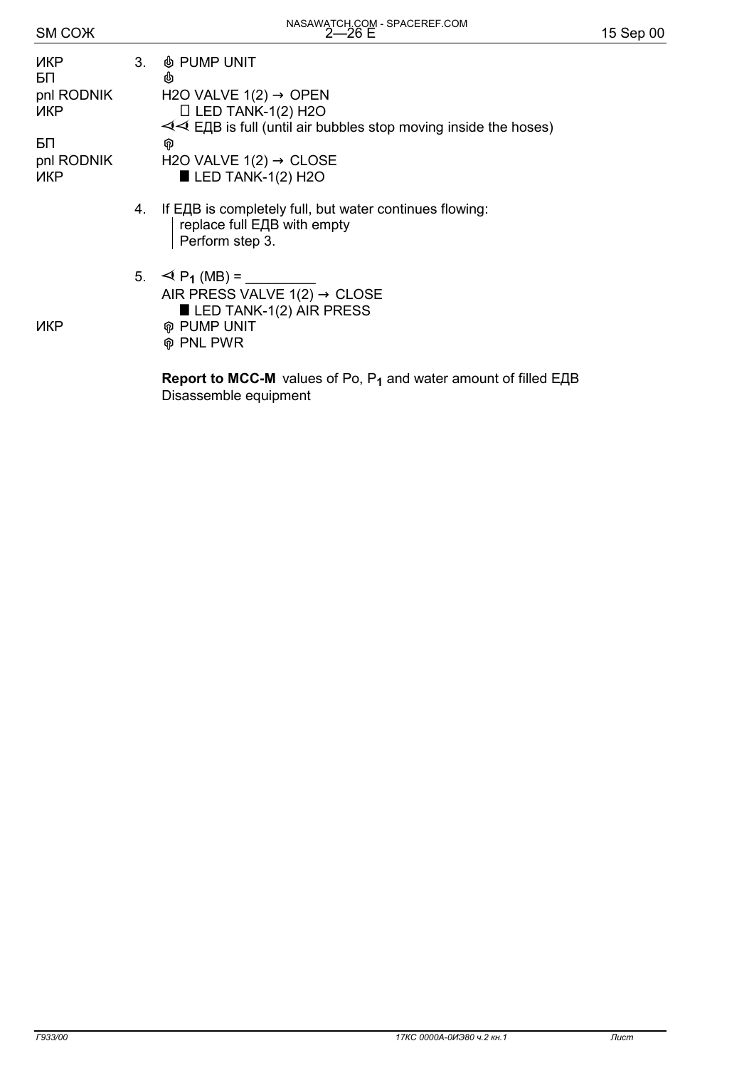| אזשט וווט         |   |                                                                            |
|-------------------|---|----------------------------------------------------------------------------|
| ИКР<br>БП         | 3 | <b>&amp; PUMP UNIT</b><br>西                                                |
| pnl RODNIK<br>ИКР |   | H <sub>2</sub> O VALVE $1(2) \rightarrow$ OPEN<br>$\Box$ LED TANK-1(2) H2O |
|                   |   | $\triangle$ EUR is full (until air but                                     |

 $5\Box$ 

- $\triangleleft$  EДB is full (until air bubbles stop moving inside the hoses) pnl RODNIK H2O VALVE 1(2)  $\rightarrow$  CLOSE<br> $U$ KP  $\qquad \qquad \blacksquare$  LED TANK-1(2) H2O  $\blacksquare$  LED TANK-1(2) H2O
	- 4. If ЕДВ is completely full, but water continues flowing: replace full ЕДВ with empty Perform step 3.
- 5.  $\blacktriangleleft$  P<sub>1</sub> (MB) = AIR PRESS VALVE  $1(2) \rightarrow$  CLOSE  $\blacksquare$  LED TANK-1(2) AIR PRESS **ИКР** ФРИМР UNIT

' PNL PWR

 **Report to MCC-M** values of Ро, Р**1** and water amount of filled ЕДВ Disassemble equipment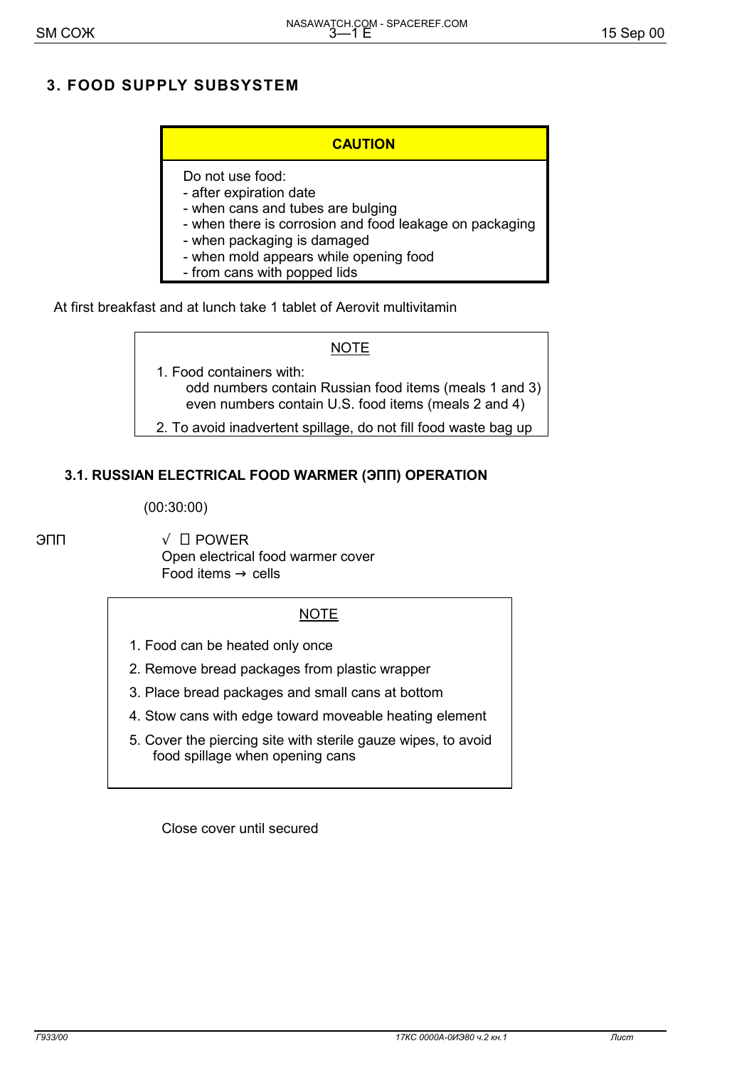## **3. FOOD SUPPLY SUBSYSTEM**

#### **CAUTION**

## Do not use food:

- after expiration date
- when cans and tubes are bulging
- when there is corrosion and food leakage on packaging
- when packaging is damaged
- when mold appears while opening food
- from cans with popped lids

At first breakfast and at lunch take 1 tablet of Aerovit multivitamin

#### **NOTE**

- 1. Food containers with: odd numbers contain Russian food items (meals 1 and 3) even numbers contain U.S. food items (meals 2 and 4)
- 2. To avoid inadvertent spillage, do not fill food waste bag up

## **3.1. RUSSIAN ELECTRICAL FOOD WARMER (ЭПП) OPERATION**

(00:30:00)

 $\Box$   $\Box$  POWER Open electrical food warmer cover Food items  $\rightarrow$  cells

#### **NOTE**

- 1. Food can be heated only once
- 2. Remove bread packages from plastic wrapper
- 3. Place bread packages and small cans at bottom
- 4. Stow cans with edge toward moveable heating element
- 5. Cover the piercing site with sterile gauze wipes, to avoid food spillage when opening cans

Close cover until secured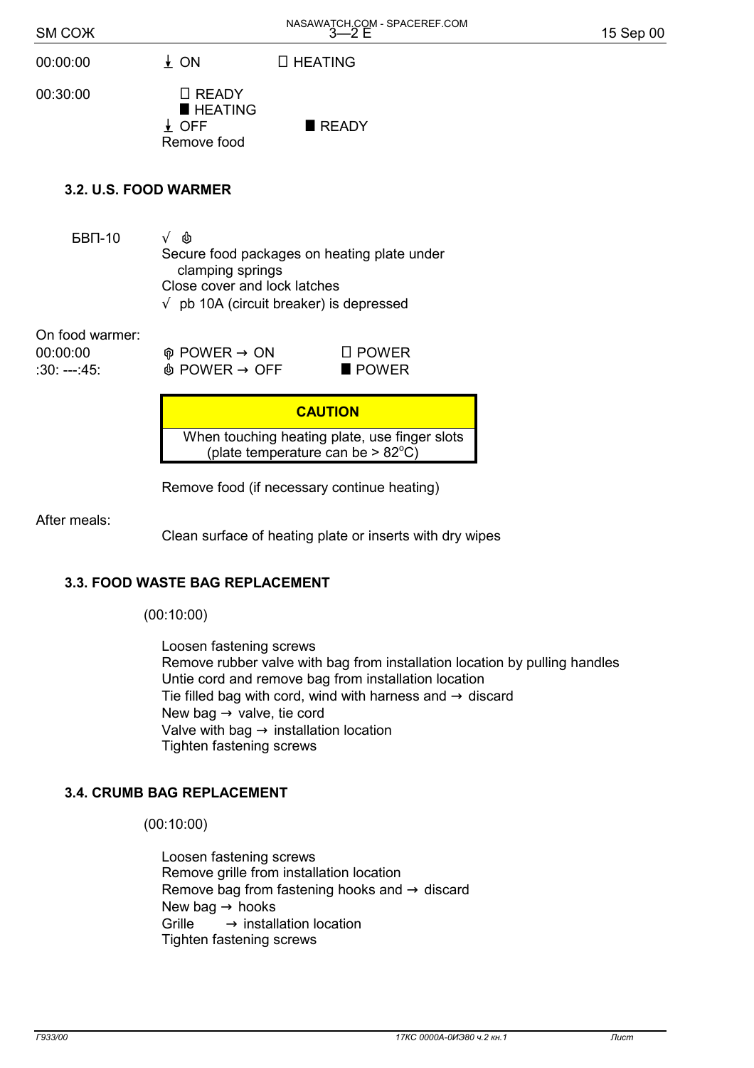| SM COX                                       |                                                                                 | NASAWATCH.COM - SPACEREF.COM<br>3-2 E                                                                                                  | 15 Sep 00 |
|----------------------------------------------|---------------------------------------------------------------------------------|----------------------------------------------------------------------------------------------------------------------------------------|-----------|
| 00:00:00                                     | $\frac{1}{2}$ ON                                                                | □ HEATING                                                                                                                              |           |
| 00:30:00                                     | $\Box$ READY<br><b>HEATING</b><br>$\frac{1}{2}$ OFF<br>Remove food              | READY                                                                                                                                  |           |
| 3.2. U.S. FOOD WARMER                        |                                                                                 |                                                                                                                                        |           |
| <b>БВП-10</b>                                | ♨<br>$\sqrt{ }$<br>clamping springs<br>Close cover and lock latches             | Secure food packages on heating plate under<br>$\sqrt{ }$ pb 10A (circuit breaker) is depressed                                        |           |
| On food warmer:<br>00:00:00<br>$:30: -- 45:$ | $\circledcirc$ POWER $\rightarrow$ ON<br>$\mathbb \Phi$ POWER $\rightarrow$ OFF | $\square$ POWER<br>$\blacksquare$ POWER                                                                                                |           |
|                                              |                                                                                 | <b>CAUTION</b><br>When touching heating plate, use finger slots<br>(plate temperature can be $> 82^{\circ}$ C)<br>$\sim$ $\sim$ $\sim$ |           |

Remove food (if necessary continue heating)

After meals:

Clean surface of heating plate or inserts with dry wipes

#### **3.3. FOOD WASTE BAG REPLACEMENT**

(00:10:00)

 Loosen fastening screws Remove rubber valve with bag from installation location by pulling handles Untie cord and remove bag from installation location Tie filled bag with cord, wind with harness and  $\rightarrow$  discard New bag  $\rightarrow$  valve, tie cord Valve with bag  $\rightarrow$  installation location Tighten fastening screws

#### **3.4. CRUMB BAG REPLACEMENT**

(00:10:00)

 Loosen fastening screws Remove grille from installation location Remove bag from fastening hooks and  $\rightarrow$  discard New bag  $\rightarrow$  hooks  $Grille \longrightarrow$  installation location Tighten fastening screws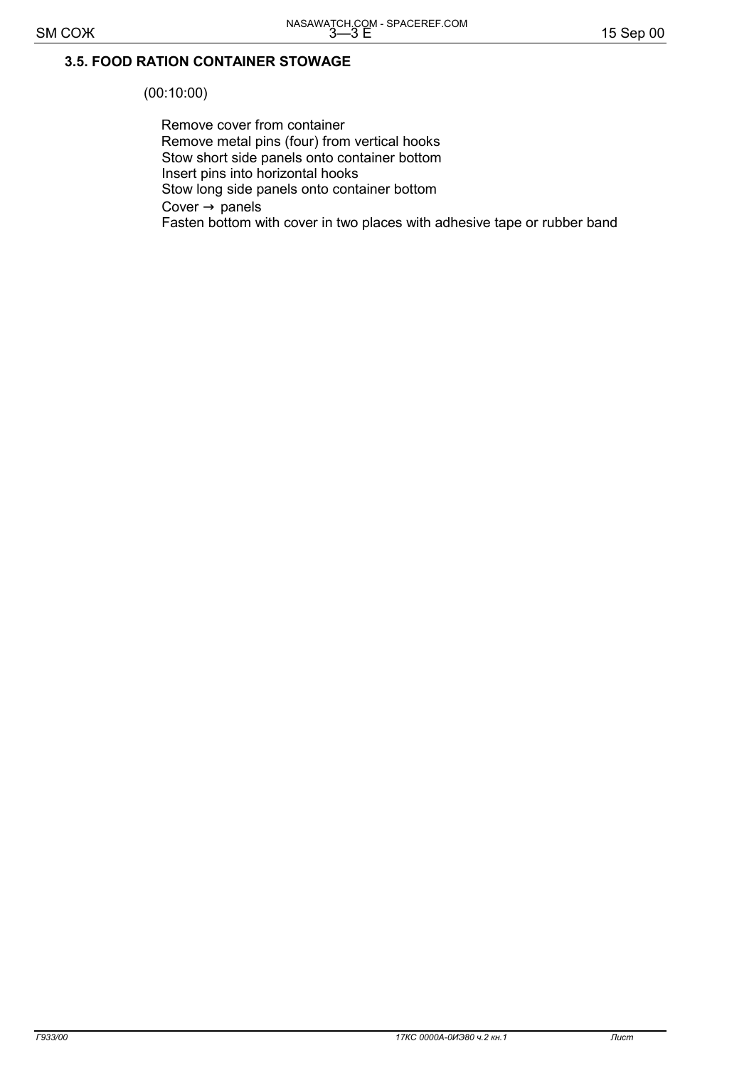## 3.5. FOOD RATION CONTAINER STOWAGE

 $(00:10:00)$ 

Remove cover from container Remove metal pins (four) from vertical hooks Stow short side panels onto container bottom Insert pins into horizontal hooks Stow long side panels onto container bottom Cover  $\rightarrow$  panels Fasten bottom with cover in two places with adhesive tape or rubber band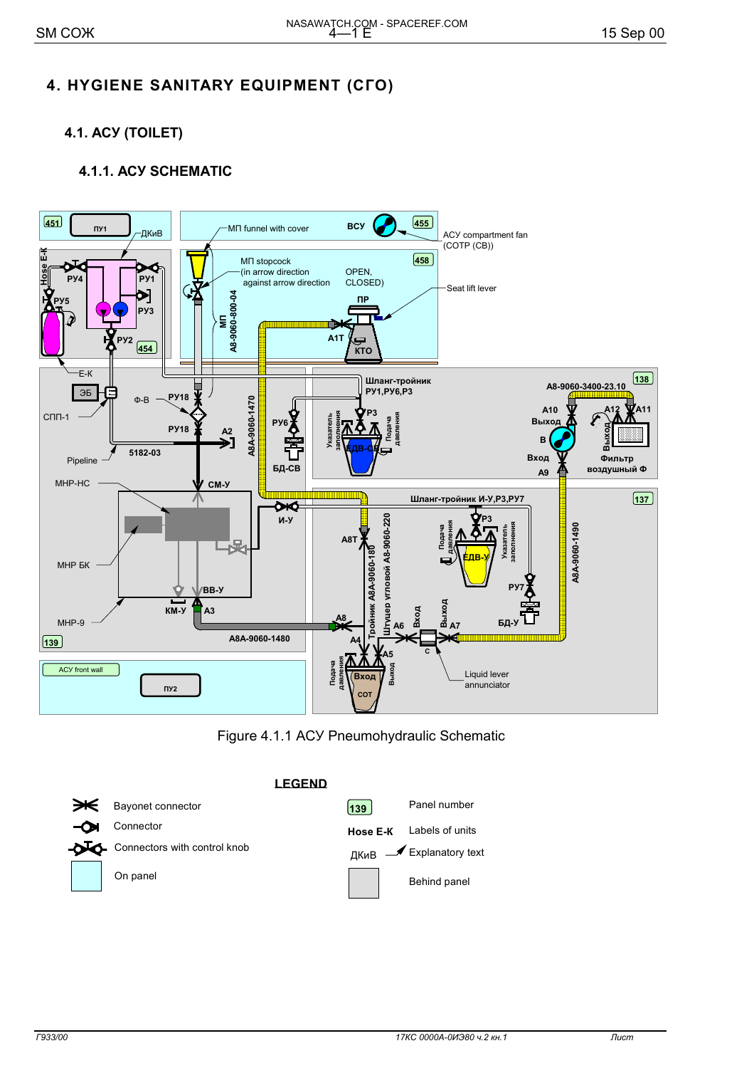## 4. HYGIENE SANITARY EQUIPMENT (CFO)

4.1. ACY (TOILET)

## **4.1.1. ACY SCHEMATIC**



Figure 4.1.1 ACY Pneumohydraulic Schematic

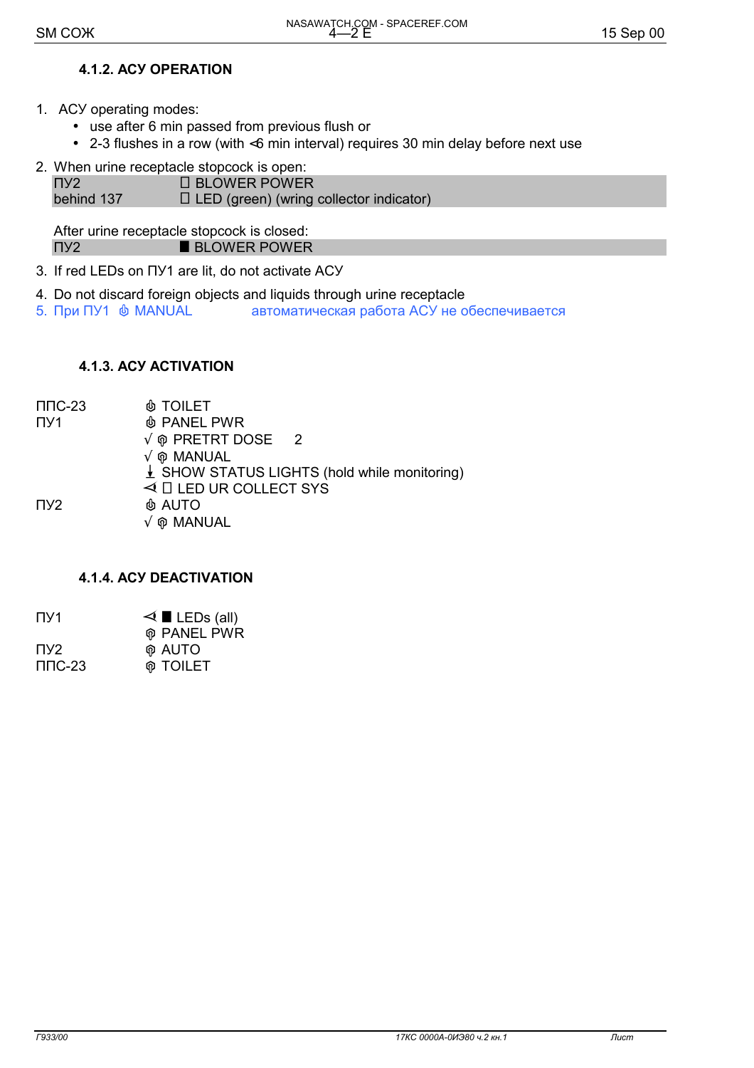## **4.1.2. ACY OPERATION**

- 1. ACY operating modes:
	- use after 6 min passed from previous flush or
	- 2-3 flushes in a row (with <6 min interval) requires 30 min delay before next use
- 2. When urine receptacle stopcock is open:

 $\Pi$ <sup>y2</sup> **O BLOWER POWER** behind 137  $\Box$  LED (green) (wring collector indicator)

After urine receptacle stopcock is closed: **BLOWER POWER**  $\Pi$ <sup>2</sup>

- 3. If red LEDs on  $\Box$  are lit, do not activate ACY
- 4. Do not discard foreign objects and liquids through urine receptacle
- 5. При ПУ1  $\,$  MANUAL автоматическая работа АСУ не обеспечивается

#### **4.1.3. ACY ACTIVATION**

 $\Pi$  $\Pi$  $C$ -23 *®* TOILET  $\Pi$ <sup>1</sup> **& PANEL PWR**  $\sqrt{\ }$  ® PRETRT DOSE — 2  $\sqrt{\phi}$  MANUAL ↓ SHOW STATUS LIGHTS (hold while monitoring)  $\triangleleft$   $\Box$  LED UR COLLECT SYS **& AUTO** 

 $\Pi$ <sup>y2</sup>

 $\sqrt{\omega}$  MANUAL

#### **4.1.4. ACY DEACTIVATION**

| $\Pi$ <sub>1</sub> | $\triangleleft$ LEDs (all) |
|--------------------|----------------------------|
|                    | <b>M</b> PANEL PWR         |
| TV <sub>2</sub>    | <b>M</b> AUTO              |
| $\Pi$ DC-23        | <b><i>®</i></b> TOILET     |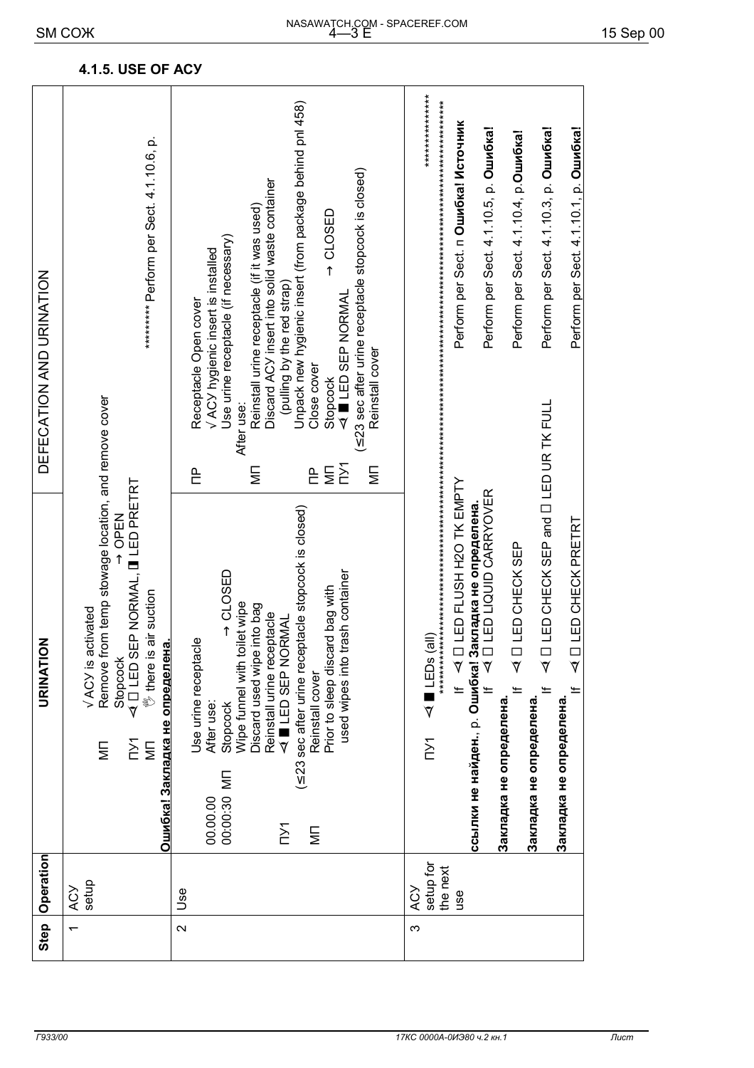|        | Operation                                         |                                                                                                                           | URINATION                                                                                                                                                                                                                                                                                                                    | DEFECATION AND URINATION                                                                                                                   |                                                                                                                                                                                                                                                                                                                                                                                                                |  |
|--------|---------------------------------------------------|---------------------------------------------------------------------------------------------------------------------------|------------------------------------------------------------------------------------------------------------------------------------------------------------------------------------------------------------------------------------------------------------------------------------------------------------------------------|--------------------------------------------------------------------------------------------------------------------------------------------|----------------------------------------------------------------------------------------------------------------------------------------------------------------------------------------------------------------------------------------------------------------------------------------------------------------------------------------------------------------------------------------------------------------|--|
|        | setup<br>ACY                                      | Ошибка! Закладка не определен<br>$\sum$<br>$\overline{\mathbb{R}}$<br>⋚                                                   | Remove from temp stowage location, and remove cover<br>EP NORMAL, <b>II</b> LED PRETRT<br>N∃dD ←<br>air suction<br>$\sqrt{ACY}$ is activated<br><u>ര</u><br>Stopcock<br>$40$ LED S<br><sup>®</sup> there is                                                                                                                  |                                                                                                                                            | ********* Perform per Sect. 4.1.10.6, p.                                                                                                                                                                                                                                                                                                                                                                       |  |
| $\sim$ | Use                                               | Reinstall cover<br>After use:<br>Stopcock<br>00:00:30 MN<br>00.00.00<br>$\sum$<br>Ξ                                       | (≤ 23 sec after urine receptacle stopcock is closed)<br>$\rightarrow$ CLOSED<br>used wipes into trash container<br>Prior to sleep discard bag with<br>Wipe funnel with toilet wipe<br>Discard used wipe into bag<br>Reinstall urine receptacle<br>$\blacktriangleleft$ $\blacksquare$ LED SEP NORMAL<br>Use urine receptacle | Reinstall cover<br>Close cover<br>Stopcock<br>After use:<br>$M_{\rm NN}$<br>$\overline{\overline{\overline{z}}}$<br>Ξ<br>$\mathsf{P}$<br>은 | Unpack new hygienic insert (from package behind pnl 458)<br>(≤ 23 sec after urine receptacle stopcock is closed)<br>Discard ACY insert into solid waste container<br>Reinstall urine receptacle (if it was used)<br>$\rightarrow$ CLOSED<br>Use urine receptacle (if necessary)<br>$\sqrt{\text{ACY}}$ hygienic insert is installed<br>(pulling by the red strap)<br>4 LED SEP NORMAL<br>Receptacle Open cover |  |
| Ω      | setup for<br>the next<br><b>ACY</b><br><b>use</b> | Закладка не определена.<br>Закладка не определена.<br>Закладка не определена.<br>$\overline{\triangledown}$<br><b>TY1</b> | If << □ LED FLUSH H2O TK EMPTY<br>ссылки не найден., р. Ошибка! Закладка не определена.<br>Н     ⊲   ∏  LED LIQUID CARRYOVER<br>I LED CHECK PRETRT<br>A I LED CHECK SEP                                                                                                                                                      |                                                                                                                                            | ***************<br>Perform per Sect. п Ошибка! Источник<br>Perform per Sect. 4.1.10.5, p. Oun6ka!<br>Perform per Sect. 4.1.10.3, p. Oun6ka!<br>Perform per Sect. 4.1.10.1. p. Quin6ka!<br>Perform per Sect. 4.1.10.4, p. <b>Ошибка!</b>                                                                                                                                                                        |  |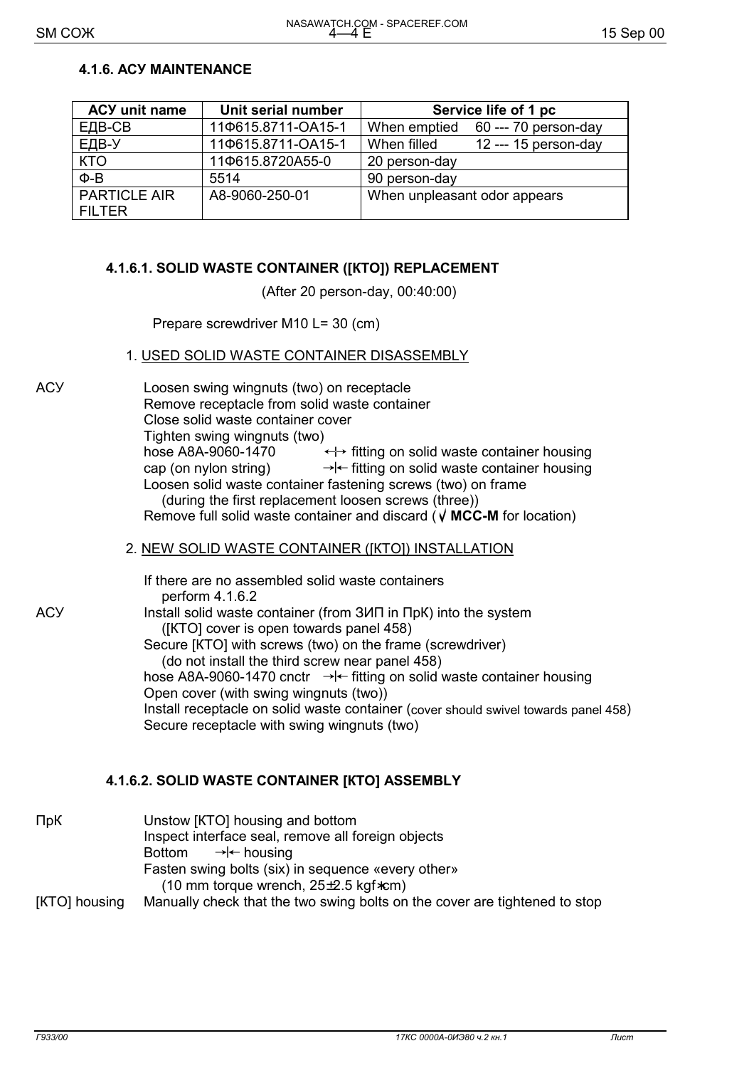#### **4.1.6. ACY MAINTENANCE**

| <b>ACY unit name</b>                 | Unit serial number | Service life of 1 pc                  |
|--------------------------------------|--------------------|---------------------------------------|
| ЕДВ-СВ                               | 110615.8711-OA15-1 | When emptied 60 --- 70 person-day     |
| ЕДВ-У                                | 110615.8711-OA15-1 | $12$ --- 15 person-day<br>When filled |
| <b>KTO</b>                           | 110615.8720A55-0   | 20 person-day                         |
| $\Phi$ -B                            | 5514               | 90 person-day                         |
| <b>PARTICLE AIR</b><br><b>FILTER</b> | A8-9060-250-01     | When unpleasant odor appears          |

#### 4.1.6.1. SOLID WASTE CONTAINER ([KTO]) REPLACEMENT

(After 20 person-day, 00:40:00)

Prepare screwdriver M10 L= 30 (cm)

#### 1. USED SOLID WASTE CONTAINER DISASSEMBLY

**ACY** 

Loosen swing wingnuts (two) on receptacle Remove receptacle from solid waste container Close solid waste container cover Tighten swing wingnuts (two) hose A8A-9060-1470 ← fitting on solid waste container housing  $\rightarrow$  fitting on solid waste container housing cap (on nylon string) Loosen solid waste container fastening screws (two) on frame (during the first replacement loosen screws (three)) Remove full solid waste container and discard ( $\sqrt{MCC-M}$  for location)

#### 2. NEW SOLID WASTE CONTAINER ([KTO]) INSTALLATION

|     | If there are no assembled solid waste containers<br>perform 4.1.6.2                                        |
|-----|------------------------------------------------------------------------------------------------------------|
| АСУ | Install solid waste container (from 3ИП in ПрК) into the system<br>([KTO] cover is open towards panel 458) |
|     | Secure [KTO] with screws (two) on the frame (screwdriver)                                                  |
|     | (do not install the third screw near panel 458)                                                            |
|     | hose A8A-9060-1470 cnctr $\rightarrow$ - fitting on solid waste container housing                          |
|     | Open cover (with swing wingnuts (two))                                                                     |
|     | Install receptacle on solid waste container (cover should swivel towards panel 458)                        |
|     | Secure receptacle with swing wingnuts (two)                                                                |
|     |                                                                                                            |

## 4.1.6.2. SOLID WASTE CONTAINER [KTO] ASSEMBLY

| $\n  ПpK\n$   | Unstow [KTO] housing and bottom                                            |
|---------------|----------------------------------------------------------------------------|
|               | Inspect interface seal, remove all foreign objects                         |
|               | Bottom $\rightarrow \leftarrow$ housing                                    |
|               | Fasten swing bolts (six) in sequence «every other»                         |
|               | (10 mm torque wrench, $25\pm2.5$ kgf*cm)                                   |
| [KTO] housing | Manually check that the two swing bolts on the cover are tightened to stop |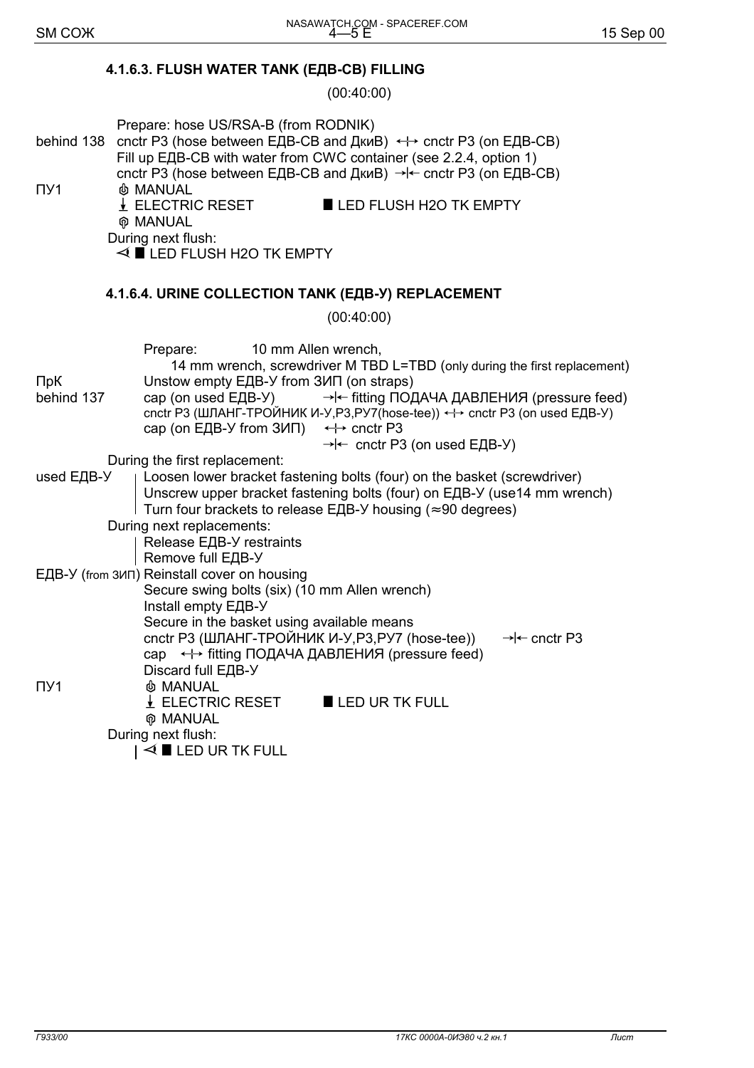## **4.1.6.3. FLUSH WATER TANK (ЕДВ-СВ) FILLING**

(00:40:00)

| Prepare: hose US/RSA-B (from RODNIK)<br>cnctr P3 (hose between ЕДВ-СВ and ДкиВ) ← cnctr P3 (on ЕДВ-СВ)<br>behind 138<br>Fill up EДB-CB with water from CWC container (see 2.2.4, option 1)<br>cnctr P3 (hose between ЕДВ-СВ and ДкиВ) → ← cnctr P3 (on ЕДВ-СВ)<br><b>&amp; MANUAL</b>                                                                                                                                                       |
|---------------------------------------------------------------------------------------------------------------------------------------------------------------------------------------------------------------------------------------------------------------------------------------------------------------------------------------------------------------------------------------------------------------------------------------------|
| $\downarrow$ ELECTRIC RESET<br>LED FLUSH H2O TK EMPTY                                                                                                                                                                                                                                                                                                                                                                                       |
| <b>MANUAL</b>                                                                                                                                                                                                                                                                                                                                                                                                                               |
| During next flush:<br>$\triangleleft$ LED FLUSH H2O TK EMPTY                                                                                                                                                                                                                                                                                                                                                                                |
| 4.1.6.4. URINE COLLECTION TANK (ЕДВ-У) REPLACEMENT                                                                                                                                                                                                                                                                                                                                                                                          |
| (00:40:00)                                                                                                                                                                                                                                                                                                                                                                                                                                  |
| Prepare:<br>10 mm Allen wrench,<br>14 mm wrench, screwdriver M TBD L=TBD (only during the first replacement)<br>Unstow empty EДB-У from ЗИП (on straps)<br>→ fitting ПОДАЧА ДАВЛЕНИЯ (pressure feed)<br>cap (on used ЕДВ-У)<br>cnctr P3 (ШЛАНГ-ТРОЙНИК И-У, P3, PУ7 (hose-tee)) ← cnctr P3 (on used EДВ-У)<br>cap (on E <sub>4</sub> B-Y from $3M\Pi$ ) $\leftrightarrow$ cnctr P3<br>$\rightarrow$ - cnctr P3 (on used E <sub>H</sub> B-Y) |
| During the first replacement:                                                                                                                                                                                                                                                                                                                                                                                                               |
| Loosen lower bracket fastening bolts (four) on the basket (screwdriver)<br>used ЕДВ-У<br>Unscrew upper bracket fastening bolts (four) on ЕДВ-У (use14 mm wrench)<br>Turn four brackets to release ELB-Y housing ( $\approx$ 90 degrees)                                                                                                                                                                                                     |
| During next replacements:                                                                                                                                                                                                                                                                                                                                                                                                                   |
| Release EДВ-У restraints                                                                                                                                                                                                                                                                                                                                                                                                                    |
| Remove full ЕДВ-У<br>ЕДВ-У (from 3ИП) Reinstall cover on housing                                                                                                                                                                                                                                                                                                                                                                            |
| Secure swing bolts (six) (10 mm Allen wrench)<br>Install empty ЕДВ-У<br>Secure in the basket using available means                                                                                                                                                                                                                                                                                                                          |
| cnctr P3 (ШЛАНГ-ТРОЙНИК И-У, P3, PУ7 (hose-tee))<br>→ cnctr P3<br>cap ← fitting ПОДАЧА ДАВЛЕНИЯ (pressure feed)<br>Discard full ЕДВ-У<br><b>&amp; MANUAL</b><br>$\downarrow$ ELECTRIC RESET<br>LED UR TK FULL<br><b>@ MANUAL</b><br>During next flush:<br>$\triangleleft$ LED UR TK FULL                                                                                                                                                    |
|                                                                                                                                                                                                                                                                                                                                                                                                                                             |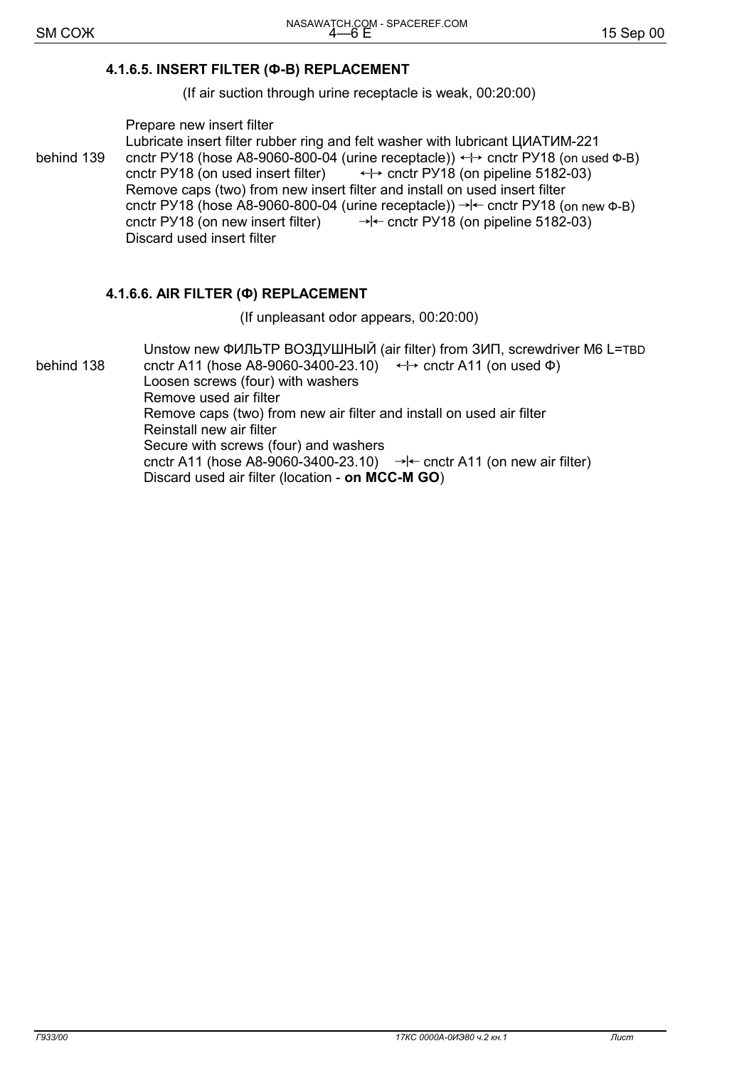#### 4.1.6.5. INSERT FILTER (Ф-В) REPLACEMENT

(If air suction through urine receptacle is weak, 00:20:00)

Prepare new insert filter

Lubricate insert filter rubber ring and felt washer with lubricant LIVATVM-221 behind 139 cnctr PY18 (hose A8-9060-800-04 (urine receptacle)) ← cnctr PY18 (on used Φ-B) cnctr PY18 (on used insert filter)  $\leftrightarrow$  cnctr PY18 (on pipeline 5182-03) Remove caps (two) from new insert filter and install on used insert filter cnctr PY18 (hose A8-9060-800-04 (urine receptacle))  $\rightarrow$   $\leftarrow$  cnctr PY18 (on new  $\Phi$ -B) cnctr PY18 (on new insert filter)  $\rightarrow$  - cnctr PY18 (on pipeline 5182-03) Discard used insert filter

## 4.1.6.6. AIR FILTER (Ф) REPLACEMENT

(If unpleasant odor appears, 00:20:00)

Unstow new ФИЛЬТР ВОЗДУШНЫЙ (air filter) from ЗИП, screwdriver M6 L=TBD behind 138 cnctr A11 (hose A8-9060-3400-23.10)  $\leftrightarrow$  cnctr A11 (on used  $\Phi$ ) Loosen screws (four) with washers Remove used air filter Remove caps (two) from new air filter and install on used air filter Reinstall new air filter Secure with screws (four) and washers cnctr A11 (hose A8-9060-3400-23.10)  $\rightarrow$   $\leftarrow$  cnctr A11 (on new air filter) Discard used air filter (location - on MCC-M GO)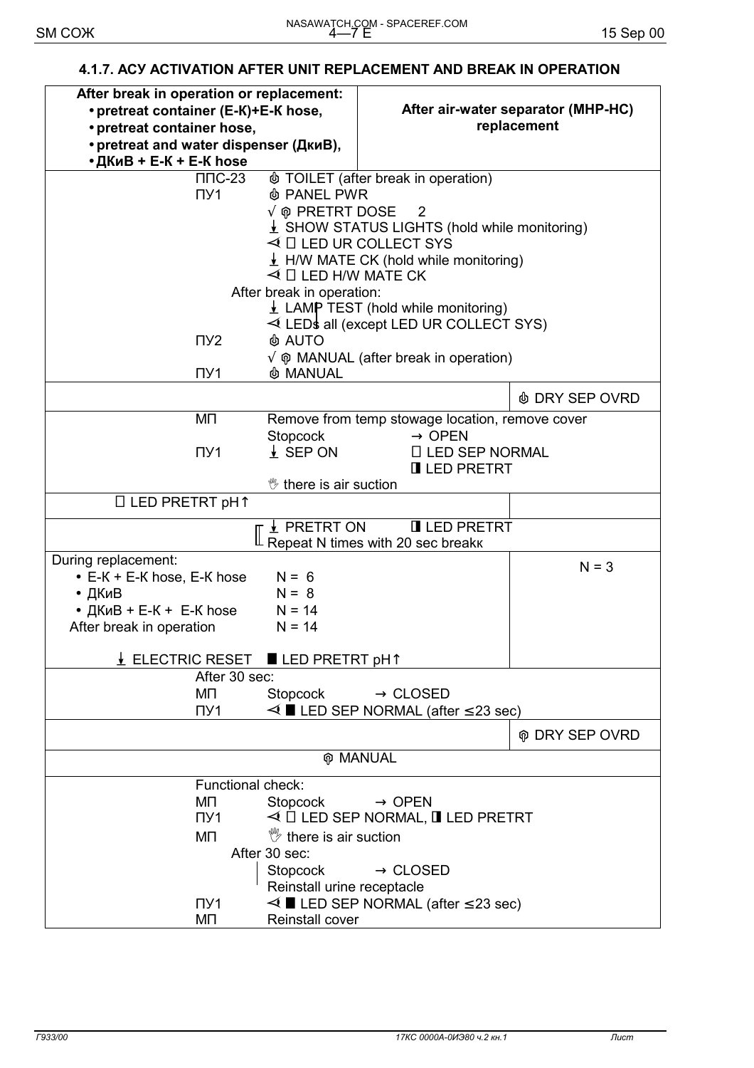#### **4.1.7. АСУ ACTIVATION AFTER UNIT REPLACEMENT AND BREAK IN OPERATION**

| After break in operation or replacement:<br>• pretreat container (E-K)+E-K hose,<br>• pretreat container hose,<br>• pretreat and water dispenser (ДкиВ), |                                        |                                                          | After air-water separator (MHP-HC)<br>replacement |
|----------------------------------------------------------------------------------------------------------------------------------------------------------|----------------------------------------|----------------------------------------------------------|---------------------------------------------------|
| • ДКиВ + Е-К + Е-К hose                                                                                                                                  |                                        |                                                          |                                                   |
| $\Pi$ <sup>-23</sup>                                                                                                                                     |                                        | <b>TOILET</b> (after break in operation)                 |                                                   |
| $\Pi$ <sup>1</sup>                                                                                                                                       | <b>&amp; PANEL PWR</b>                 |                                                          |                                                   |
|                                                                                                                                                          | $\sqrt{\varphi}$ PRETRT DOSE — 2       |                                                          |                                                   |
|                                                                                                                                                          |                                        | $\frac{1}{2}$ SHOW STATUS LIGHTS (hold while monitoring) |                                                   |
|                                                                                                                                                          |                                        | $\triangleleft$ $\Box$ LED UR COLLECT SYS                |                                                   |
|                                                                                                                                                          |                                        | $\frac{1}{2}$ H/W MATE CK (hold while monitoring)        |                                                   |
|                                                                                                                                                          | $\triangleleft$ $\Box$ LED H/W MATE CK |                                                          |                                                   |
|                                                                                                                                                          | After break in operation:              |                                                          |                                                   |
|                                                                                                                                                          |                                        | $\perp$ LAMP TEST (hold while monitoring)                |                                                   |
|                                                                                                                                                          |                                        | $\triangleleft$ LEDs all (except LED UR COLLECT SYS)     |                                                   |
| $\Pi$ <sup>2</sup>                                                                                                                                       | <b>&amp; AUTO</b>                      |                                                          |                                                   |
|                                                                                                                                                          |                                        | $\sqrt{\phi}$ MANUAL (after break in operation)          |                                                   |
| $\Pi$ <sup>1</sup>                                                                                                                                       | <b>&amp; MANUAL</b>                    |                                                          |                                                   |
|                                                                                                                                                          |                                        |                                                          | <b><i>A</i></b> DRY SEP OVRD                      |
| ΜП                                                                                                                                                       |                                        | Remove from temp stowage location, remove cover          |                                                   |
|                                                                                                                                                          | Stopcock                               | $\rightarrow$ OPEN                                       |                                                   |
| $\Pi$ <sup>1</sup>                                                                                                                                       | $\frac{1}{2}$ SEP ON                   | $\Box$ LED SEP NORMAL                                    |                                                   |
|                                                                                                                                                          |                                        | <b>II LED PRETRT</b>                                     |                                                   |
|                                                                                                                                                          | <sup>*</sup> there is air suction      |                                                          |                                                   |
| $\Box$ LED PRETRT pH $\uparrow$                                                                                                                          |                                        |                                                          |                                                   |
|                                                                                                                                                          |                                        |                                                          |                                                   |
|                                                                                                                                                          | $\frac{1}{2}$ PRETRT ON                | <b>I</b> LED PRETRT                                      |                                                   |
|                                                                                                                                                          |                                        | Repeat N times with 20 sec breakk                        |                                                   |
| During replacement:                                                                                                                                      |                                        |                                                          | $N = 3$                                           |
| $\bullet$ E-K + E-K hose, E-K hose                                                                                                                       | $N = 6$                                |                                                          |                                                   |
| • ДКиВ                                                                                                                                                   | $N = 8$                                |                                                          |                                                   |
| • $I$ KиB + E-K + E-K hose                                                                                                                               | $N = 14$                               |                                                          |                                                   |
| After break in operation                                                                                                                                 | $N = 14$                               |                                                          |                                                   |
|                                                                                                                                                          |                                        |                                                          |                                                   |
| $\underline{\textbf{V}}$ ELECTRIC RESET $\blacksquare$ LED PRETRT <code>pHT</code><br>After 30 sec:                                                      |                                        |                                                          |                                                   |
| ΜП                                                                                                                                                       | Stopcock                               | $\rightarrow$ CLOSED                                     |                                                   |
| $\Pi$ <sup>1</sup>                                                                                                                                       |                                        | $\leq$ LED SEP NORMAL (after $\leq$ 23 sec)              |                                                   |
|                                                                                                                                                          |                                        |                                                          |                                                   |
|                                                                                                                                                          |                                        |                                                          | <b>@ DRY SEP OVRD</b>                             |
|                                                                                                                                                          |                                        | <b>@ MANUAL</b>                                          |                                                   |
|                                                                                                                                                          |                                        |                                                          |                                                   |
| Functional check:                                                                                                                                        |                                        |                                                          |                                                   |
| ΜП                                                                                                                                                       | Stopcock                               | $\rightarrow$ OPEN                                       |                                                   |
| $\Pi$ y1                                                                                                                                                 |                                        | $\triangleleft$ $\Box$ LED SEP NORMAL, $\Box$ LED PRETRT |                                                   |
| MП                                                                                                                                                       | $\mathbb{V}$ there is air suction      |                                                          |                                                   |
|                                                                                                                                                          | After 30 sec:                          |                                                          |                                                   |
|                                                                                                                                                          | Stopcock                               | $\rightarrow$ CLOSED                                     |                                                   |
|                                                                                                                                                          | Reinstall urine receptacle             |                                                          |                                                   |
| $\Pi$ <sup>1</sup>                                                                                                                                       |                                        | $\leq$ LED SEP NORMAL (after $\leq$ 23 sec)              |                                                   |
| ΜП                                                                                                                                                       | Reinstall cover                        |                                                          |                                                   |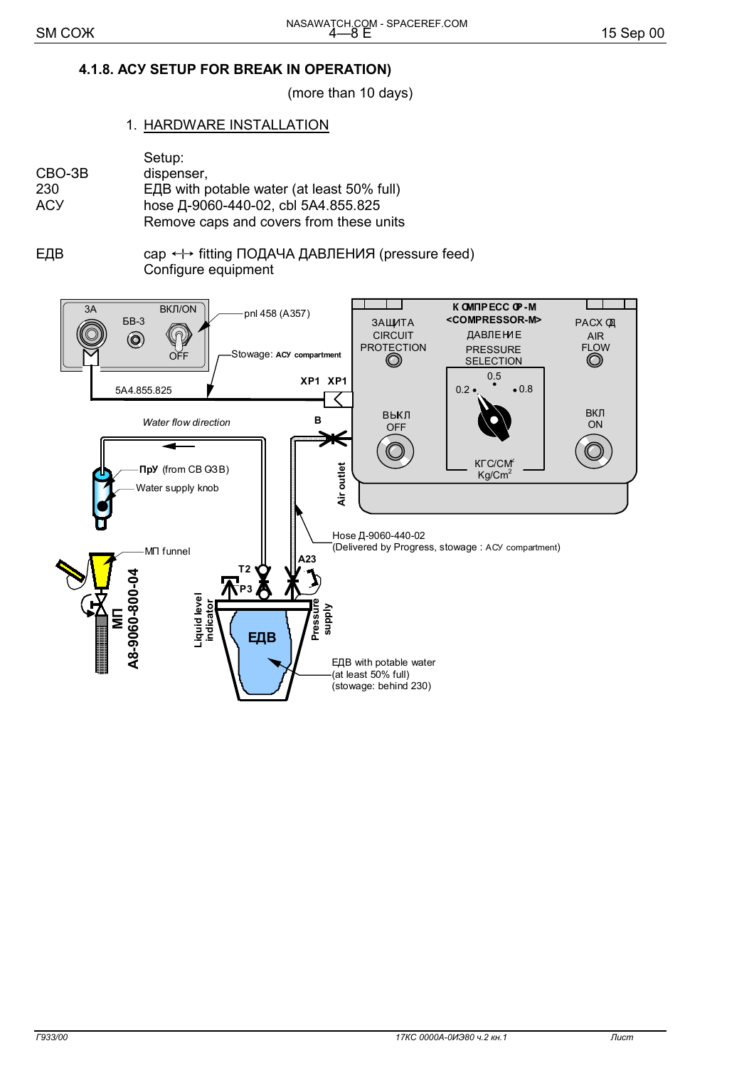## 4.1.8. ACY SETUP FOR BREAK IN OPERATION)

(more than 10 days)

#### 1. HARDWARE INSTALLATION

|        | Setup:                                     |
|--------|--------------------------------------------|
| CBO-3B | dispenser,                                 |
| 230    | ЕДВ with potable water (at least 50% full) |
| АСУ    | hose Д-9060-440-02, cbl 5A4.855.825        |
|        | Remove caps and covers from these units    |

ЕДВ сар ← fitting ПОДАЧА ДАВЛЕНИЯ (pressure feed) Configure equipment

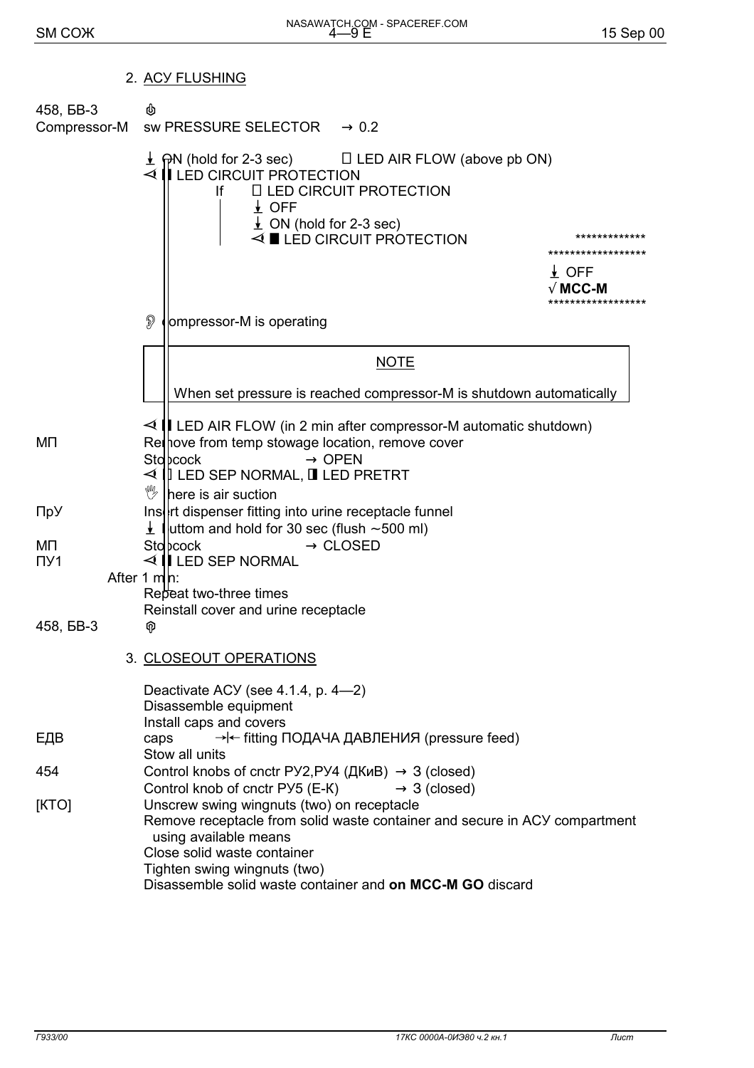## 2. ACY FLUSHING

| 458, <b>6B-3</b>          | ♨<br>Compressor-M sw PRESSURE SELECTOR $\rightarrow$ 0.2                                                                                                                                                                                                                                                                                                                 |
|---------------------------|--------------------------------------------------------------------------------------------------------------------------------------------------------------------------------------------------------------------------------------------------------------------------------------------------------------------------------------------------------------------------|
|                           | $\frac{1}{2}$ mPN (hold for 2-3 sec) $\Box$ LED AIR FLOW (above pb ON)<br>$\triangleleft$ $\parallel$ LED CIRCUIT PROTECTION<br><b>ILLED CIRCUIT PROTECTION</b><br><b>If</b><br>$\frac{1}{2}$ OFF<br>$\perp$ ON (hold for 2-3 sec)<br>$\triangleleft$ LED CIRCUIT PROTECTION<br>*************<br>******************<br>$\frac{1}{2}$ OFF<br>√ MCC-M<br>***************** |
|                           | $\mathcal{D}$<br>ompressor-M is operating                                                                                                                                                                                                                                                                                                                                |
|                           | <b>NOTE</b>                                                                                                                                                                                                                                                                                                                                                              |
|                           | When set pressure is reached compressor-M is shutdown automatically                                                                                                                                                                                                                                                                                                      |
| MП                        | $\triangleleft$   LED AIR FLOW (in 2 min after compressor-M automatic shutdown)<br>Rel hove from temp stowage location, remove cover<br>Stopcock<br>$\rightarrow$ OPEN<br>$\triangleleft$ $\parallel$ LED SEP NORMAL, $\parallel$ LED PRETRT<br>V<br>here is air suction                                                                                                 |
| ПрУ                       | Insert dispenser fitting into urine receptacle funnel<br>$\frac{1}{2}$ luttom and hold for 30 sec (flush $\sim$ 500 ml)                                                                                                                                                                                                                                                  |
| ΜП<br>$\Pi$ <sub>21</sub> | $\rightarrow$ CLOSED<br>Sto bcock<br>$\triangleleft$ $\parallel$ LED SEP NORMAL<br>After 1 $m n$ :<br>Repeat two-three times                                                                                                                                                                                                                                             |
| 458, <b>6B-3</b>          | Reinstall cover and urine receptacle<br>φ                                                                                                                                                                                                                                                                                                                                |
|                           | 3. CLOSEOUT OPERATIONS                                                                                                                                                                                                                                                                                                                                                   |
|                           | Deactivate ACY (see 4.1.4, p. 4-2)<br>Disassemble equipment<br>Install caps and covers                                                                                                                                                                                                                                                                                   |
| ЕДВ                       | → fitting ПОДАЧА ДАВЛЕНИЯ (pressure feed)<br>caps<br>Stow all units                                                                                                                                                                                                                                                                                                      |
| 454                       | Control knobs of cnctr PY2, PY4 ( $\mu$ K $\mu$ B) $\rightarrow$ 3 (closed)<br>Control knob of cnctr PY5 (E-K)<br>$\rightarrow$ 3 (closed)                                                                                                                                                                                                                               |
| [KTO]                     | Unscrew swing wingnuts (two) on receptacle<br>Remove receptacle from solid waste container and secure in ACY compartment<br>using available means<br>Close solid waste container<br>Tighten swing wingnuts (two)<br>Disassemble solid waste container and on MCC-M GO discard                                                                                            |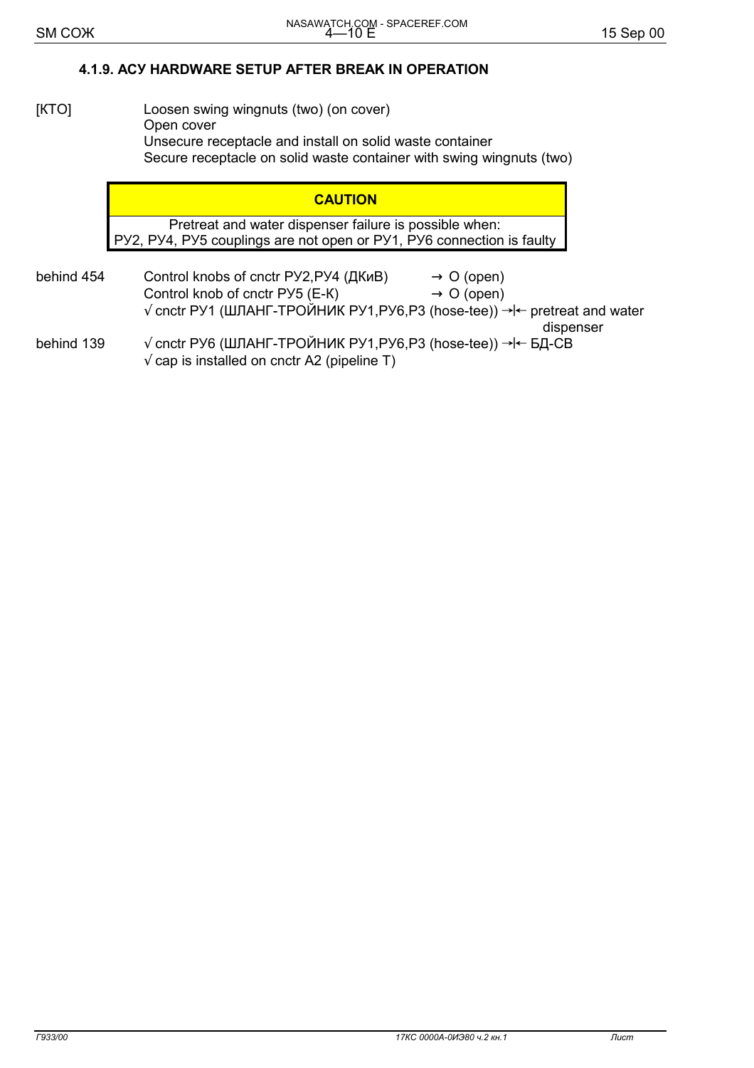## 4.1.9. ACY HARDWARE SETUP AFTER BREAK IN OPERATION

#### $[KTO]$ Loosen swing wingnuts (two) (on cover) Open cover Unsecure receptacle and install on solid waste container Secure receptacle on solid waste container with swing wingnuts (two)

#### **CAUTION**

Pretreat and water dispenser failure is possible when: PY2, PY4, PY5 couplings are not open or PY1, PY6 connection is faulty

behind 454 Control knobs of cnctr PУ2, PУ4 (ДКиВ)  $\rightarrow$  O (open) Control knob of cnctr PY5 (E-K)  $\rightarrow$  O (open) √ cnctr РУ1 (ШЛАНГ-ТРОЙНИК РУ1,РУ6,Р3 (hose-tee)) → Feretreat and water dispenser behind 139 √ cnctr РУ6 (ШЛАНГ-ТРОЙНИК РУ1, РУ6, Р3 (hose-tee)) → I← БД-СВ  $\sqrt{2}$  cap is installed on cnctr A2 (pipeline T)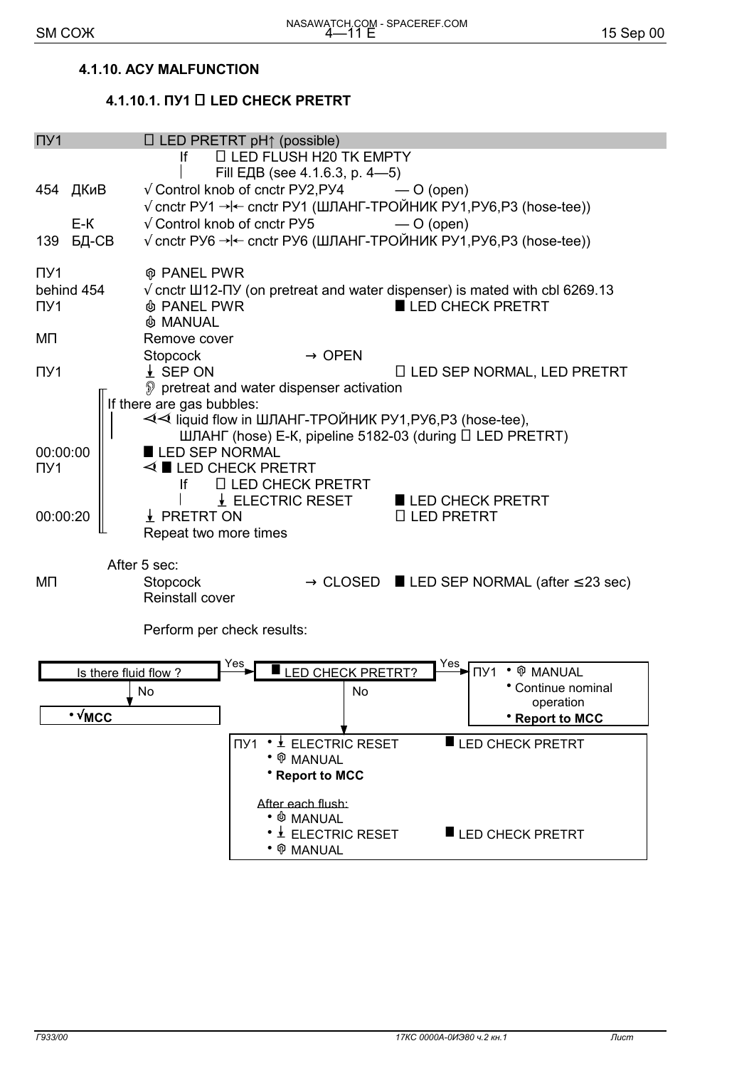#### 4.1.10. ACY MALFUNCTION

## 4.1.10.1. ΠУ1 □ LED CHECK PRETRT

| $\Pi$ y1             |                                       | $\Box$ LED PRETRT pH $\uparrow$ (possible)                       |                                                                                                   |  |
|----------------------|---------------------------------------|------------------------------------------------------------------|---------------------------------------------------------------------------------------------------|--|
|                      | lf                                    | <b>LI LED FLUSH H20 TK EMPTY</b>                                 |                                                                                                   |  |
|                      |                                       | Fill ЕДВ (see 4.1.6.3, p. 4-5)                                   |                                                                                                   |  |
| 454 ДКиВ             |                                       | $\sqrt{\frac{1}{2}}$ Control knob of cnctr PY2, PY4              | $-$ O (open)                                                                                      |  |
|                      |                                       |                                                                  | $\sqrt{2}$ cnctr РУ1 → cnctr РУ1 (ШЛАНГ-ТРОЙНИК РУ1, РУ6, Р3 (hose-tee))                          |  |
| $E-K$                | $\sqrt{\ }$ Control knob of cnctr PY5 |                                                                  | $-$ O (open)                                                                                      |  |
| БД-СВ<br>139         |                                       |                                                                  | √ cnctr PУ6 → l← cnctr PУ6 (ШЛАНГ-ТРОЙНИК РУ1, РУ6, Р3 (hose-tee))                                |  |
| $\Pi$ <sub>21</sub>  | <b>@ PANEL PWR</b>                    |                                                                  |                                                                                                   |  |
| behind 454           |                                       |                                                                  | $\sqrt{ }$ cnctr $\text{III12-}\Pi$ Y (on pretreat and water dispenser) is mated with cbl 6269.13 |  |
| $\Pi$ <sup>1</sup>   | <b><i>I</i></b> PANEL PWR             |                                                                  | LED CHECK PRETRT                                                                                  |  |
|                      | <b>&amp; MANUAL</b>                   |                                                                  |                                                                                                   |  |
| MП                   | Remove cover                          |                                                                  |                                                                                                   |  |
|                      | Stopcock                              | $\rightarrow$ OPEN                                               |                                                                                                   |  |
| $\Pi$ <sup>1</sup>   | $\frac{1}{2}$ SEP ON                  |                                                                  | $\Box$ LED SEP NORMAL, LED PRETRT                                                                 |  |
|                      |                                       | pretreat and water dispenser activation                          |                                                                                                   |  |
|                      | If there are gas bubbles:             |                                                                  |                                                                                                   |  |
|                      |                                       | < iiquid flow in ШЛАНГ-ТРОЙНИК РУ1, РУ6, РЗ (hose-tee),          |                                                                                                   |  |
|                      |                                       |                                                                  | ШЛАНГ (hose) E-K, pipeline 5182-03 (during D LED PRETRT)                                          |  |
| 00:00:00             | LED SEP NORMAL                        |                                                                  |                                                                                                   |  |
| $\Pi$ <sub>21</sub>  | $\triangleleft$ LED CHECK PRETRT      |                                                                  |                                                                                                   |  |
|                      | lf                                    | <b>ILLED CHECK PRETRT</b>                                        |                                                                                                   |  |
|                      |                                       | $\downarrow$ ELECTRIC RESET                                      | LED CHECK PRETRT                                                                                  |  |
| 00:00:20             | ↓ PRETRT ON                           |                                                                  | □ LED PRETRT                                                                                      |  |
|                      | Repeat two more times                 |                                                                  |                                                                                                   |  |
|                      |                                       |                                                                  |                                                                                                   |  |
|                      | After 5 sec:                          |                                                                  |                                                                                                   |  |
| Stopcock<br>ΜП       |                                       | $\rightarrow$ CLOSED <b>LED SEP NORMAL</b> (after $\leq$ 23 sec) |                                                                                                   |  |
|                      | Reinstall cover                       |                                                                  |                                                                                                   |  |
|                      | Perform per check results:            |                                                                  |                                                                                                   |  |
|                      |                                       |                                                                  |                                                                                                   |  |
| Is there fluid flow? |                                       | Yes<br>LED CHECK PRETRT?                                         | $Yes$ $\sqrt{\frac{1}{1}}$<br>• ® MANUAL                                                          |  |
|                      |                                       |                                                                  | • Continue nominal                                                                                |  |
|                      | No                                    | No                                                               | operation                                                                                         |  |
| ∙ √мсс               |                                       |                                                                  | <b>*</b> Report to MCC                                                                            |  |
|                      |                                       |                                                                  |                                                                                                   |  |
|                      |                                       | ΠУ1 • ± ELECTRIC RESET<br>• ® MANUAL                             | LED CHECK PRETRT                                                                                  |  |
|                      |                                       | • Report to MCC                                                  |                                                                                                   |  |
|                      |                                       |                                                                  |                                                                                                   |  |
|                      |                                       | After each flush:                                                |                                                                                                   |  |
|                      |                                       | $\bullet$ $\Phi$ manual                                          |                                                                                                   |  |
|                      |                                       | • ± ELECTRIC RESET                                               | LED CHECK PRETRT                                                                                  |  |
|                      |                                       | ● ⑰ MANUAL                                                       |                                                                                                   |  |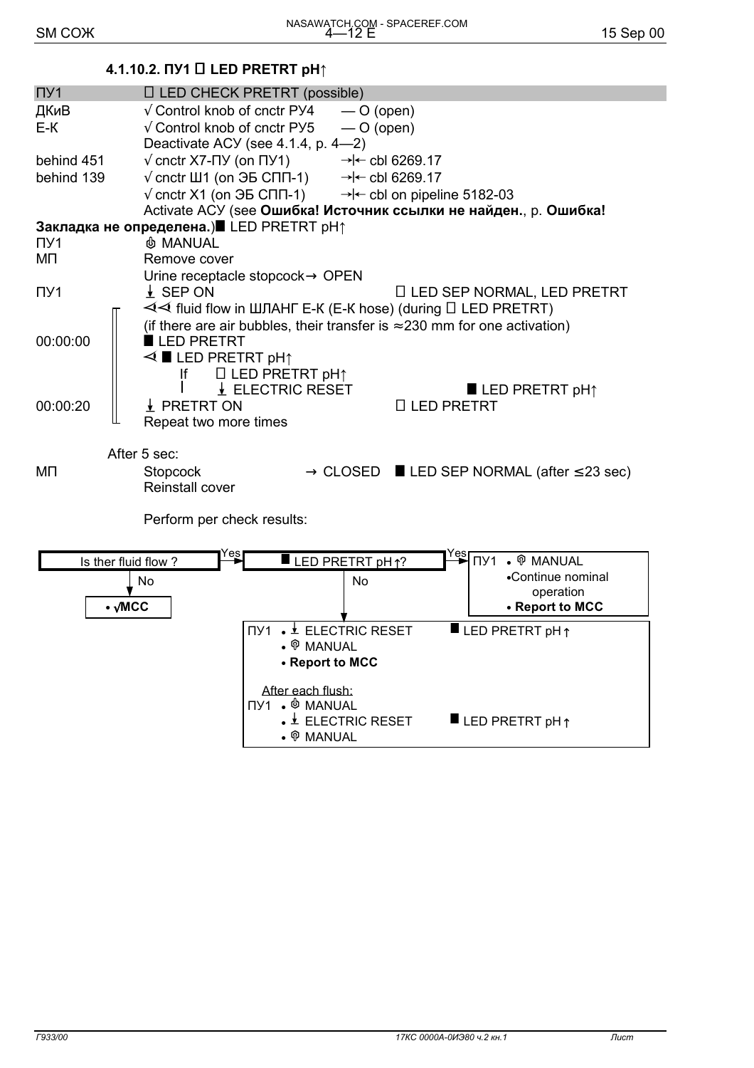## 4.1.10.2. ПУ1 □ LED PRETRT pH↑

| $\Pi$ y <sub>1</sub>          | □ LED CHECK PRETRT (possible)                                                     |                                                   |                                         |                                                                  |
|-------------------------------|-----------------------------------------------------------------------------------|---------------------------------------------------|-----------------------------------------|------------------------------------------------------------------|
| ДКиВ                          | $\sqrt{\phantom{a}}$ Control knob of cnctr PY4                                    | $-$ O (open)                                      |                                         |                                                                  |
| E-K                           | $\sqrt{\phantom{a}}$ Control knob of cnctr PY5                                    | $-$ O (open)                                      |                                         |                                                                  |
|                               | Deactivate ACY (see 4.1.4, p. 4-2)                                                |                                                   |                                         |                                                                  |
| behind 451                    | $\sqrt{\text{c}ntr}$ X7-NY (on NY1)<br>$\rightarrow$ < cbl 6269.17                |                                                   |                                         |                                                                  |
| behind 139                    | $\sqrt{ }$ cnctr Ш1 (on $\overline{3}$ CNN-1)                                     |                                                   | $\rightarrow$ < cbl 6269.17             |                                                                  |
|                               | $\sqrt{\text{c}$ cnctr X1 (on $\overline{\text{d}b}$ CNN-1)                       |                                                   | $\rightarrow$ - cbl on pipeline 5182-03 |                                                                  |
|                               | Activate ACУ (see Ошибка! Источник ссылки не найден., р. Ошибка!                  |                                                   |                                         |                                                                  |
|                               | Закладка не определена.) LED PRETRT pH↑                                           |                                                   |                                         |                                                                  |
| $\Pi$ <sup>1</sup>            | <b>&amp; MANUAL</b>                                                               |                                                   |                                         |                                                                  |
|                               |                                                                                   |                                                   |                                         |                                                                  |
| MП                            | Remove cover                                                                      |                                                   |                                         |                                                                  |
|                               | Urine receptacle stopcock→ OPEN                                                   |                                                   |                                         |                                                                  |
| $\Pi$ y <sub>1</sub>          | $\frac{1}{2}$ SEP ON                                                              |                                                   |                                         | □ LED SEP NORMAL, LED PRETRT                                     |
|                               | < I Huid flow in ШЛАНГ E-К (E-К hose) (during □ LED PRETRT)                       |                                                   |                                         |                                                                  |
|                               | (if there are air bubbles, their transfer is $\approx 230$ mm for one activation) |                                                   |                                         |                                                                  |
| 00:00:00                      | LED PRETRT                                                                        |                                                   |                                         |                                                                  |
|                               | $\triangleleft$ $\blacksquare$ LED PRETRT pH $\uparrow$                           |                                                   |                                         |                                                                  |
|                               | $\Box$ LED PRETRT pH $\uparrow$<br>If.                                            |                                                   |                                         |                                                                  |
|                               |                                                                                   | L ELECTRIC RESET                                  |                                         | <b>LED PRETRT pH</b> $\uparrow$                                  |
| 00:00:20                      | ↓ PRETRT ON                                                                       |                                                   | □ LED PRETRT                            |                                                                  |
|                               |                                                                                   |                                                   |                                         |                                                                  |
|                               | Repeat two more times                                                             |                                                   |                                         |                                                                  |
|                               |                                                                                   |                                                   |                                         |                                                                  |
|                               | After 5 sec:                                                                      |                                                   |                                         |                                                                  |
| MП                            | Stopcock                                                                          |                                                   |                                         | $\rightarrow$ CLOSED ELED SEP NORMAL (after $\leq$ 23 sec)       |
|                               | Reinstall cover                                                                   |                                                   |                                         |                                                                  |
|                               |                                                                                   |                                                   |                                         |                                                                  |
|                               | Perform per check results:                                                        |                                                   |                                         |                                                                  |
|                               |                                                                                   |                                                   |                                         |                                                                  |
|                               | res                                                                               |                                                   |                                         |                                                                  |
| Is ther fluid flow?           |                                                                                   | LED PRETRT pH <sub>1</sub> ?                      |                                         | $Yes$ $\overline{ny1}$ $\bullet$ $\overline{\mathcal{P}}$ MANUAL |
|                               | No                                                                                | No                                                |                                         | •Continue nominal                                                |
|                               |                                                                                   |                                                   |                                         | operation                                                        |
| $\bullet$ $\sqrt{\text{MCC}}$ |                                                                                   |                                                   |                                         | • Report to MCC                                                  |
|                               |                                                                                   | <b>NY1 • ± ELECTRIC RESET</b>                     |                                         | <b>LED PRETRT pH</b> $\uparrow$                                  |
|                               |                                                                                   | . ® MANUAL                                        |                                         |                                                                  |
|                               |                                                                                   | • Report to MCC                                   |                                         |                                                                  |
|                               |                                                                                   |                                                   |                                         |                                                                  |
|                               |                                                                                   | After each flush:                                 |                                         |                                                                  |
|                               |                                                                                   | ∏Y1 . <i>♦</i> MANUAL                             |                                         |                                                                  |
|                               |                                                                                   | $\bullet$ $\overline{\phantom{a}}$ ELECTRIC RESET |                                         | $\blacksquare$ LED PRETRT pH $\uparrow$                          |
|                               |                                                                                   | <b>P MANUAL</b>                                   |                                         |                                                                  |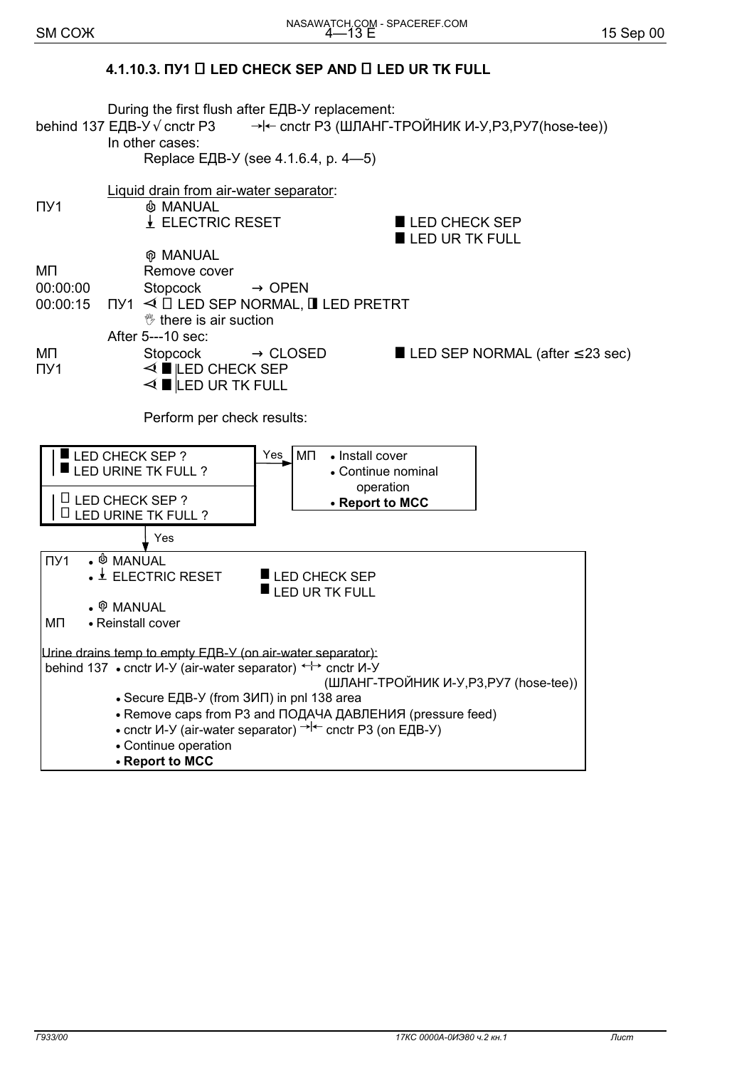## **4.1.10.3. ПУ1** ! **LED CHECK SEP AND** ! **LED UR TK FULL**

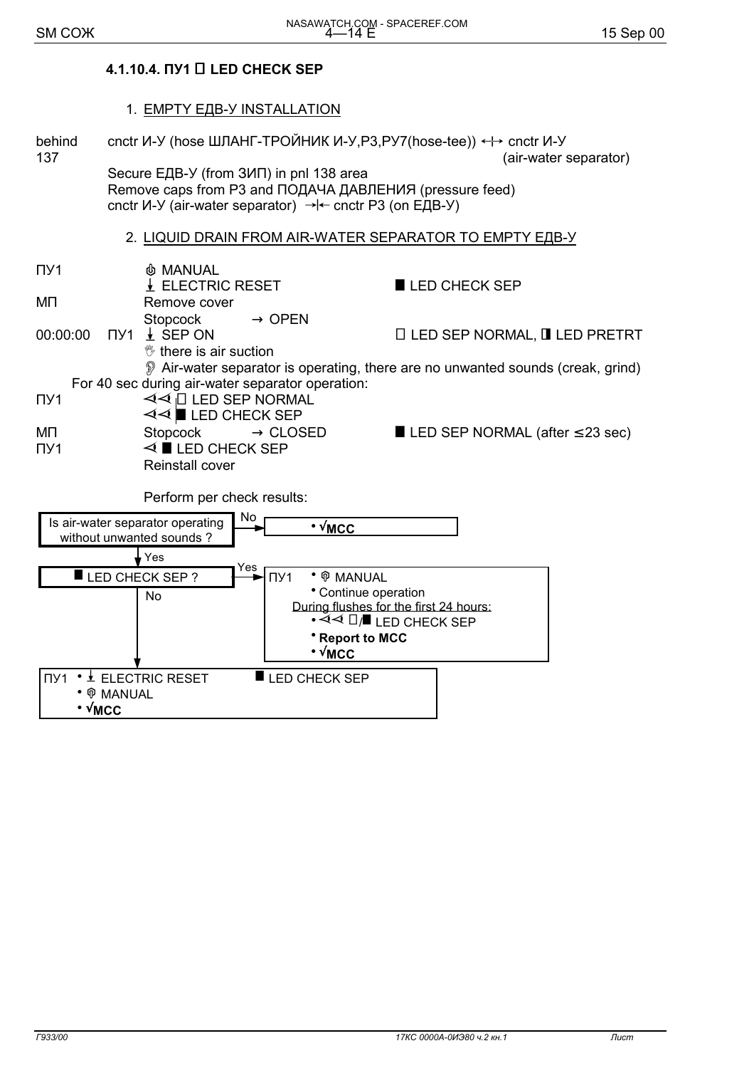#### 4.1.10.4. ПУ1 □ LED CHECK SEP

1. EMPTY EДВ-У INSTALLATION behind cnctr  $M$ -Y (hose ШЛАНГ-ТРОЙНИК И-У, P3, PY7 (hose-tee))  $\leftrightarrow$  cnctr  $M$ -Y 137 (air-water separator) Secure EДВ-У (from 3ИП) in pnl 138 area Remove caps from P3 and ПОДАЧА ДАВЛЕНИЯ (pressure feed) cnctr  $V - V$  (air-water separator)  $\rightarrow$   $\leftarrow$  cnctr P3 (on EIB-Y) 2. LIQUID DRAIN FROM AIR-WATER SEPARATOR TO EMPTY EДВ-У  $\Pi$ <sup>1</sup> **& MANUAL** LELECTRIC RESET LED CHECK SEP MП Remove cover **Stopcock**  $\rightarrow$  OPEN 00:00:00  $\Pi$ <sup>y</sup>1  $\pm$  SEP ON □ LED SEP NORMAL, ■ LED PRETRT <sup>\*\*</sup> there is air suction Air-water separator is operating, there are no unwanted sounds (creak, grind) For 40 sec during air-water separator operation:  $\triangleleft$   $\triangleleft$   $\Box$  LED SEP NORMAL  $\Pi V1$  $\triangleleft$   $\triangleleft$   $\blacksquare$  LED CHECK SEP Stopcock  $\rightarrow$  CLOSED MП LED SEP NORMAL (after  $\leq$  23 sec)  $\triangleleft$  **I** LED CHECK SEP  $\Pi$ <sup>1</sup> Reinstall cover Perform per check results: **No** Is air-water separator operating  $\cdot \sqrt{\text{MCC}}$ without unwanted sounds? Yes ⁄es LED CHECK SEP?  $\Pi$ <sup>1</sup> • ® MANUAL • Continue operation  $No$ During flushes for the first 24 hours: \* Report to MCC  $\cdot \sqrt{\text{MCC}}$ ΠΥ1 • ± ELECTRIC RESET  $\blacksquare$  LED CHECK SEP • ® MANUAL

 $\cdot$   $\sqrt{MCC}$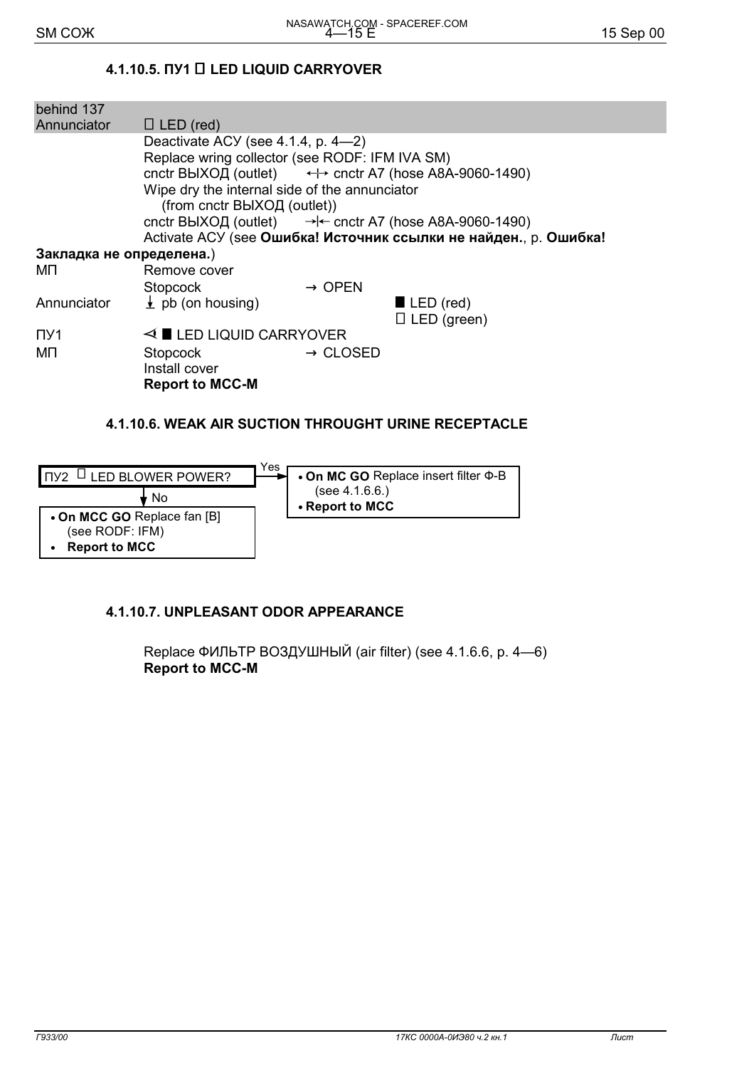**Report to MCC** 

 $\bullet$ 

## 4.1.10.5. ΠУ1 □ LED LIQUID CARRYOVER

| behind 137               |                                                                                      |
|--------------------------|--------------------------------------------------------------------------------------|
| Annunciator              | $\Box$ LED (red)                                                                     |
|                          | Deactivate ACY (see $4.1.4$ , p. $4-2$ )                                             |
|                          | Replace wring collector (see RODF: IFM IVA SM)                                       |
|                          | cnctr BbIXO $\Box$ (outlet) $\longleftrightarrow$ cnctr A7 (hose A8A-9060-1490)      |
|                          | Wipe dry the internal side of the annunciator                                        |
|                          | (from cnctr ВЫХОД (outlet))                                                          |
|                          | cnctr BbIXO $\Box$ (outlet) $\rightarrow$ $\leftarrow$ cnctr A7 (hose A8A-9060-1490) |
|                          | Activate ACУ (see Ошибка! Источник ссылки не найден., р. Ошибка!                     |
| Закладка не определена.) |                                                                                      |
| MП                       | Remove cover                                                                         |
|                          | $\rightarrow$ OPEN<br>Stopcock                                                       |
| Annunciator              | $\pm$ pb (on housing)<br>$\blacksquare$ LED (red)                                    |
|                          | $\Box$ LED (green)                                                                   |
| $\Pi$ <sup>1</sup>       | $\triangleleft$ LED LIQUID CARRYOVER                                                 |
| ΜП                       | $\rightarrow$ CLOSED<br>Stopcock                                                     |
|                          | Install cover                                                                        |
|                          | <b>Report to MCC-M</b>                                                               |
|                          |                                                                                      |

## 4.1.10.6. WEAK AIR SUCTION THROUGHT URINE RECEPTACLE



#### 4.1.10.7. UNPLEASANT ODOR APPEARANCE

Replace ФИЛЬТР ВОЗДУШНЫЙ (air filter) (see 4.1.6.6, p. 4-6) **Report to MCC-M**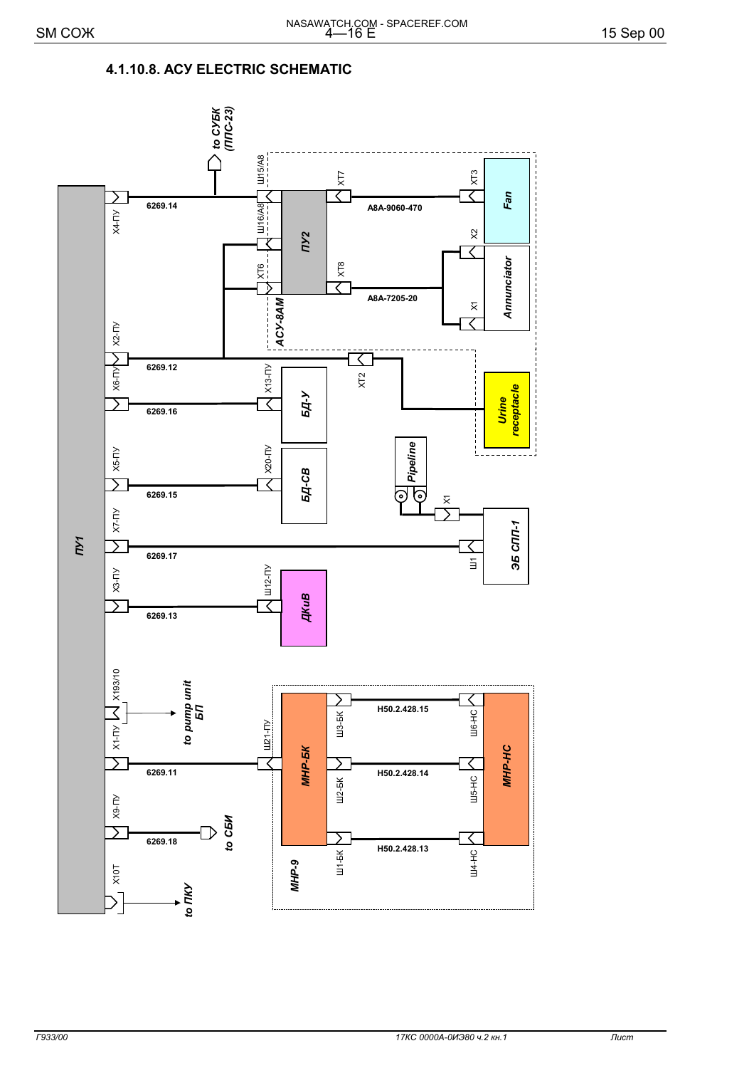#### 4.1.10.8. ACY ELECTRIC SCHEMATIC